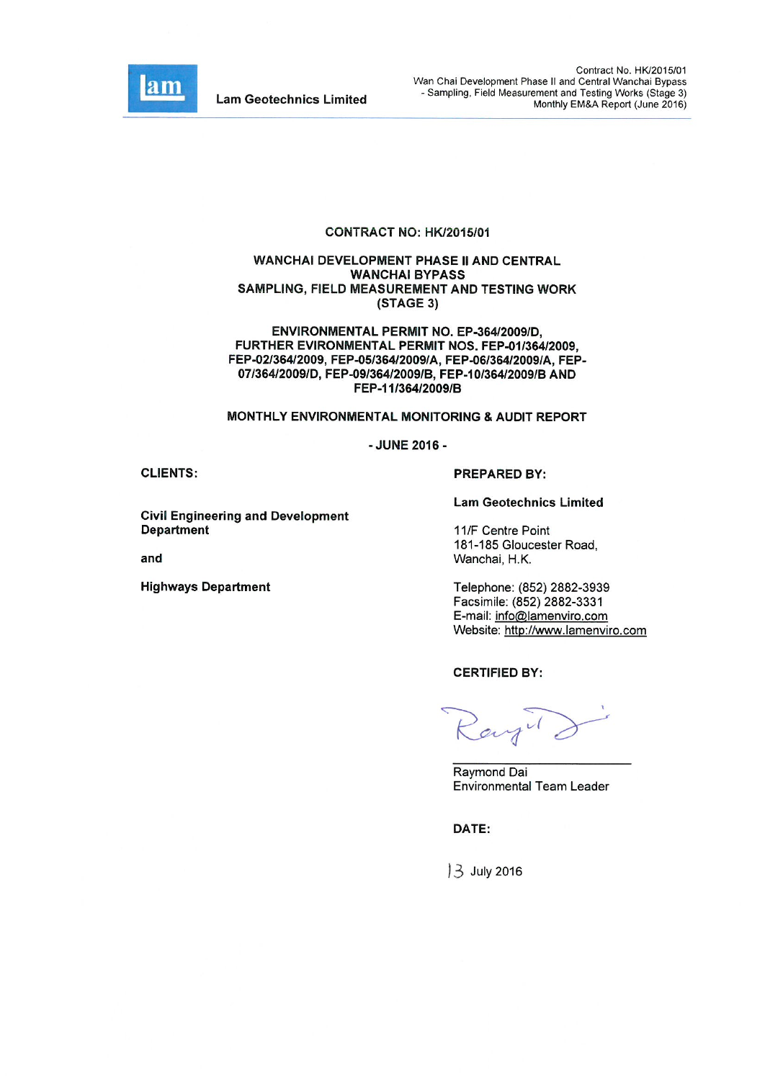

**Lam Geotechnics Limited** 

#### CONTRACT NO: HK/2015/01

#### **WANCHAI DEVELOPMENT PHASE II AND CENTRAL WANCHAI BYPASS** SAMPLING, FIELD MEASUREMENT AND TESTING WORK (STAGE 3)

ENVIRONMENTAL PERMIT NO. EP-364/2009/D. FURTHER EVIRONMENTAL PERMIT NOS, FEP-01/364/2009. FEP-02/364/2009, FEP-05/364/2009/A, FEP-06/364/2009/A, FEP-07/364/2009/D, FEP-09/364/2009/B, FEP-10/364/2009/B AND FEP-11/364/2009/B

#### MONTHLY ENVIRONMENTAL MONITORING & AUDIT REPORT

- JUNE 2016 -

**CLIENTS:** 

**Civil Engineering and Development Department** 

and

**Highways Department** 

#### **PREPARED BY:**

**Lam Geotechnics Limited** 

11/F Centre Point 181-185 Gloucester Road, Wanchai, H.K.

Telephone: (852) 2882-3939 Facsimile: (852) 2882-3331 E-mail: info@lamenviro.com Website: http://www.lamenviro.com

**CERTIFIED BY:** 

Ray" d

Raymond Dai **Environmental Team Leader** 

DATE:

13 July 2016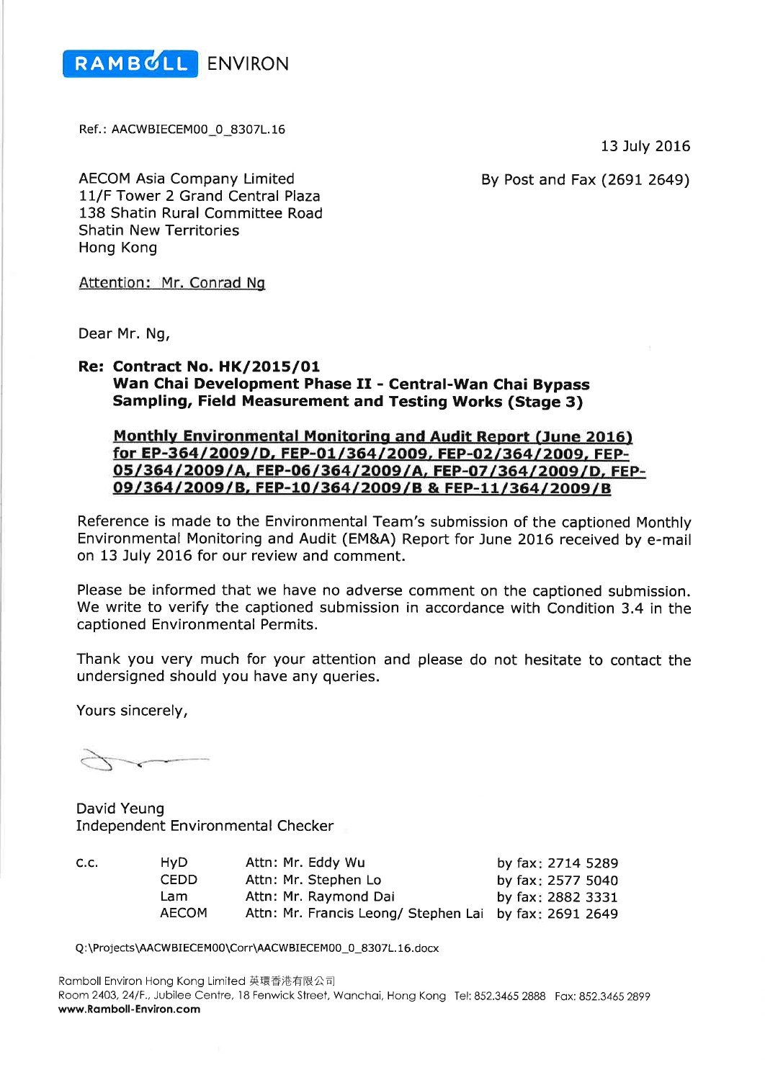

Ref.: AACWBIECEM00\_0\_8307L.16

13 July 2016

By Post and Fax (2691 2649)

**AECOM Asia Company Limited** 11/F Tower 2 Grand Central Plaza 138 Shatin Rural Committee Road **Shatin New Territories** Hong Kong

Attention: Mr. Conrad Ng

Dear Mr. Ng,

#### **Re: Contract No. HK/2015/01** Wan Chai Development Phase II - Central-Wan Chai Bypass **Sampling, Field Measurement and Testing Works (Stage 3)**

# **Monthly Environmental Monitoring and Audit Report (June 2016)** for EP-364/2009/D, FEP-01/364/2009, FEP-02/364/2009, FEP-05/364/2009/A, FEP-06/364/2009/A, FEP-07/364/2009/D, FEP-09/364/2009/B, FEP-10/364/2009/B & FEP-11/364/2009/B

Reference is made to the Environmental Team's submission of the captioned Monthly Environmental Monitoring and Audit (EM&A) Report for June 2016 received by e-mail on 13 July 2016 for our review and comment.

Please be informed that we have no adverse comment on the captioned submission. We write to verify the captioned submission in accordance with Condition 3.4 in the captioned Environmental Permits.

Thank you very much for your attention and please do not hesitate to contact the undersigned should you have any queries.

Yours sincerely,

David Yeung **Independent Environmental Checker** 

| C.C. | HvD.         | Attn: Mr. Eddy Wu                                      | by fax: 2714 5289 |
|------|--------------|--------------------------------------------------------|-------------------|
|      | CEDD.        | Attn: Mr. Stephen Lo                                   | by fax: 2577 5040 |
|      | Lam          | Attn: Mr. Raymond Dai                                  | by fax: 2882 3331 |
|      | <b>AECOM</b> | Attn: Mr. Francis Leong/ Stephen Lai by fax: 2691 2649 |                   |

Q:\Projects\AACWBIECEM00\Corr\AACWBIECEM00\_0\_8307L.16.docx

Ramboll Environ Hong Kong Limited 英環香港有限公司 Room 2403, 24/F., Jubilee Centre, 18 Fenwick Street, Wanchai, Hong Kong Tel: 852.3465 2888 Fax: 852.3465 2899 www.Ramboll-Environ.com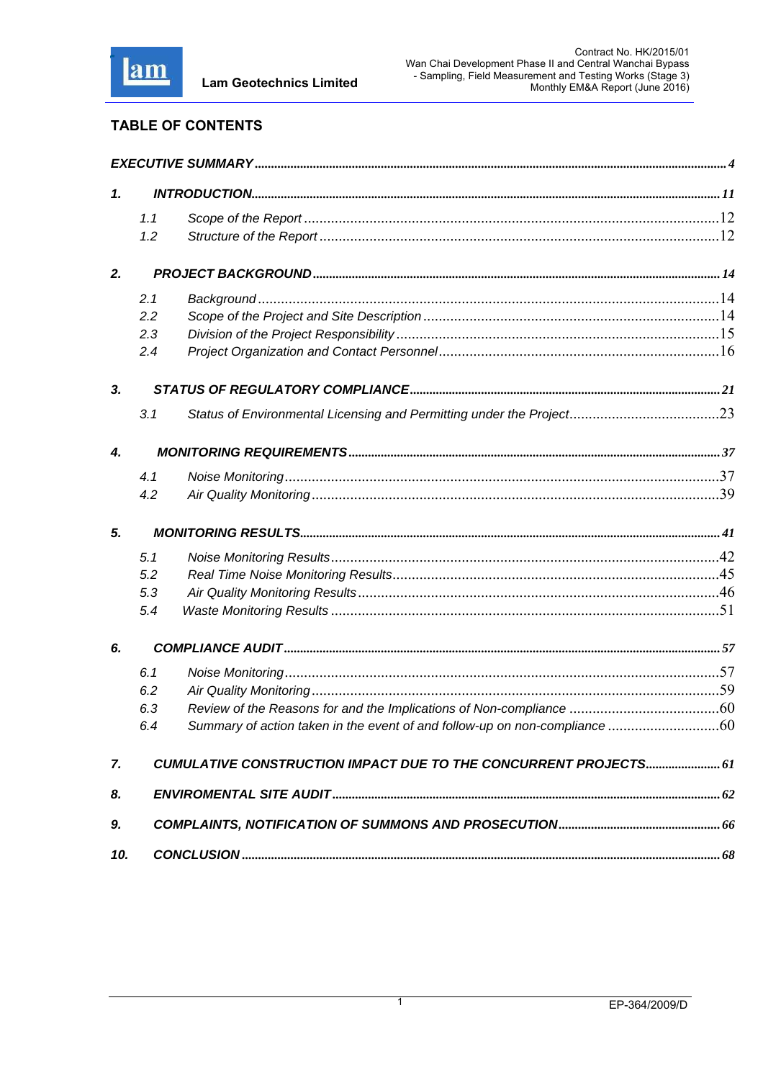

# **TABLE OF CONTENTS**

| 1.  |     |                                                                            |  |
|-----|-----|----------------------------------------------------------------------------|--|
|     | 1.1 |                                                                            |  |
|     | 1.2 |                                                                            |  |
| 2.  |     |                                                                            |  |
|     | 2.1 |                                                                            |  |
|     | 2.2 |                                                                            |  |
|     | 2.3 |                                                                            |  |
|     | 2.4 |                                                                            |  |
| 3.  |     |                                                                            |  |
|     | 3.1 |                                                                            |  |
| 4.  |     |                                                                            |  |
|     | 4.1 |                                                                            |  |
|     | 4.2 |                                                                            |  |
| 5.  |     |                                                                            |  |
|     | 5.1 |                                                                            |  |
|     | 5.2 |                                                                            |  |
|     | 5.3 |                                                                            |  |
|     | 5.4 |                                                                            |  |
| 6.  |     |                                                                            |  |
|     | 6.1 |                                                                            |  |
|     | 6.2 |                                                                            |  |
|     | 6.3 |                                                                            |  |
|     | 64  | Summary of action taken in the event of and follow-up on non-compliance 60 |  |
| 7.  |     | CUMULATIVE CONSTRUCTION IMPACT DUE TO THE CONCURRENT PROJECTS 61           |  |
| 8.  |     |                                                                            |  |
| 9.  |     |                                                                            |  |
| 10. |     |                                                                            |  |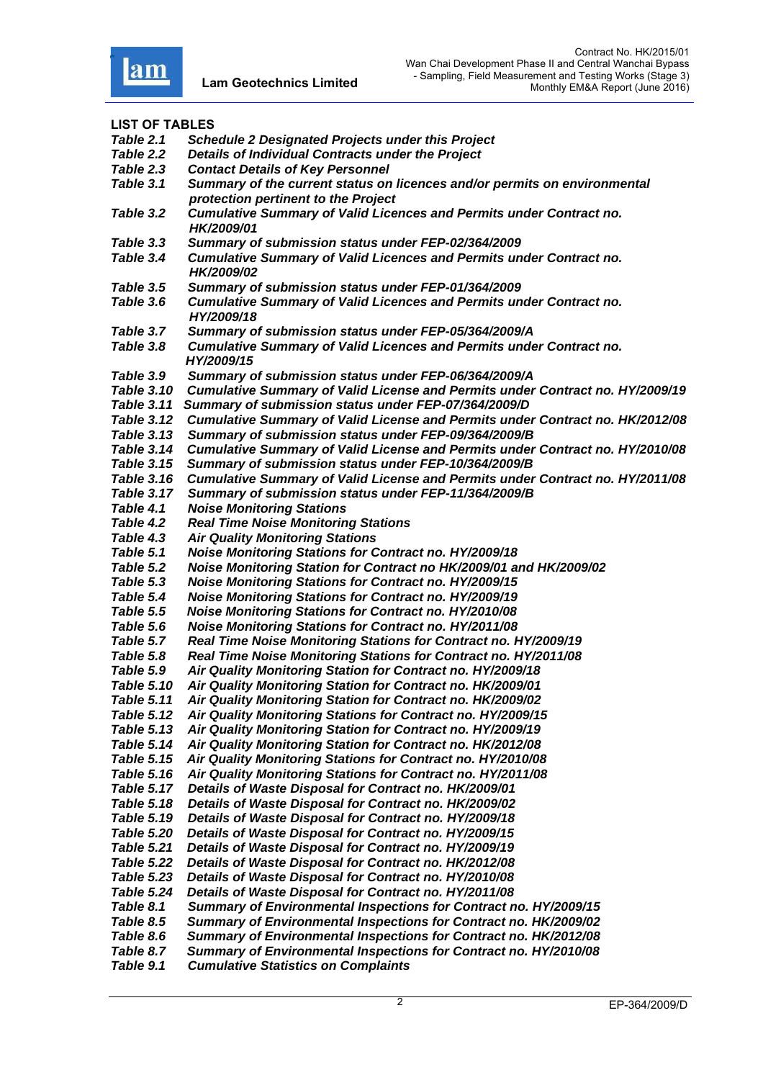

**LIST OF TABLES**  *Table 2.1 Schedule 2 Designated Projects under this Project Table 2.2 Details of Individual Contracts under the Project Table 2.3 Contact Details of Key Personnel Table 3.1 Summary of the current status on licences and/or permits on environmental protection pertinent to the Project Table 3.2 Cumulative Summary of Valid Licences and Permits under Contract no. HK/2009/01 Table 3.3 Summary of submission status under FEP-02/364/2009 Table 3.4 Cumulative Summary of Valid Licences and Permits under Contract no. HK/2009/02*<br>Table 3.5 *Summary o Table 3.5 Summary of submission status under FEP-01/364/2009 Table 3.6 Cumulative Summary of Valid Licences and Permits under Contract no. HY/2009/18 Table 3.7 Summary of submission status under FEP-05/364/2009/A Table 3.8 Cumulative Summary of Valid Licences and Permits under Contract no. HY/2009/15 Table 3.9 Summary of submission status under FEP-06/364/2009/A Table 3.10 Cumulative Summary of Valid License and Permits under Contract no. HY/2009/19 Table 3.11 Summary of submission status under FEP-07/364/2009/D Table 3.12 Cumulative Summary of Valid License and Permits under Contract no. HK/2012/08 Table 3.13 Summary of submission status under FEP-09/364/2009/B Table 3.14 Cumulative Summary of Valid License and Permits under Contract no. HY/2010/08 Table 3.15 Summary of submission status under FEP-10/364/2009/B Table 3.16 Cumulative Summary of Valid License and Permits under Contract no. HY/2011/08 Table 3.17 Summary of submission status under FEP-11/364/2009/B Table 4.1 Noise Monitoring Stations Table 4.2 Real Time Noise Monitoring Stations Table 4.3 Air Quality Monitoring Stations Table 5.1 Noise Monitoring Stations for Contract no. HY/2009/18 Table 5.2 Noise Monitoring Station for Contract no HK/2009/01 and HK/2009/02* **Noise Monitoring Stations for Contract no. HY/2009/15** *Table 5.4 Noise Monitoring Stations for Contract no. HY/2009/19 Table 5.5 Noise Monitoring Stations for Contract no. HY/2010/08 Table 5.6 Noise Monitoring Stations for Contract no. HY/2011/08 Table 5.7 Real Time Noise Monitoring Stations for Contract no. HY/2009/19 Table 5.8 Real Time Noise Monitoring Stations for Contract no. HY/2011/08 Table 5.9 Air Quality Monitoring Station for Contract no. HY/2009/18 Table 5.10 Air Quality Monitoring Station for Contract no. HK/2009/01 Table 5.11 Air Quality Monitoring Station for Contract no. HK/2009/02 Table 5.12 Air Quality Monitoring Stations for Contract no. HY/2009/15 Table 5.13 Air Quality Monitoring Station for Contract no. HY/2009/19 Table 5.14 Air Quality Monitoring Station for Contract no. HK/2012/08 Table 5.15 Air Quality Monitoring Stations for Contract no. HY/2010/08 Table 5.16 Air Quality Monitoring Stations for Contract no. HY/2011/08 Table 5.17 Details of Waste Disposal for Contract no. HK/2009/01 Table 5.18 Details of Waste Disposal for Contract no. HK/2009/02 Table 5.19 Details of Waste Disposal for Contract no. HY/2009/18 Table 5.20 Details of Waste Disposal for Contract no. HY/2009/15 Table 5.21 Details of Waste Disposal for Contract no. HY/2009/19 Table 5.22 Details of Waste Disposal for Contract no. HK/2012/08 Table 5.23 Details of Waste Disposal for Contract no. HY/2010/08 Table 5.24 Details of Waste Disposal for Contract no. HY/2011/08 Table 8.1 Summary of Environmental Inspections for Contract no. HY/2009/15 Table 8.5 Summary of Environmental Inspections for Contract no. HK/2009/02 Table 8.6 Summary of Environmental Inspections for Contract no. HK/2012/08 Table 8.7 Summary of Environmental Inspections for Contract no. HY/2010/08 Table 9.1 Cumulative Statistics on Complaints*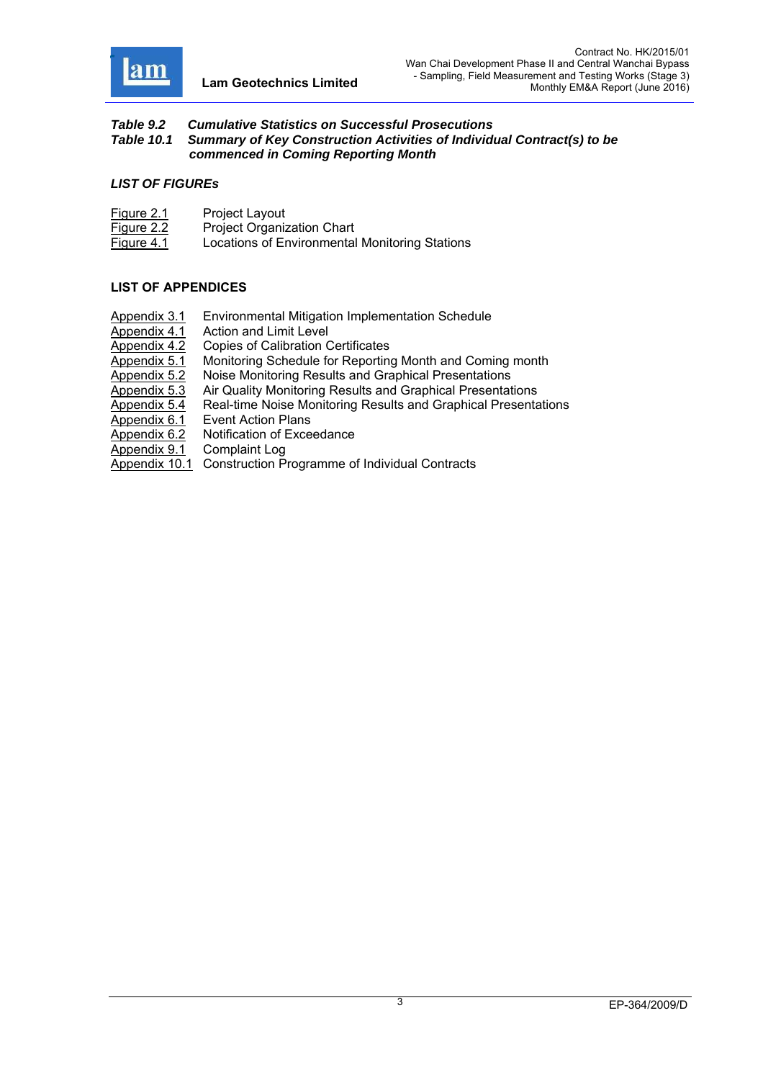

#### *Table 9.2 Cumulative Statistics on Successful Prosecutions Table 10.1 Summary of Key Construction Activities of Individual Contract(s) to be commenced in Coming Reporting Month*

#### *LIST OF FIGUREs*

| <b>Figure 2.1</b> | Project Layout                                 |
|-------------------|------------------------------------------------|
| <u>Figure 2.2</u> | <b>Project Organization Chart</b>              |
| Figure 4.1        | Locations of Environmental Monitoring Stations |

#### **LIST OF APPENDICES**

- Appendix 3.1 Environmental Mitigation Implementation Schedule
- 
- Appendix 4.1 Action and Limit Level<br>Appendix 4.2 Copies of Calibration C
- Appendix 4.2 Copies of Calibration Certificates<br>Appendix 5.1 Monitoring Schedule for Reporting Monitoring Schedule for Reporting Month and Coming month
- Appendix 5.2 Noise Monitoring Results and Graphical Presentations
- Appendix 5.3 Air Quality Monitoring Results and Graphical Presentations
- Appendix 5.4 Real-time Noise Monitoring Results and Graphical Presentations
- Appendix 6.1 Event Action Plans
- Appendix 6.2 Notification of Exceedance
- Appendix 9.1 Complaint Log
- Appendix 10.1 Construction Programme of Individual Contracts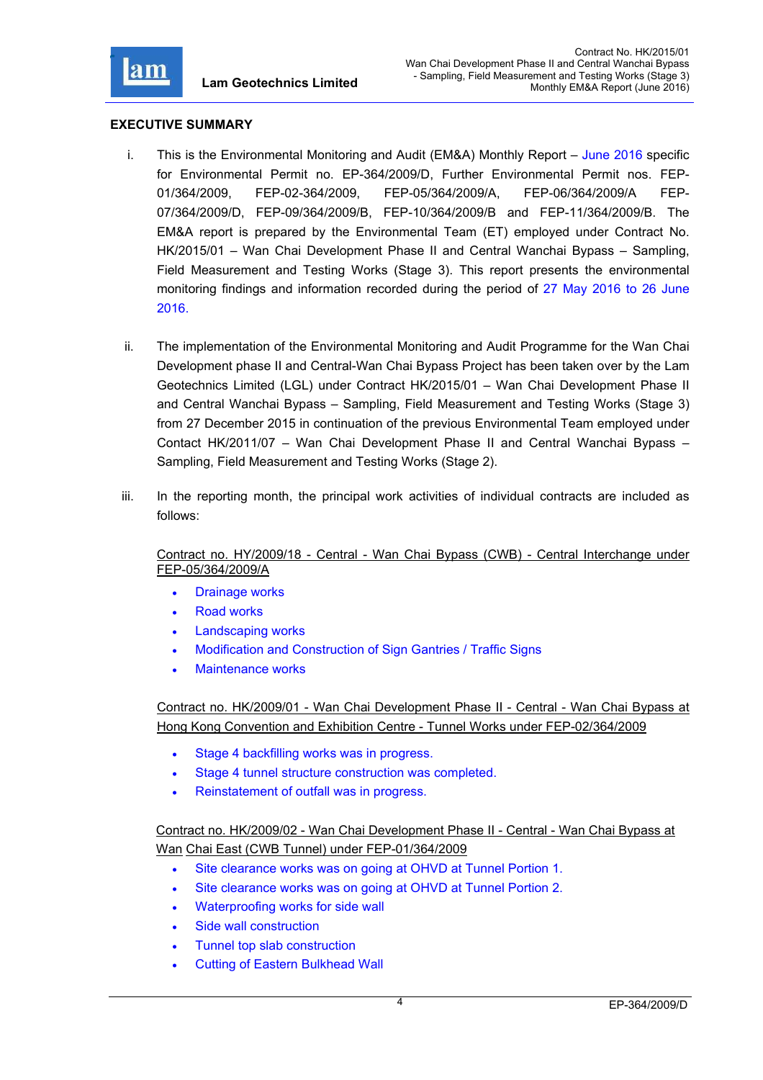

#### **EXECUTIVE SUMMARY**

- i. This is the Environmental Monitoring and Audit (EM&A) Monthly Report June 2016 specific for Environmental Permit no. EP-364/2009/D, Further Environmental Permit nos. FEP-01/364/2009, FEP-02-364/2009, FEP-05/364/2009/A, FEP-06/364/2009/A FEP-07/364/2009/D, FEP-09/364/2009/B, FEP-10/364/2009/B and FEP-11/364/2009/B. The EM&A report is prepared by the Environmental Team (ET) employed under Contract No. HK/2015/01 – Wan Chai Development Phase II and Central Wanchai Bypass – Sampling, Field Measurement and Testing Works (Stage 3). This report presents the environmental monitoring findings and information recorded during the period of 27 May 2016 to 26 June 2016.
- ii. The implementation of the Environmental Monitoring and Audit Programme for the Wan Chai Development phase II and Central-Wan Chai Bypass Project has been taken over by the Lam Geotechnics Limited (LGL) under Contract HK/2015/01 – Wan Chai Development Phase II and Central Wanchai Bypass – Sampling, Field Measurement and Testing Works (Stage 3) from 27 December 2015 in continuation of the previous Environmental Team employed under Contact HK/2011/07 – Wan Chai Development Phase II and Central Wanchai Bypass – Sampling, Field Measurement and Testing Works (Stage 2).
- iii. In the reporting month, the principal work activities of individual contracts are included as follows:

Contract no. HY/2009/18 - Central - Wan Chai Bypass (CWB) - Central Interchange under FEP-05/364/2009/A

- Drainage works
- Road works
- Landscaping works
- Modification and Construction of Sign Gantries / Traffic Signs
- Maintenance works

Contract no. HK/2009/01 - Wan Chai Development Phase II - Central - Wan Chai Bypass at Hong Kong Convention and Exhibition Centre - Tunnel Works under FEP-02/364/2009

- Stage 4 backfilling works was in progress.
- Stage 4 tunnel structure construction was completed.
- Reinstatement of outfall was in progress.

Contract no. HK/2009/02 - Wan Chai Development Phase II - Central - Wan Chai Bypass at Wan Chai East (CWB Tunnel) under FEP-01/364/2009

- Site clearance works was on going at OHVD at Tunnel Portion 1.
- Site clearance works was on going at OHVD at Tunnel Portion 2.
- Waterproofing works for side wall
- Side wall construction
- Tunnel top slab construction
- Cutting of Eastern Bulkhead Wall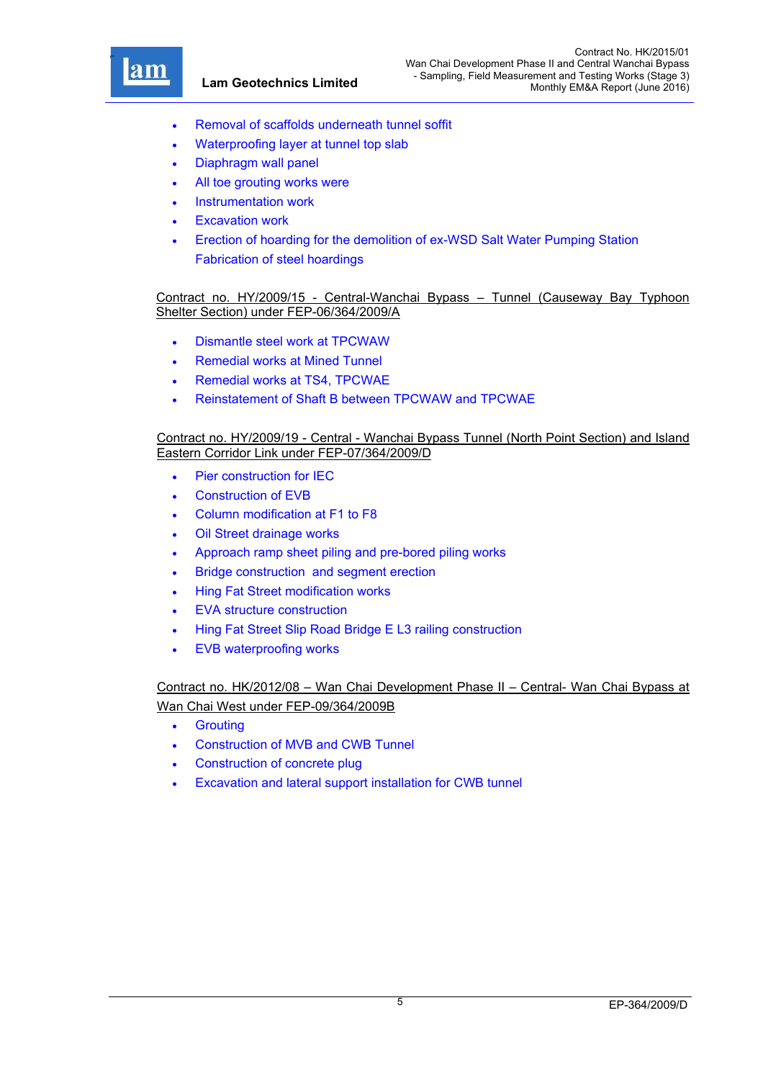

r

- Removal of scaffolds underneath tunnel soffit
- Waterproofing layer at tunnel top slab
- Diaphragm wall panel
- All toe grouting works were
- Instrumentation work
- Excavation work
- Erection of hoarding for the demolition of ex-WSD Salt Water Pumping Station Fabrication of steel hoardings

Contract no. HY/2009/15 - Central-Wanchai Bypass – Tunnel (Causeway Bay Typhoon Shelter Section) under FEP-06/364/2009/A

- Dismantle steel work at TPCWAW
- Remedial works at Mined Tunnel
- Remedial works at TS4, TPCWAE
- Reinstatement of Shaft B between TPCWAW and TPCWAE

#### Contract no. HY/2009/19 - Central - Wanchai Bypass Tunnel (North Point Section) and Island Eastern Corridor Link under FEP-07/364/2009/D

- Pier construction for IEC
- Construction of EVB
- Column modification at F1 to F8
- Oil Street drainage works
- Approach ramp sheet piling and pre-bored piling works
- **•** Bridge construction and segment erection
- Hing Fat Street modification works
- EVA structure construction
- Hing Fat Street Slip Road Bridge E L3 railing construction
- EVB waterproofing works

## Contract no. HK/2012/08 – Wan Chai Development Phase II – Central- Wan Chai Bypass at Wan Chai West under FEP-09/364/2009B

- **•** Grouting
- Construction of MVB and CWB Tunnel
- Construction of concrete plug
- Excavation and lateral support installation for CWB tunnel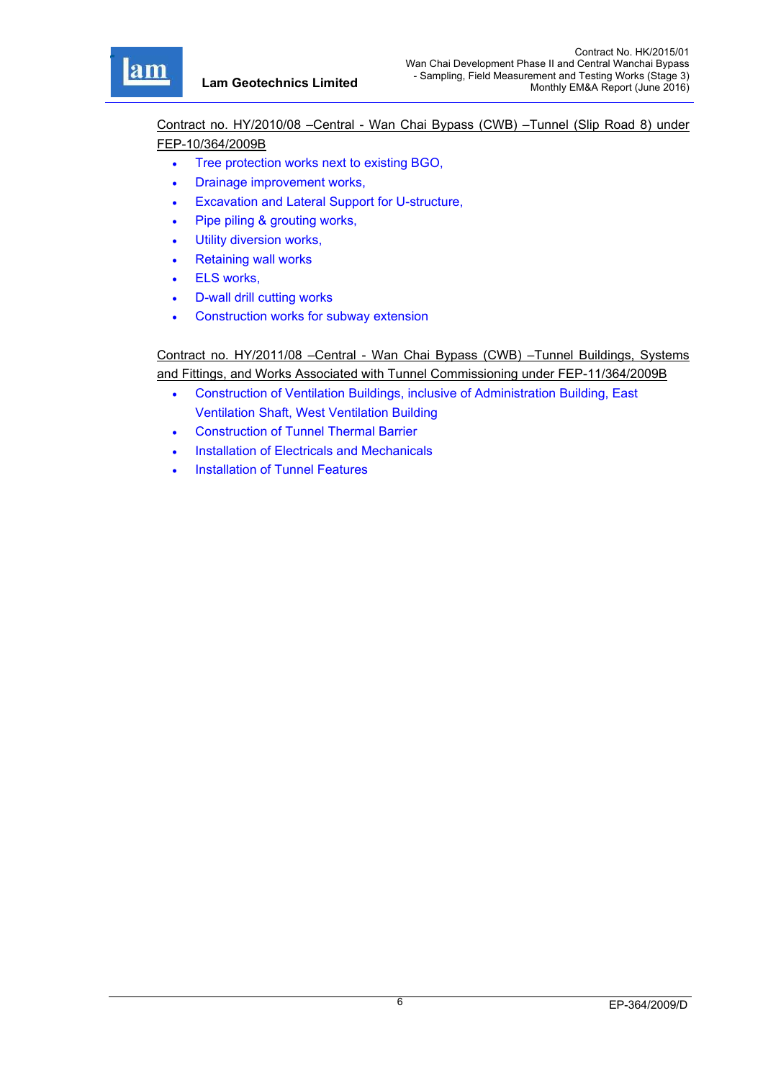

Contract no. HY/2010/08 –Central - Wan Chai Bypass (CWB) –Tunnel (Slip Road 8) under FEP-10/364/2009B

- Tree protection works next to existing BGO,
- Drainage improvement works,
- Excavation and Lateral Support for U-structure,
- Pipe piling & grouting works,
- Utility diversion works,
- Retaining wall works
- ELS works,
- D-wall drill cutting works
- Construction works for subway extension

Contract no. HY/2011/08 –Central - Wan Chai Bypass (CWB) –Tunnel Buildings, Systems and Fittings, and Works Associated with Tunnel Commissioning under FEP-11/364/2009B

- Construction of Ventilation Buildings, inclusive of Administration Building, East Ventilation Shaft, West Ventilation Building
- Construction of Tunnel Thermal Barrier
- Installation of Electricals and Mechanicals
- Installation of Tunnel Features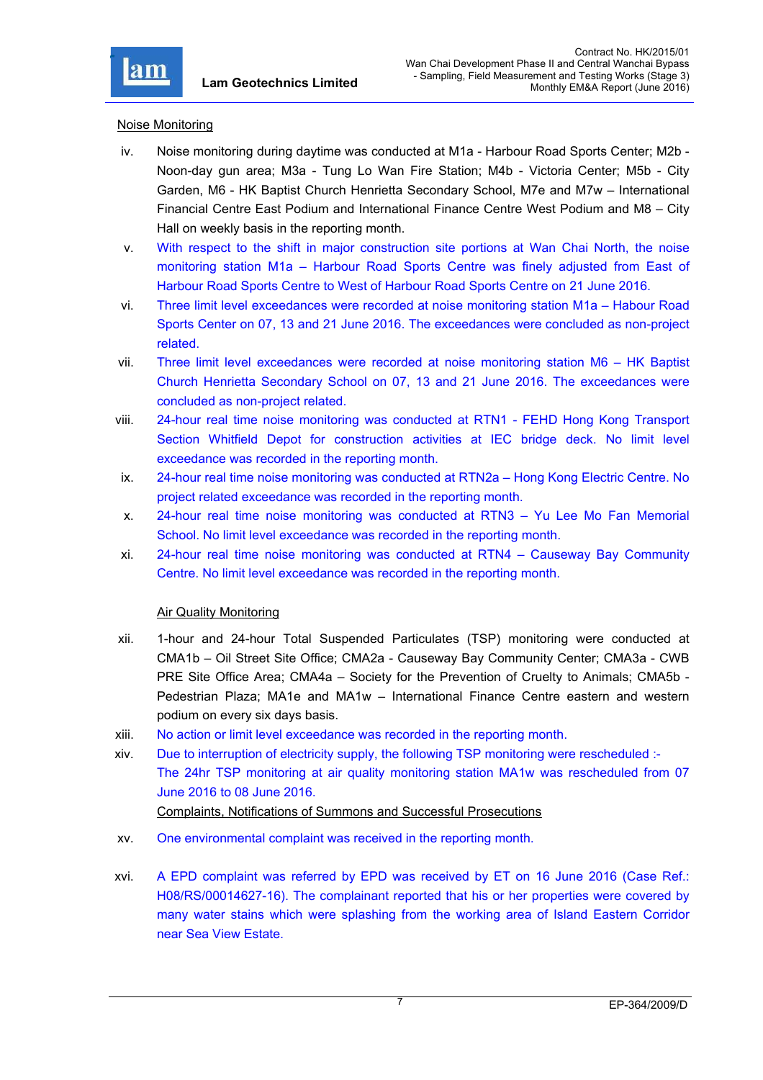

#### Noise Monitoring

- iv. Noise monitoring during daytime was conducted at M1a Harbour Road Sports Center; M2b Noon-day gun area; M3a - Tung Lo Wan Fire Station; M4b - Victoria Center; M5b - City Garden, M6 - HK Baptist Church Henrietta Secondary School, M7e and M7w – International Financial Centre East Podium and International Finance Centre West Podium and M8 – City Hall on weekly basis in the reporting month.
- v. With respect to the shift in major construction site portions at Wan Chai North, the noise monitoring station M1a – Harbour Road Sports Centre was finely adjusted from East of Harbour Road Sports Centre to West of Harbour Road Sports Centre on 21 June 2016.
- vi. Three limit level exceedances were recorded at noise monitoring station M1a Habour Road Sports Center on 07, 13 and 21 June 2016. The exceedances were concluded as non-project related.
- vii. Three limit level exceedances were recorded at noise monitoring station M6 HK Baptist Church Henrietta Secondary School on 07, 13 and 21 June 2016. The exceedances were concluded as non-project related.
- viii. 24-hour real time noise monitoring was conducted at RTN1 FEHD Hong Kong Transport Section Whitfield Depot for construction activities at IEC bridge deck. No limit level exceedance was recorded in the reporting month.
- ix. 24-hour real time noise monitoring was conducted at RTN2a Hong Kong Electric Centre. No project related exceedance was recorded in the reporting month.
- x. 24-hour real time noise monitoring was conducted at RTN3 Yu Lee Mo Fan Memorial School. No limit level exceedance was recorded in the reporting month.
- xi. 24-hour real time noise monitoring was conducted at RTN4 Causeway Bay Community Centre. No limit level exceedance was recorded in the reporting month.

#### Air Quality Monitoring

- xii. 1-hour and 24-hour Total Suspended Particulates (TSP) monitoring were conducted at CMA1b – Oil Street Site Office; CMA2a - Causeway Bay Community Center; CMA3a - CWB PRE Site Office Area; CMA4a – Society for the Prevention of Cruelty to Animals; CMA5b - Pedestrian Plaza; MA1e and MA1w – International Finance Centre eastern and western podium on every six days basis.
- xiii. No action or limit level exceedance was recorded in the reporting month.
- xiv. Due to interruption of electricity supply, the following TSP monitoring were rescheduled :- The 24hr TSP monitoring at air quality monitoring station MA1w was rescheduled from 07 June 2016 to 08 June 2016. Complaints, Notifications of Summons and Successful Prosecutions
- xv. One environmental complaint was received in the reporting month.
- xvi. A EPD complaint was referred by EPD was received by ET on 16 June 2016 (Case Ref.: H08/RS/00014627-16). The complainant reported that his or her properties were covered by many water stains which were splashing from the working area of Island Eastern Corridor near Sea View Estate.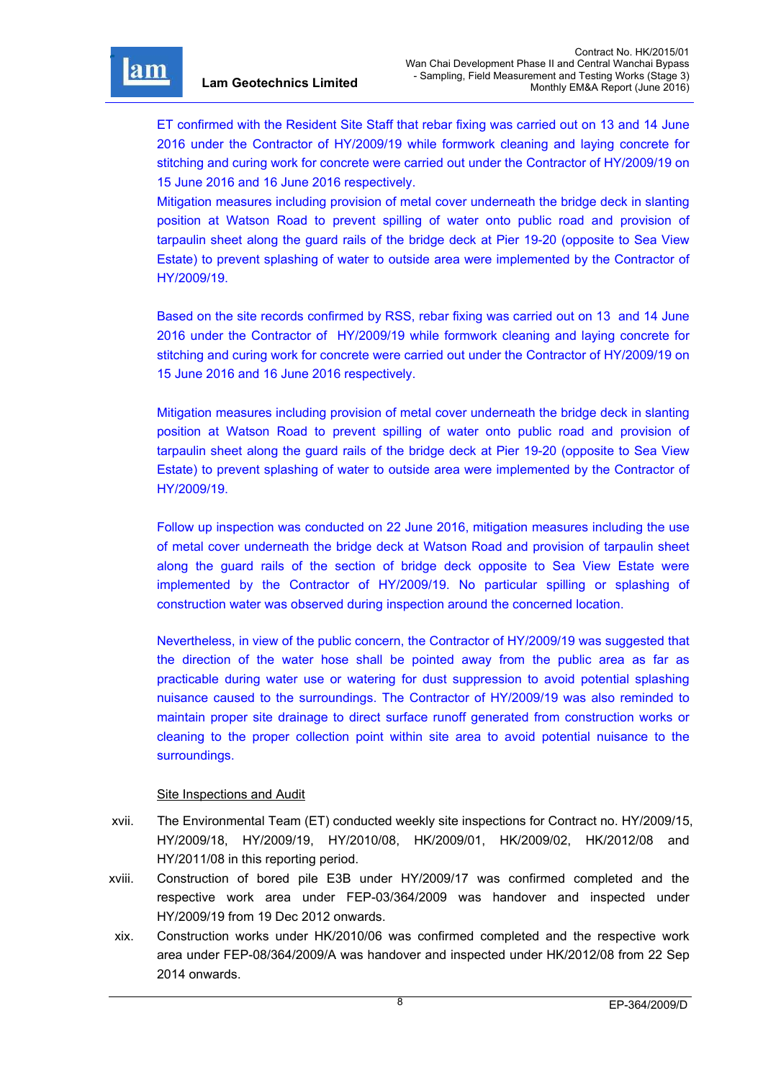r

ET confirmed with the Resident Site Staff that rebar fixing was carried out on 13 and 14 June 2016 under the Contractor of HY/2009/19 while formwork cleaning and laying concrete for stitching and curing work for concrete were carried out under the Contractor of HY/2009/19 on 15 June 2016 and 16 June 2016 respectively.

Mitigation measures including provision of metal cover underneath the bridge deck in slanting position at Watson Road to prevent spilling of water onto public road and provision of tarpaulin sheet along the guard rails of the bridge deck at Pier 19-20 (opposite to Sea View Estate) to prevent splashing of water to outside area were implemented by the Contractor of HY/2009/19.

Based on the site records confirmed by RSS, rebar fixing was carried out on 13 and 14 June 2016 under the Contractor of HY/2009/19 while formwork cleaning and laying concrete for stitching and curing work for concrete were carried out under the Contractor of HY/2009/19 on 15 June 2016 and 16 June 2016 respectively.

Mitigation measures including provision of metal cover underneath the bridge deck in slanting position at Watson Road to prevent spilling of water onto public road and provision of tarpaulin sheet along the guard rails of the bridge deck at Pier 19-20 (opposite to Sea View Estate) to prevent splashing of water to outside area were implemented by the Contractor of HY/2009/19.

Follow up inspection was conducted on 22 June 2016, mitigation measures including the use of metal cover underneath the bridge deck at Watson Road and provision of tarpaulin sheet along the guard rails of the section of bridge deck opposite to Sea View Estate were implemented by the Contractor of HY/2009/19. No particular spilling or splashing of construction water was observed during inspection around the concerned location.

Nevertheless, in view of the public concern, the Contractor of HY/2009/19 was suggested that the direction of the water hose shall be pointed away from the public area as far as practicable during water use or watering for dust suppression to avoid potential splashing nuisance caused to the surroundings. The Contractor of HY/2009/19 was also reminded to maintain proper site drainage to direct surface runoff generated from construction works or cleaning to the proper collection point within site area to avoid potential nuisance to the surroundings.

#### Site Inspections and Audit

- xvii. The Environmental Team (ET) conducted weekly site inspections for Contract no. HY/2009/15, HY/2009/18, HY/2009/19, HY/2010/08, HK/2009/01, HK/2009/02, HK/2012/08 and HY/2011/08 in this reporting period.
- xviii. Construction of bored pile E3B under HY/2009/17 was confirmed completed and the respective work area under FEP-03/364/2009 was handover and inspected under HY/2009/19 from 19 Dec 2012 onwards.
- xix. Construction works under HK/2010/06 was confirmed completed and the respective work area under FEP-08/364/2009/A was handover and inspected under HK/2012/08 from 22 Sep 2014 onwards.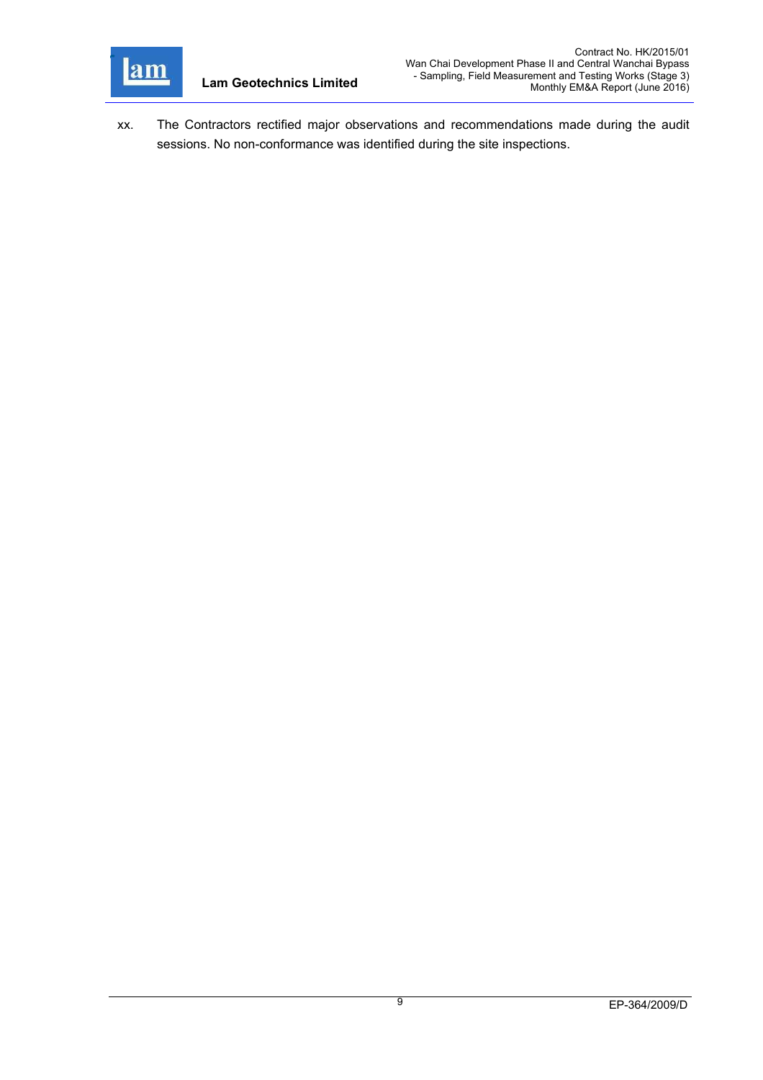

xx. The Contractors rectified major observations and recommendations made during the audit sessions. No non-conformance was identified during the site inspections.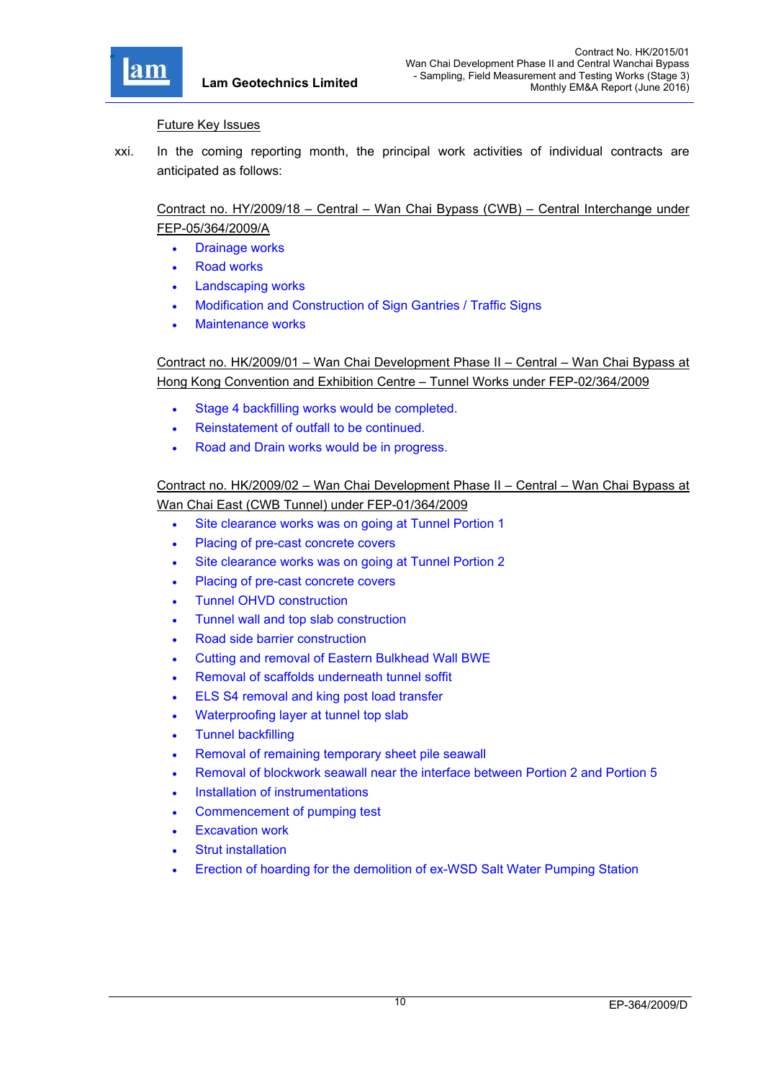

#### Future Key Issues

xxi. In the coming reporting month, the principal work activities of individual contracts are anticipated as follows:

# Contract no. HY/2009/18 – Central – Wan Chai Bypass (CWB) – Central Interchange under FEP-05/364/2009/A

- Drainage works
- Road works
- Landscaping works
- Modification and Construction of Sign Gantries / Traffic Signs
- Maintenance works

Contract no. HK/2009/01 – Wan Chai Development Phase II – Central – Wan Chai Bypass at Hong Kong Convention and Exhibition Centre – Tunnel Works under FEP-02/364/2009

- Stage 4 backfilling works would be completed.
- Reinstatement of outfall to be continued.
- Road and Drain works would be in progress.

# Contract no. HK/2009/02 – Wan Chai Development Phase II – Central – Wan Chai Bypass at Wan Chai East (CWB Tunnel) under FEP-01/364/2009

- Site clearance works was on going at Tunnel Portion 1
- Placing of pre-cast concrete covers
- Site clearance works was on going at Tunnel Portion 2
- Placing of pre-cast concrete covers
- Tunnel OHVD construction
- Tunnel wall and top slab construction
- Road side barrier construction
- Cutting and removal of Eastern Bulkhead Wall BWE
- Removal of scaffolds underneath tunnel soffit
- ELS S4 removal and king post load transfer
- Waterproofing layer at tunnel top slab
- Tunnel backfilling
- Removal of remaining temporary sheet pile seawall
- Removal of blockwork seawall near the interface between Portion 2 and Portion 5
- Installation of instrumentations
- Commencement of pumping test
- Excavation work
- Strut installation
- Erection of hoarding for the demolition of ex-WSD Salt Water Pumping Station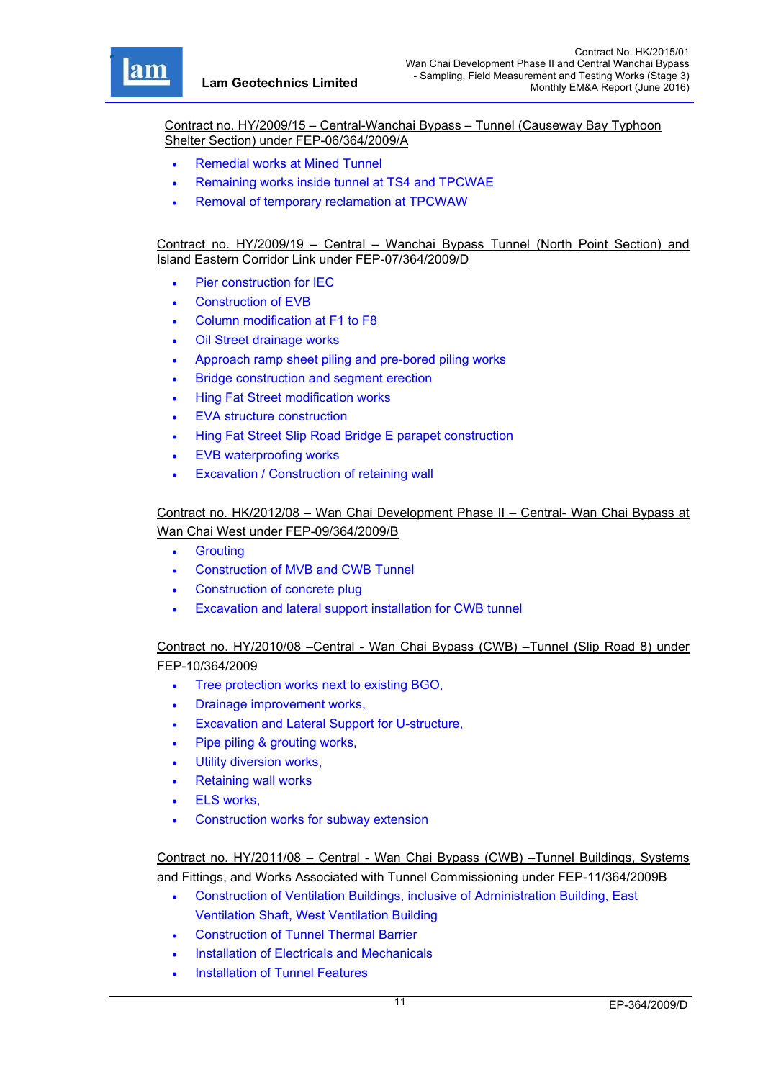r

Contract no. HY/2009/15 – Central-Wanchai Bypass – Tunnel (Causeway Bay Typhoon Shelter Section) under FEP-06/364/2009/A

- Remedial works at Mined Tunnel
- Remaining works inside tunnel at TS4 and TPCWAE
- Removal of temporary reclamation at TPCWAW

Contract no. HY/2009/19 – Central – Wanchai Bypass Tunnel (North Point Section) and Island Eastern Corridor Link under FEP-07/364/2009/D

- Pier construction for IEC
- Construction of EVB
- Column modification at F1 to F8
- Oil Street drainage works
- Approach ramp sheet piling and pre-bored piling works
- Bridge construction and segment erection
- Hing Fat Street modification works
- EVA structure construction
- Hing Fat Street Slip Road Bridge E parapet construction
- EVB waterproofing works
- Excavation / Construction of retaining wall

# Contract no. HK/2012/08 – Wan Chai Development Phase II – Central- Wan Chai Bypass at Wan Chai West under FEP-09/364/2009/B

- **•** Grouting
- Construction of MVB and CWB Tunnel
- Construction of concrete plug
- Excavation and lateral support installation for CWB tunnel

## Contract no. HY/2010/08 –Central - Wan Chai Bypass (CWB) –Tunnel (Slip Road 8) under FEP-10/364/2009

- Tree protection works next to existing BGO,
- Drainage improvement works,
- Excavation and Lateral Support for U-structure,
- Pipe piling & grouting works,
- Utility diversion works,
- Retaining wall works
- ELS works,
- Construction works for subway extension

## Contract no. HY/2011/08 – Central - Wan Chai Bypass (CWB) –Tunnel Buildings, Systems and Fittings, and Works Associated with Tunnel Commissioning under FEP-11/364/2009B

- Construction of Ventilation Buildings, inclusive of Administration Building, East Ventilation Shaft, West Ventilation Building
- Construction of Tunnel Thermal Barrier
- Installation of Electricals and Mechanicals
- Installation of Tunnel Features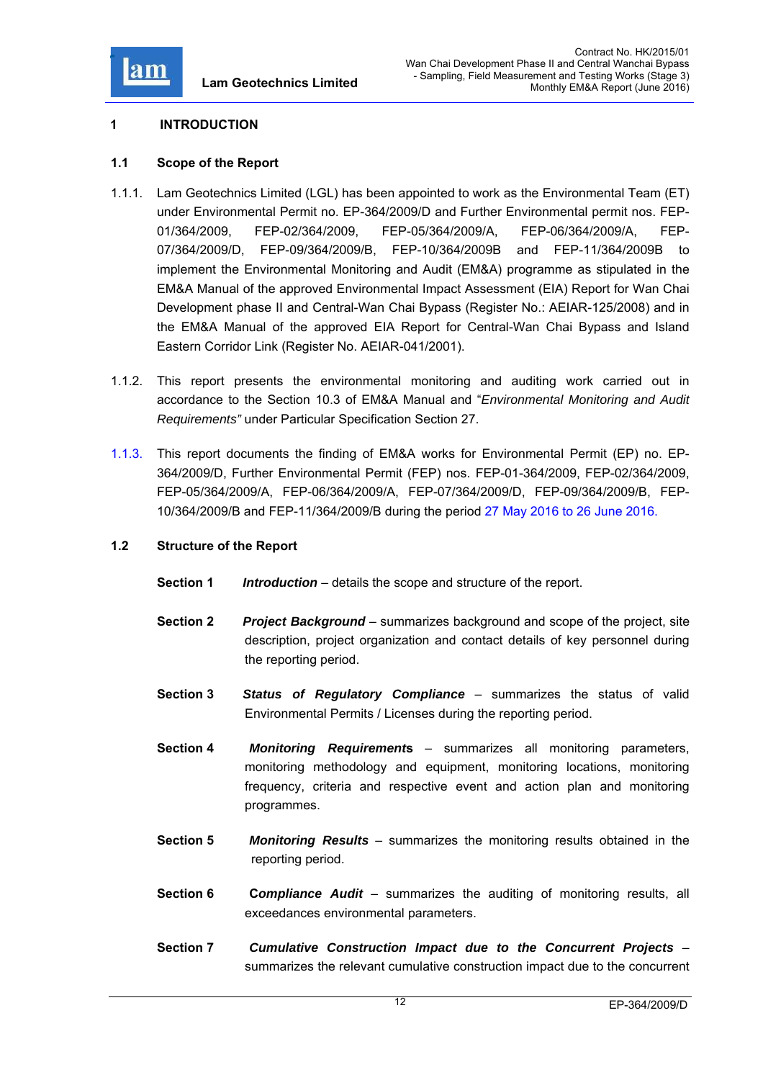

## **1 INTRODUCTION**

### **1.1 Scope of the Report**

- 1.1.1. Lam Geotechnics Limited (LGL) has been appointed to work as the Environmental Team (ET) under Environmental Permit no. EP-364/2009/D and Further Environmental permit nos. FEP-01/364/2009, FEP-02/364/2009, FEP-05/364/2009/A, FEP-06/364/2009/A, FEP-07/364/2009/D, FEP-09/364/2009/B, FEP-10/364/2009B and FEP-11/364/2009B to implement the Environmental Monitoring and Audit (EM&A) programme as stipulated in the EM&A Manual of the approved Environmental Impact Assessment (EIA) Report for Wan Chai Development phase II and Central-Wan Chai Bypass (Register No.: AEIAR-125/2008) and in the EM&A Manual of the approved EIA Report for Central-Wan Chai Bypass and Island Eastern Corridor Link (Register No. AEIAR-041/2001).
- 1.1.2. This report presents the environmental monitoring and auditing work carried out in accordance to the Section 10.3 of EM&A Manual and "*Environmental Monitoring and Audit Requirements"* under Particular Specification Section 27.
- 1.1.3. This report documents the finding of EM&A works for Environmental Permit (EP) no. EP-364/2009/D, Further Environmental Permit (FEP) nos. FEP-01-364/2009, FEP-02/364/2009, FEP-05/364/2009/A, FEP-06/364/2009/A, FEP-07/364/2009/D, FEP-09/364/2009/B, FEP-10/364/2009/B and FEP-11/364/2009/B during the period 27 May 2016 to 26 June 2016.

#### **1.2 Structure of the Report**

- **Section 1** *Introduction* details the scope and structure of the report.
- **Section 2** *Project Background* summarizes background and scope of the project, site description, project organization and contact details of key personnel during the reporting period.
- **Section 3** *Status of Regulatory Compliance* summarizes the status of valid Environmental Permits / Licenses during the reporting period.
- **Section 4** *Monitoring Requirement***s** summarizes all monitoring parameters, monitoring methodology and equipment, monitoring locations, monitoring frequency, criteria and respective event and action plan and monitoring programmes.
- **Section 5** *Monitoring Results* summarizes the monitoring results obtained in the reporting period.
- **Section 6 C***ompliance Audit* summarizes the auditing of monitoring results, all exceedances environmental parameters.
- **Section 7** *Cumulative Construction Impact due to the Concurrent Projects*  summarizes the relevant cumulative construction impact due to the concurrent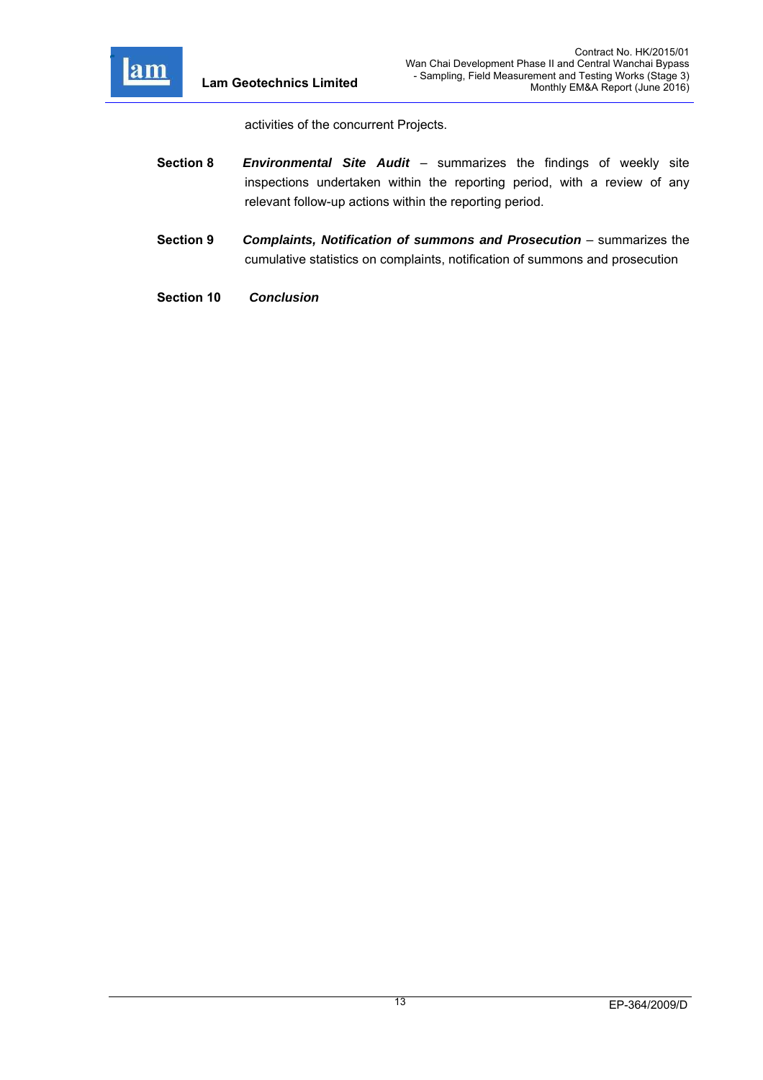

activities of the concurrent Projects.

- **Section 8** *Environmental Site Audit*  summarizes the findings of weekly site inspections undertaken within the reporting period, with a review of any relevant follow-up actions within the reporting period.
- **Section 9** *Complaints, Notification of summons and Prosecution summarizes the* cumulative statistics on complaints, notification of summons and prosecution
- **Section 10** *Conclusion*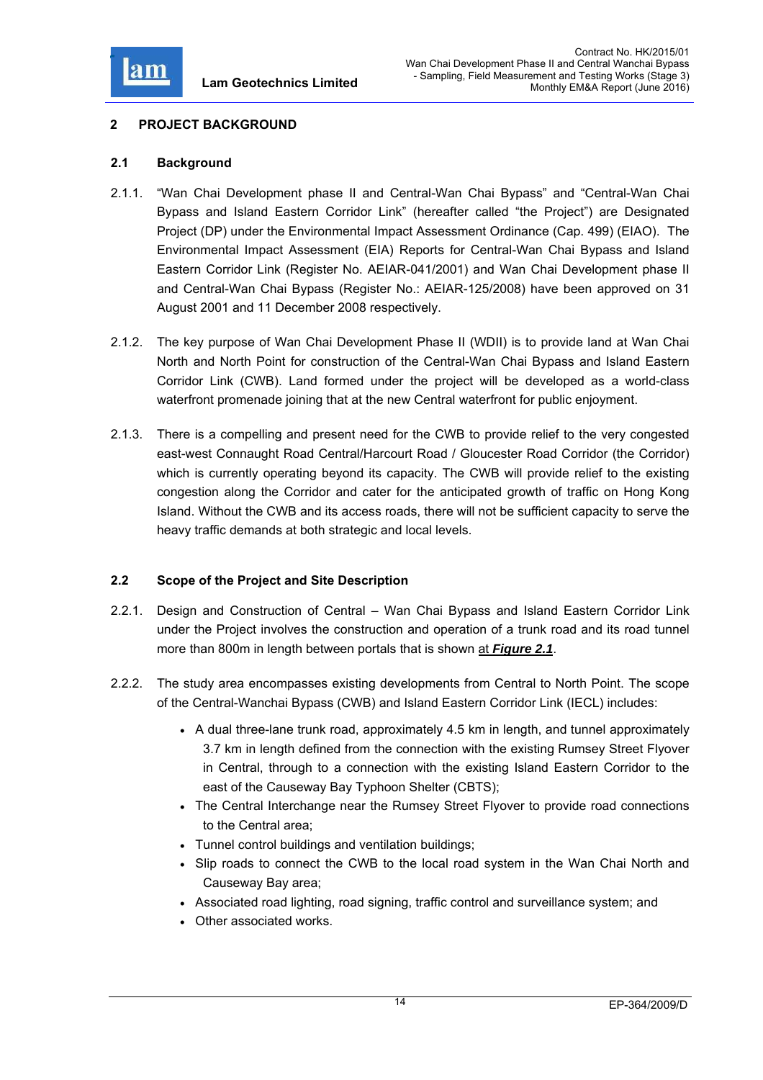

## **2 PROJECT BACKGROUND**

#### **2.1 Background**

- 2.1.1. "Wan Chai Development phase II and Central-Wan Chai Bypass" and "Central-Wan Chai Bypass and Island Eastern Corridor Link" (hereafter called "the Project") are Designated Project (DP) under the Environmental Impact Assessment Ordinance (Cap. 499) (EIAO). The Environmental Impact Assessment (EIA) Reports for Central-Wan Chai Bypass and Island Eastern Corridor Link (Register No. AEIAR-041/2001) and Wan Chai Development phase II and Central-Wan Chai Bypass (Register No.: AEIAR-125/2008) have been approved on 31 August 2001 and 11 December 2008 respectively.
- 2.1.2. The key purpose of Wan Chai Development Phase II (WDII) is to provide land at Wan Chai North and North Point for construction of the Central-Wan Chai Bypass and Island Eastern Corridor Link (CWB). Land formed under the project will be developed as a world-class waterfront promenade joining that at the new Central waterfront for public enjoyment.
- 2.1.3. There is a compelling and present need for the CWB to provide relief to the very congested east-west Connaught Road Central/Harcourt Road / Gloucester Road Corridor (the Corridor) which is currently operating beyond its capacity. The CWB will provide relief to the existing congestion along the Corridor and cater for the anticipated growth of traffic on Hong Kong Island. Without the CWB and its access roads, there will not be sufficient capacity to serve the heavy traffic demands at both strategic and local levels.

## **2.2 Scope of the Project and Site Description**

- 2.2.1. Design and Construction of Central Wan Chai Bypass and Island Eastern Corridor Link under the Project involves the construction and operation of a trunk road and its road tunnel more than 800m in length between portals that is shown at *Figure 2.1*.
- 2.2.2. The study area encompasses existing developments from Central to North Point. The scope of the Central-Wanchai Bypass (CWB) and Island Eastern Corridor Link (IECL) includes:
	- A dual three-lane trunk road, approximately 4.5 km in length, and tunnel approximately 3.7 km in length defined from the connection with the existing Rumsey Street Flyover in Central, through to a connection with the existing Island Eastern Corridor to the east of the Causeway Bay Typhoon Shelter (CBTS);
	- The Central Interchange near the Rumsey Street Flyover to provide road connections to the Central area;
	- Tunnel control buildings and ventilation buildings;
	- Slip roads to connect the CWB to the local road system in the Wan Chai North and Causeway Bay area;
	- Associated road lighting, road signing, traffic control and surveillance system; and
	- Other associated works.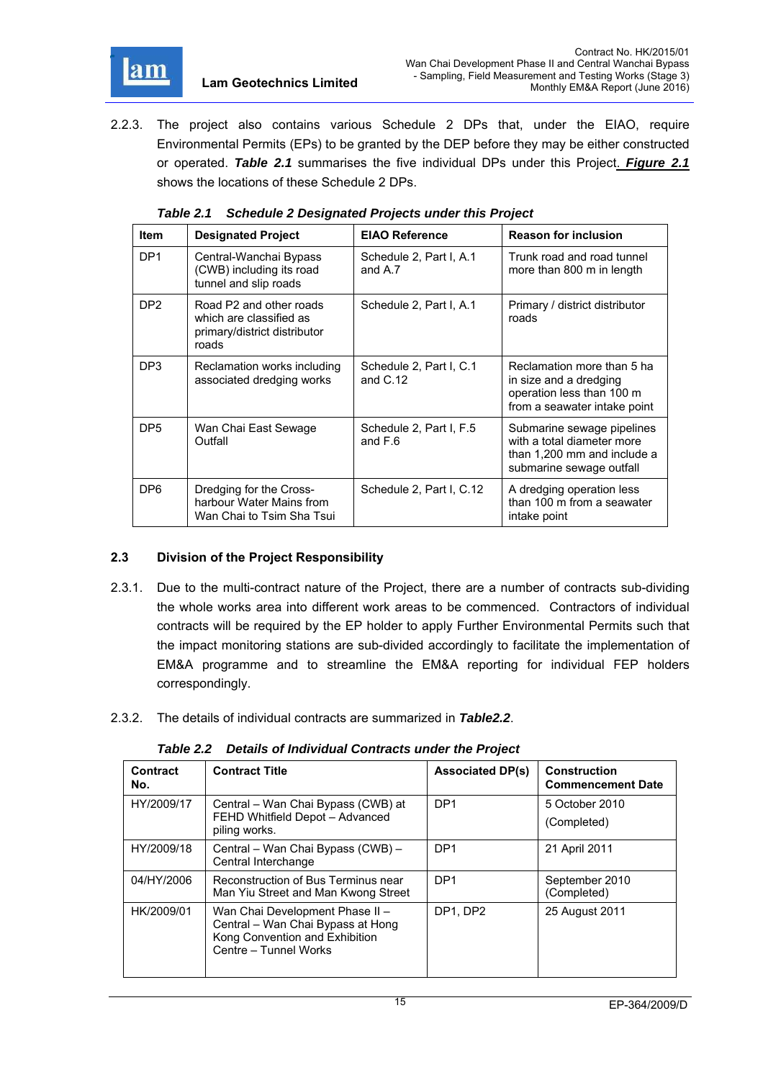

2.2.3. The project also contains various Schedule 2 DPs that, under the EIAO, require Environmental Permits (EPs) to be granted by the DEP before they may be either constructed or operated. *Table 2.1* summarises the five individual DPs under this Project. *Figure 2.1* shows the locations of these Schedule 2 DPs.

| <b>Item</b>     | <b>Designated Project</b>                                                                   | <b>EIAO Reference</b>                 | <b>Reason for inclusion</b>                                                                                         |
|-----------------|---------------------------------------------------------------------------------------------|---------------------------------------|---------------------------------------------------------------------------------------------------------------------|
| DP <sub>1</sub> | Central-Wanchai Bypass<br>(CWB) including its road<br>tunnel and slip roads                 | Schedule 2, Part I, A.1<br>and A.7    | Trunk road and road tunnel<br>more than 800 m in length                                                             |
| DP <sub>2</sub> | Road P2 and other roads<br>which are classified as<br>primary/district distributor<br>roads | Schedule 2, Part I, A.1               | Primary / district distributor<br>roads                                                                             |
| DP3             | Reclamation works including<br>associated dredging works                                    | Schedule 2, Part I, C.1<br>and $C.12$ | Reclamation more than 5 ha<br>in size and a dredging<br>operation less than 100 m<br>from a seawater intake point   |
| DP <sub>5</sub> | Wan Chai East Sewage<br>Outfall                                                             | Schedule 2, Part I, F.5<br>and $F.6$  | Submarine sewage pipelines<br>with a total diameter more<br>than 1,200 mm and include a<br>submarine sewage outfall |
| DP <sub>6</sub> | Dredging for the Cross-<br>harbour Water Mains from<br>Wan Chai to Tsim Sha Tsui            | Schedule 2, Part I, C.12              | A dredging operation less<br>than 100 m from a seawater<br>intake point                                             |

*Table 2.1 Schedule 2 Designated Projects under this Project* 

## **2.3 Division of the Project Responsibility**

- 2.3.1. Due to the multi-contract nature of the Project, there are a number of contracts sub-dividing the whole works area into different work areas to be commenced. Contractors of individual contracts will be required by the EP holder to apply Further Environmental Permits such that the impact monitoring stations are sub-divided accordingly to facilitate the implementation of EM&A programme and to streamline the EM&A reporting for individual FEP holders correspondingly.
- 2.3.2. The details of individual contracts are summarized in *Table2.2*.

*Table 2.2 Details of Individual Contracts under the Project* 

| Contract<br>No. | <b>Contract Title</b>                                                                                                           | <b>Associated DP(s)</b> | <b>Construction</b><br><b>Commencement Date</b> |
|-----------------|---------------------------------------------------------------------------------------------------------------------------------|-------------------------|-------------------------------------------------|
| HY/2009/17      | Central – Wan Chai Bypass (CWB) at<br>FEHD Whitfield Depot - Advanced<br>piling works.                                          | DP <sub>1</sub>         | 5 October 2010<br>(Completed)                   |
| HY/2009/18      | Central - Wan Chai Bypass (CWB) -<br>Central Interchange                                                                        | DP <sub>1</sub>         | 21 April 2011                                   |
| 04/HY/2006      | Reconstruction of Bus Terminus near<br>Man Yiu Street and Man Kwong Street                                                      | DP <sub>1</sub>         | September 2010<br>(Completed)                   |
| HK/2009/01      | Wan Chai Development Phase II -<br>Central - Wan Chai Bypass at Hong<br>Kong Convention and Exhibition<br>Centre - Tunnel Works | DP1, DP2                | 25 August 2011                                  |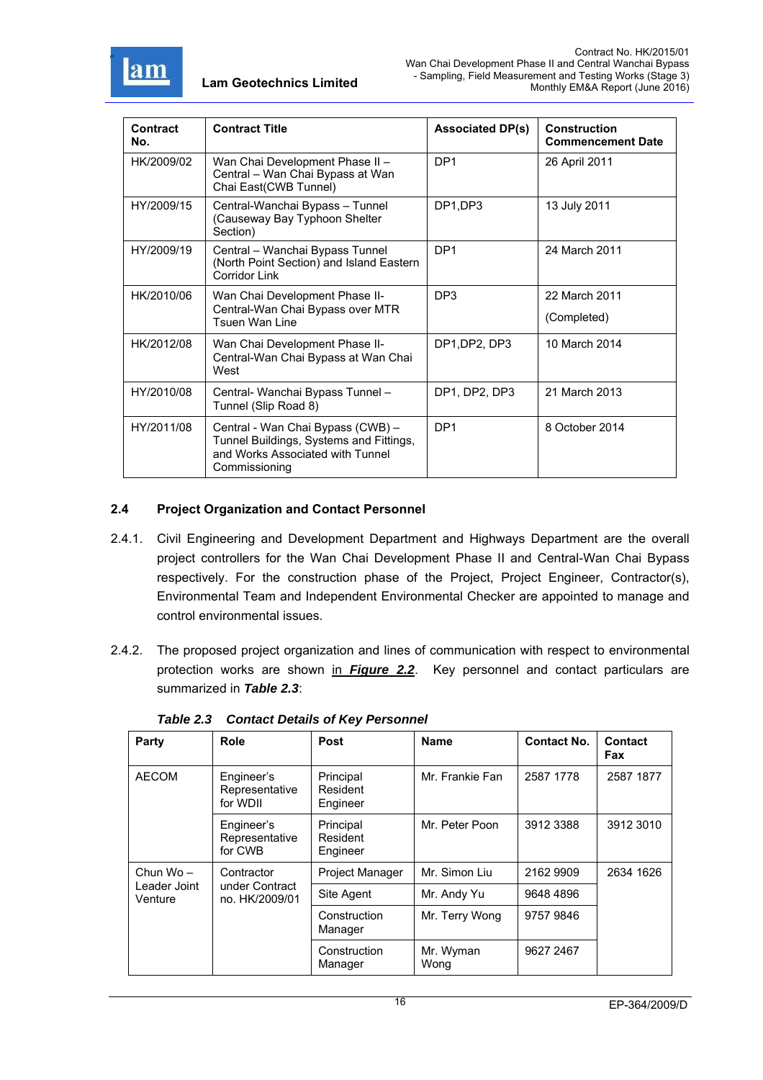

| Contract<br>No. | <b>Contract Title</b>                                                                                                             | <b>Associated DP(s)</b> | <b>Construction</b><br><b>Commencement Date</b> |
|-----------------|-----------------------------------------------------------------------------------------------------------------------------------|-------------------------|-------------------------------------------------|
| HK/2009/02      | Wan Chai Development Phase II -<br>Central - Wan Chai Bypass at Wan<br>Chai East(CWB Tunnel)                                      | DP <sub>1</sub>         | 26 April 2011                                   |
| HY/2009/15      | Central-Wanchai Bypass - Tunnel<br>(Causeway Bay Typhoon Shelter<br>Section)                                                      | DP1,DP3                 | 13 July 2011                                    |
| HY/2009/19      | Central - Wanchai Bypass Tunnel<br>(North Point Section) and Island Eastern<br><b>Corridor Link</b>                               | DP <sub>1</sub>         | 24 March 2011                                   |
| HK/2010/06      | Wan Chai Development Phase II-<br>Central-Wan Chai Bypass over MTR<br><b>Tsuen Wan Line</b>                                       | DP <sub>3</sub>         | 22 March 2011<br>(Completed)                    |
| HK/2012/08      | Wan Chai Development Phase II-<br>Central-Wan Chai Bypass at Wan Chai<br>West                                                     | DP1, DP2, DP3           | 10 March 2014                                   |
| HY/2010/08      | Central- Wanchai Bypass Tunnel -<br>Tunnel (Slip Road 8)                                                                          | DP1, DP2, DP3           | 21 March 2013                                   |
| HY/2011/08      | Central - Wan Chai Bypass (CWB) -<br>Tunnel Buildings, Systems and Fittings,<br>and Works Associated with Tunnel<br>Commissioning | DP <sub>1</sub>         | 8 October 2014                                  |

## **2.4 Project Organization and Contact Personnel**

- 2.4.1. Civil Engineering and Development Department and Highways Department are the overall project controllers for the Wan Chai Development Phase II and Central-Wan Chai Bypass respectively. For the construction phase of the Project, Project Engineer, Contractor(s), Environmental Team and Independent Environmental Checker are appointed to manage and control environmental issues.
- 2.4.2. The proposed project organization and lines of communication with respect to environmental protection works are shown in *Figure 2.2*. Key personnel and contact particulars are summarized in *Table 2.3*:

| Party                                  | Role                                           | Post                              | <b>Name</b>       | <b>Contact No.</b> | <b>Contact</b><br>Fax |
|----------------------------------------|------------------------------------------------|-----------------------------------|-------------------|--------------------|-----------------------|
| <b>AECOM</b>                           | Engineer's<br>Representative<br>for WDII       | Principal<br>Resident<br>Engineer | Mr. Frankie Fan   | 2587 1778          | 2587 1877             |
|                                        | Engineer's<br>Representative<br>for CWB        | Principal<br>Resident<br>Engineer | Mr. Peter Poon    | 3912 3388          | 3912 3010             |
| Chun $Wo -$<br>Leader Joint<br>Venture | Contractor<br>under Contract<br>no. HK/2009/01 | Project Manager                   | Mr. Simon Liu     | 2162 9909          | 2634 1626             |
|                                        |                                                | Site Agent                        | Mr. Andy Yu       | 9648 4896          |                       |
|                                        |                                                | Construction<br>Manager           | Mr. Terry Wong    | 9757 9846          |                       |
|                                        |                                                | Construction<br>Manager           | Mr. Wyman<br>Wong | 9627 2467          |                       |

*Table 2.3 Contact Details of Key Personnel*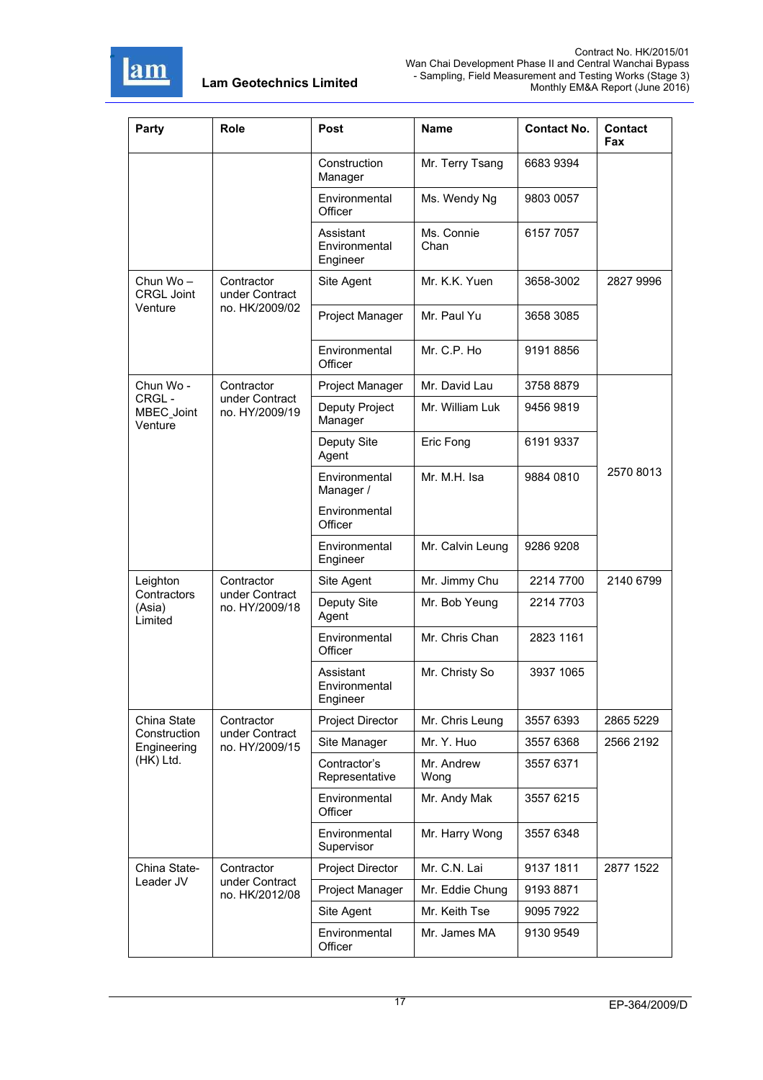

| Party                             | <b>Role</b>                      | Post                                   | <b>Name</b>        | <b>Contact No.</b> | Contact<br>Fax |
|-----------------------------------|----------------------------------|----------------------------------------|--------------------|--------------------|----------------|
|                                   |                                  | Construction<br>Manager                | Mr. Terry Tsang    | 6683 9394          |                |
|                                   |                                  | Environmental<br>Officer               | Ms. Wendy Ng       | 9803 0057          |                |
|                                   |                                  | Assistant<br>Environmental<br>Engineer | Ms. Connie<br>Chan | 6157 7057          |                |
| Chun $W_0$ –<br><b>CRGL Joint</b> | Contractor<br>under Contract     | Site Agent                             | Mr. K.K. Yuen      | 3658-3002          | 2827 9996      |
| Venture                           | no. HK/2009/02                   | Project Manager                        | Mr. Paul Yu        | 3658 3085          |                |
|                                   |                                  | Environmental<br>Officer               | Mr. C.P. Ho        | 9191 8856          |                |
| Chun Wo -                         | Contractor                       | Project Manager                        | Mr. David Lau      | 3758 8879          |                |
| CRGL-<br>MBEC_Joint<br>Venture    | under Contract<br>no. HY/2009/19 | Deputy Project<br>Manager              | Mr. William Luk    | 9456 9819          |                |
|                                   |                                  | Deputy Site<br>Agent                   | Eric Fong          | 6191 9337          |                |
|                                   |                                  | Environmental<br>Manager /             | Mr. M.H. Isa       | 9884 0810          | 2570 8013      |
|                                   |                                  | Environmental<br>Officer               |                    |                    |                |
|                                   |                                  | Environmental<br>Engineer              | Mr. Calvin Leung   | 9286 9208          |                |
| Leighton                          | Contractor                       | Site Agent                             | Mr. Jimmy Chu      | 2214 7700          | 2140 6799      |
| Contractors<br>(Asia)<br>Limited  | under Contract<br>no. HY/2009/18 | Deputy Site<br>Agent                   | Mr. Bob Yeung      | 2214 7703          |                |
|                                   |                                  | Environmental<br>Officer               | Mr. Chris Chan     | 2823 1161          |                |
|                                   |                                  | Assistant<br>Environmental<br>Engineer | Mr. Christy So     | 3937 1065          |                |
| China State                       | Contractor                       | Project Director                       | Mr. Chris Leung    | 3557 6393          | 2865 5229      |
| Construction<br>Engineering       | under Contract<br>no. HY/2009/15 | Site Manager                           | Mr. Y. Huo         | 3557 6368          | 2566 2192      |
| (HK) Ltd.                         |                                  | Contractor's<br>Representative         | Mr. Andrew<br>Wong | 3557 6371          |                |
|                                   |                                  | Environmental<br>Officer               | Mr. Andy Mak       | 3557 6215          |                |
|                                   |                                  | Environmental<br>Supervisor            | Mr. Harry Wong     | 3557 6348          |                |
| China State-                      | Contractor                       | Project Director                       | Mr. C.N. Lai       | 9137 1811          | 2877 1522      |
| Leader JV                         | under Contract<br>no. HK/2012/08 | Project Manager                        | Mr. Eddie Chung    | 91938871           |                |
|                                   |                                  | Site Agent                             | Mr. Keith Tse      | 9095 7922          |                |
|                                   |                                  | Environmental<br>Officer               | Mr. James MA       | 9130 9549          |                |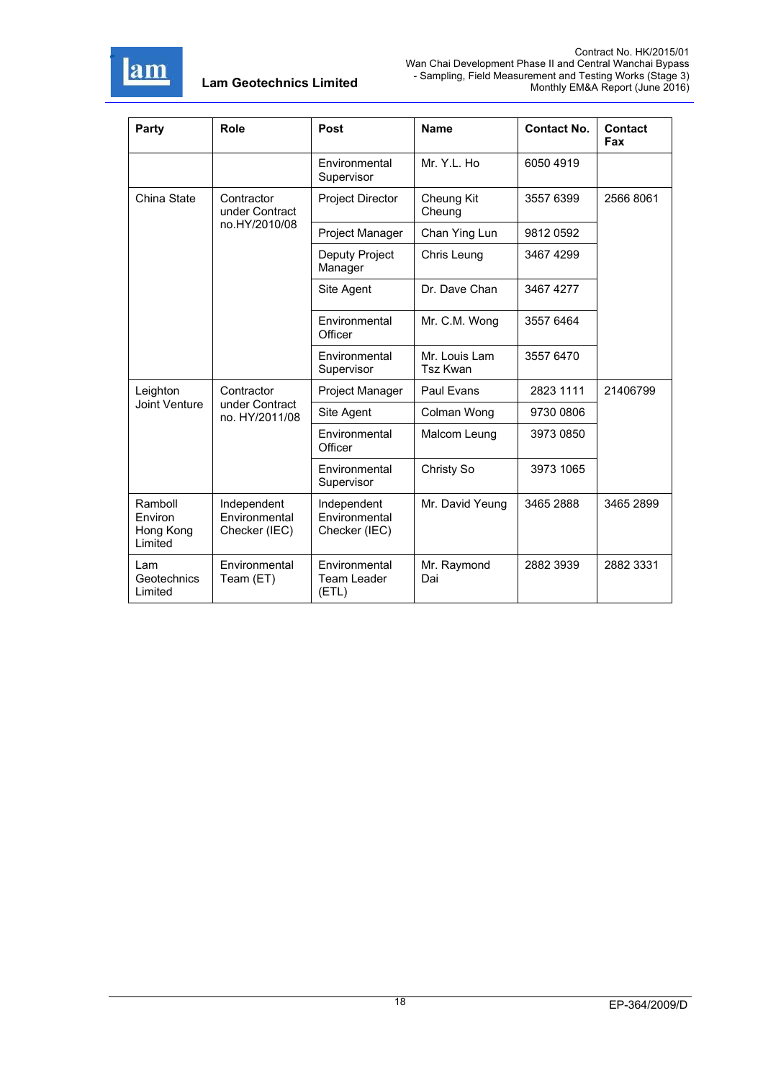

| Party                                      | Role                                           | Post                                          | <b>Name</b>                      | <b>Contact No.</b> | Contact<br>Fax |
|--------------------------------------------|------------------------------------------------|-----------------------------------------------|----------------------------------|--------------------|----------------|
|                                            |                                                | Environmental<br>Supervisor                   | Mr. Y.L. Ho                      | 6050 4919          |                |
| China State                                | Contractor<br>under Contract                   | <b>Project Director</b>                       | Cheung Kit<br>Cheung             | 3557 6399          | 2566 8061      |
|                                            | no.HY/2010/08                                  | Project Manager                               | Chan Ying Lun                    | 98120592           |                |
|                                            |                                                | Deputy Project<br>Manager                     | Chris Leung                      | 3467 4299          |                |
|                                            |                                                | Site Agent                                    | Dr. Dave Chan                    | 3467 4277          |                |
|                                            |                                                | Environmental<br>Officer                      | Mr. C.M. Wong                    | 3557 6464          |                |
|                                            |                                                | Environmental<br>Supervisor                   | Mr. Louis Lam<br><b>Tsz Kwan</b> | 3557 6470          |                |
| Leighton                                   | Contractor<br>under Contract<br>no. HY/2011/08 | Project Manager                               | Paul Evans                       | 2823 1111          | 21406799       |
| Joint Venture                              |                                                | Site Agent                                    | Colman Wong                      | 9730 0806          |                |
|                                            |                                                | Environmental<br>Officer                      | Malcom Leung                     | 3973 0850          |                |
|                                            |                                                | Environmental<br>Supervisor                   | Christy So                       | 3973 1065          |                |
| Ramboll<br>Environ<br>Hong Kong<br>Limited | Independent<br>Environmental<br>Checker (IEC)  | Independent<br>Environmental<br>Checker (IEC) | Mr. David Yeung                  | 3465 2888          | 3465 2899      |
| Lam<br>Geotechnics<br>Limited              | Environmental<br>Team (ET)                     | Environmental<br>Team Leader<br>(ETL)         | Mr. Raymond<br>Dai               | 2882 3939          | 2882 3331      |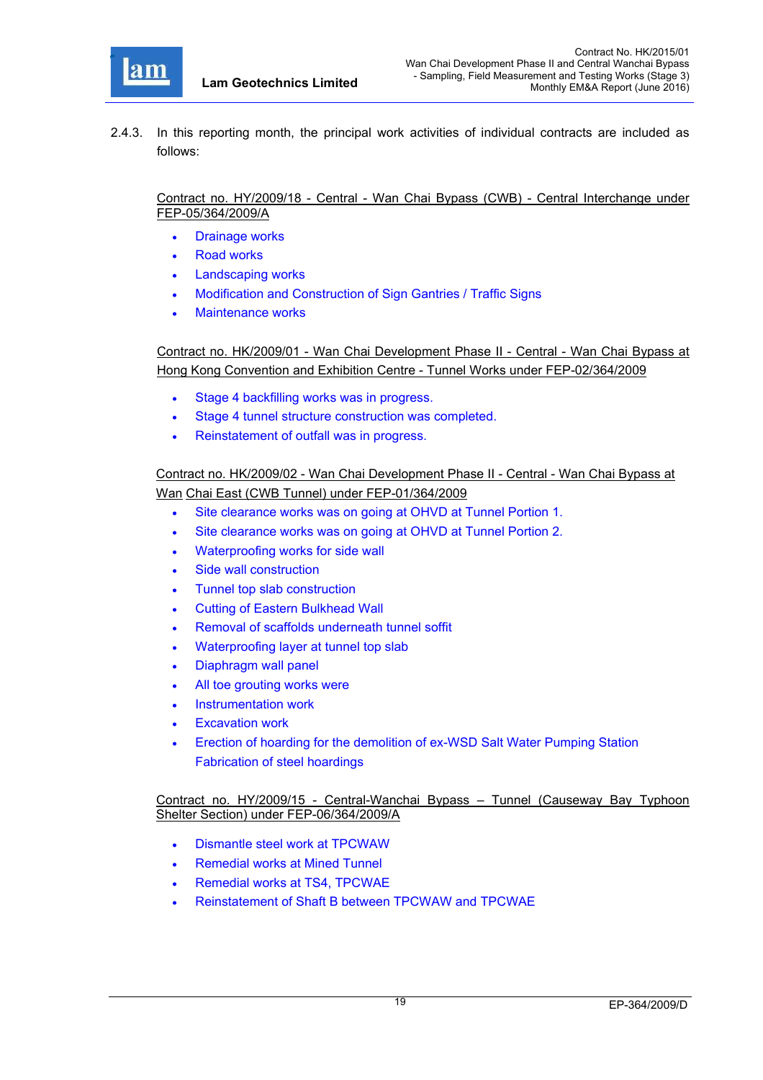

2.4.3. In this reporting month, the principal work activities of individual contracts are included as follows:

Contract no. HY/2009/18 - Central - Wan Chai Bypass (CWB) - Central Interchange under FEP-05/364/2009/A

- Drainage works
- Road works
- Landscaping works
- Modification and Construction of Sign Gantries / Traffic Signs
- Maintenance works

Contract no. HK/2009/01 - Wan Chai Development Phase II - Central - Wan Chai Bypass at Hong Kong Convention and Exhibition Centre - Tunnel Works under FEP-02/364/2009

- Stage 4 backfilling works was in progress.
- Stage 4 tunnel structure construction was completed.
- Reinstatement of outfall was in progress.

Contract no. HK/2009/02 - Wan Chai Development Phase II - Central - Wan Chai Bypass at Wan Chai East (CWB Tunnel) under FEP-01/364/2009

- Site clearance works was on going at OHVD at Tunnel Portion 1.
- Site clearance works was on going at OHVD at Tunnel Portion 2.
- Waterproofing works for side wall
- Side wall construction
- Tunnel top slab construction
- Cutting of Eastern Bulkhead Wall
- Removal of scaffolds underneath tunnel soffit
- Waterproofing layer at tunnel top slab
- Diaphragm wall panel
- All toe grouting works were
- Instrumentation work
- Excavation work
- Erection of hoarding for the demolition of ex-WSD Salt Water Pumping Station Fabrication of steel hoardings

Contract no. HY/2009/15 - Central-Wanchai Bypass – Tunnel (Causeway Bay Typhoon Shelter Section) under FEP-06/364/2009/A

- Dismantle steel work at TPCWAW
- Remedial works at Mined Tunnel
- Remedial works at TS4, TPCWAE
- Reinstatement of Shaft B between TPCWAW and TPCWAE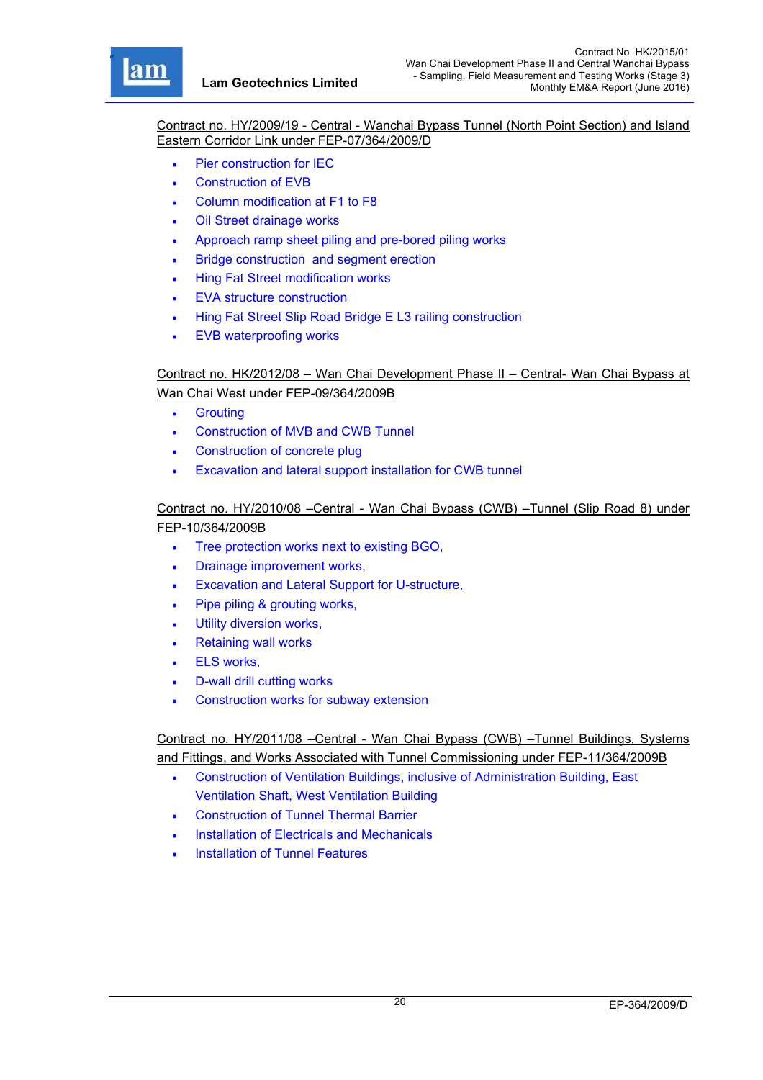r

Contract no. HY/2009/19 - Central - Wanchai Bypass Tunnel (North Point Section) and Island Eastern Corridor Link under FEP-07/364/2009/D

- Pier construction for IEC
- Construction of EVB
- Column modification at F1 to F8
- Oil Street drainage works
- Approach ramp sheet piling and pre-bored piling works
- Bridge construction and segment erection
- Hing Fat Street modification works
- EVA structure construction
- Hing Fat Street Slip Road Bridge E L3 railing construction
- EVB waterproofing works

# Contract no. HK/2012/08 – Wan Chai Development Phase II – Central- Wan Chai Bypass at Wan Chai West under FEP-09/364/2009B

- **•** Grouting
- Construction of MVB and CWB Tunnel
- Construction of concrete plug
- Excavation and lateral support installation for CWB tunnel

# Contract no. HY/2010/08 –Central - Wan Chai Bypass (CWB) –Tunnel (Slip Road 8) under FEP-10/364/2009B

- Tree protection works next to existing BGO,
- Drainage improvement works,
- Excavation and Lateral Support for U-structure,
- Pipe piling & grouting works,
- Utility diversion works,
- Retaining wall works
- ELS works,
- D-wall drill cutting works
- Construction works for subway extension

Contract no. HY/2011/08 –Central - Wan Chai Bypass (CWB) –Tunnel Buildings, Systems and Fittings, and Works Associated with Tunnel Commissioning under FEP-11/364/2009B

- Construction of Ventilation Buildings, inclusive of Administration Building, East Ventilation Shaft, West Ventilation Building
- Construction of Tunnel Thermal Barrier
- Installation of Electricals and Mechanicals
- Installation of Tunnel Features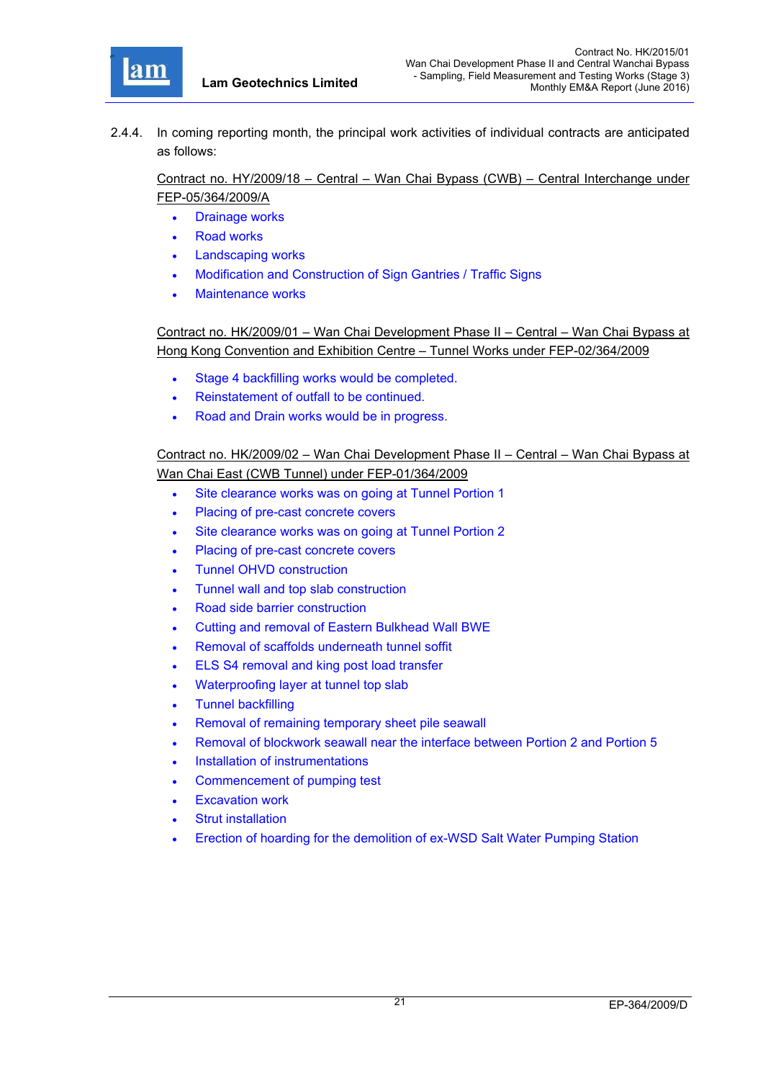

2.4.4. In coming reporting month, the principal work activities of individual contracts are anticipated as follows:

Contract no. HY/2009/18 – Central – Wan Chai Bypass (CWB) – Central Interchange under FEP-05/364/2009/A

- Drainage works
- Road works
- Landscaping works
- Modification and Construction of Sign Gantries / Traffic Signs
- Maintenance works

Contract no. HK/2009/01 – Wan Chai Development Phase II – Central – Wan Chai Bypass at Hong Kong Convention and Exhibition Centre – Tunnel Works under FEP-02/364/2009

- Stage 4 backfilling works would be completed.
- Reinstatement of outfall to be continued.
- Road and Drain works would be in progress.

## Contract no. HK/2009/02 – Wan Chai Development Phase II – Central – Wan Chai Bypass at Wan Chai East (CWB Tunnel) under FEP-01/364/2009

- Site clearance works was on going at Tunnel Portion 1
- Placing of pre-cast concrete covers
- Site clearance works was on going at Tunnel Portion 2
- Placing of pre-cast concrete covers
- Tunnel OHVD construction
- Tunnel wall and top slab construction
- Road side barrier construction
- Cutting and removal of Eastern Bulkhead Wall BWE
- Removal of scaffolds underneath tunnel soffit
- **ELS S4 removal and king post load transfer**
- Waterproofing layer at tunnel top slab
- Tunnel backfilling
- Removal of remaining temporary sheet pile seawall
- Removal of blockwork seawall near the interface between Portion 2 and Portion 5
- Installation of instrumentations
- Commencement of pumping test
- Excavation work
- Strut installation
- Erection of hoarding for the demolition of ex-WSD Salt Water Pumping Station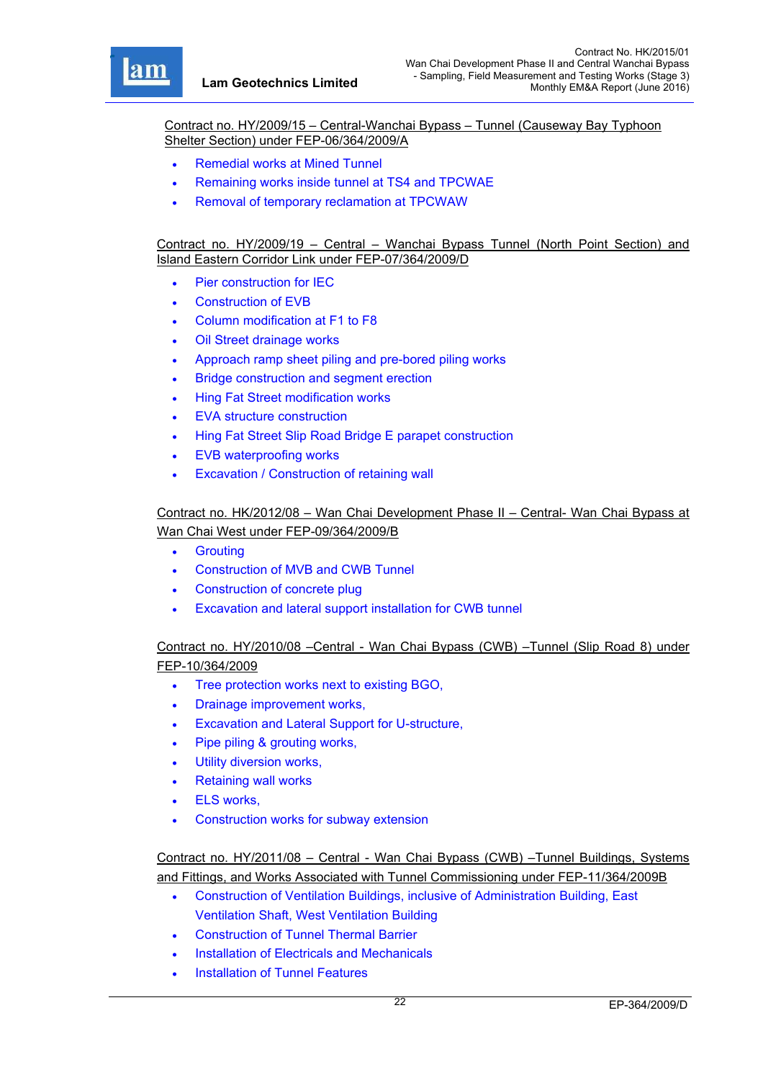r

Contract no. HY/2009/15 – Central-Wanchai Bypass – Tunnel (Causeway Bay Typhoon Shelter Section) under FEP-06/364/2009/A

- Remedial works at Mined Tunnel
- Remaining works inside tunnel at TS4 and TPCWAE
- Removal of temporary reclamation at TPCWAW

Contract no. HY/2009/19 – Central – Wanchai Bypass Tunnel (North Point Section) and Island Eastern Corridor Link under FEP-07/364/2009/D

- Pier construction for IEC
- Construction of EVB
- Column modification at F1 to F8
- Oil Street drainage works
- Approach ramp sheet piling and pre-bored piling works
- Bridge construction and segment erection
- Hing Fat Street modification works
- EVA structure construction
- Hing Fat Street Slip Road Bridge E parapet construction
- EVB waterproofing works
- Excavation / Construction of retaining wall

# Contract no. HK/2012/08 – Wan Chai Development Phase II – Central- Wan Chai Bypass at Wan Chai West under FEP-09/364/2009/B

- **•** Grouting
- Construction of MVB and CWB Tunnel
- Construction of concrete plug
- Excavation and lateral support installation for CWB tunnel

## Contract no. HY/2010/08 –Central - Wan Chai Bypass (CWB) –Tunnel (Slip Road 8) under FEP-10/364/2009

- Tree protection works next to existing BGO,
- Drainage improvement works,
- Excavation and Lateral Support for U-structure,
- Pipe piling & grouting works,
- Utility diversion works,
- Retaining wall works
- ELS works,
- Construction works for subway extension

## Contract no. HY/2011/08 – Central - Wan Chai Bypass (CWB) –Tunnel Buildings, Systems and Fittings, and Works Associated with Tunnel Commissioning under FEP-11/364/2009B

- Construction of Ventilation Buildings, inclusive of Administration Building, East Ventilation Shaft, West Ventilation Building
- Construction of Tunnel Thermal Barrier
- Installation of Electricals and Mechanicals
- Installation of Tunnel Features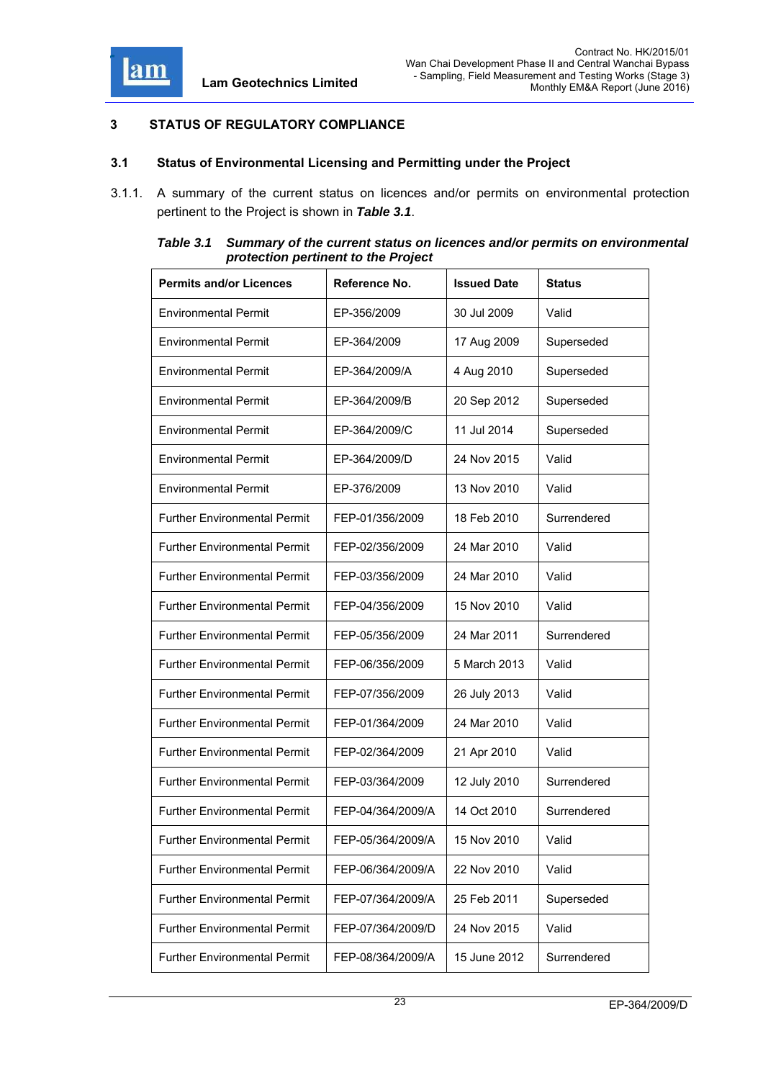

# **3 STATUS OF REGULATORY COMPLIANCE**

#### **3.1 Status of Environmental Licensing and Permitting under the Project**

3.1.1. A summary of the current status on licences and/or permits on environmental protection pertinent to the Project is shown in *Table 3.1*.

| Table 3.1 | Summary of the current status on licences and/or permits on environmental |
|-----------|---------------------------------------------------------------------------|
|           | protection pertinent to the Project                                       |

| <b>Permits and/or Licences</b>      | Reference No.     | <b>Issued Date</b> | <b>Status</b> |
|-------------------------------------|-------------------|--------------------|---------------|
| <b>Environmental Permit</b>         | EP-356/2009       | 30 Jul 2009        | Valid         |
| <b>Environmental Permit</b>         | EP-364/2009       | 17 Aug 2009        | Superseded    |
| <b>Environmental Permit</b>         | EP-364/2009/A     | 4 Aug 2010         | Superseded    |
| <b>Environmental Permit</b>         | EP-364/2009/B     | 20 Sep 2012        | Superseded    |
| <b>Environmental Permit</b>         | EP-364/2009/C     | 11 Jul 2014        | Superseded    |
| <b>Environmental Permit</b>         | EP-364/2009/D     | 24 Nov 2015        | Valid         |
| <b>Environmental Permit</b>         | EP-376/2009       | 13 Nov 2010        | Valid         |
| <b>Further Environmental Permit</b> | FEP-01/356/2009   | 18 Feb 2010        | Surrendered   |
| <b>Further Environmental Permit</b> | FEP-02/356/2009   | 24 Mar 2010        | Valid         |
| <b>Further Environmental Permit</b> | FEP-03/356/2009   | 24 Mar 2010        | Valid         |
| <b>Further Environmental Permit</b> | FEP-04/356/2009   | 15 Nov 2010        | Valid         |
| <b>Further Environmental Permit</b> | FEP-05/356/2009   | 24 Mar 2011        | Surrendered   |
| <b>Further Environmental Permit</b> | FEP-06/356/2009   | 5 March 2013       | Valid         |
| <b>Further Environmental Permit</b> | FEP-07/356/2009   | 26 July 2013       | Valid         |
| <b>Further Environmental Permit</b> | FEP-01/364/2009   | 24 Mar 2010        | Valid         |
| <b>Further Environmental Permit</b> | FEP-02/364/2009   | 21 Apr 2010        | Valid         |
| <b>Further Environmental Permit</b> | FEP-03/364/2009   | 12 July 2010       | Surrendered   |
| <b>Further Environmental Permit</b> | FEP-04/364/2009/A | 14 Oct 2010        | Surrendered   |
| <b>Further Environmental Permit</b> | FEP-05/364/2009/A | 15 Nov 2010        | Valid         |
| <b>Further Environmental Permit</b> | FEP-06/364/2009/A | 22 Nov 2010        | Valid         |
| <b>Further Environmental Permit</b> | FEP-07/364/2009/A | 25 Feb 2011        | Superseded    |
| <b>Further Environmental Permit</b> | FEP-07/364/2009/D | 24 Nov 2015        | Valid         |
| <b>Further Environmental Permit</b> | FEP-08/364/2009/A | 15 June 2012       | Surrendered   |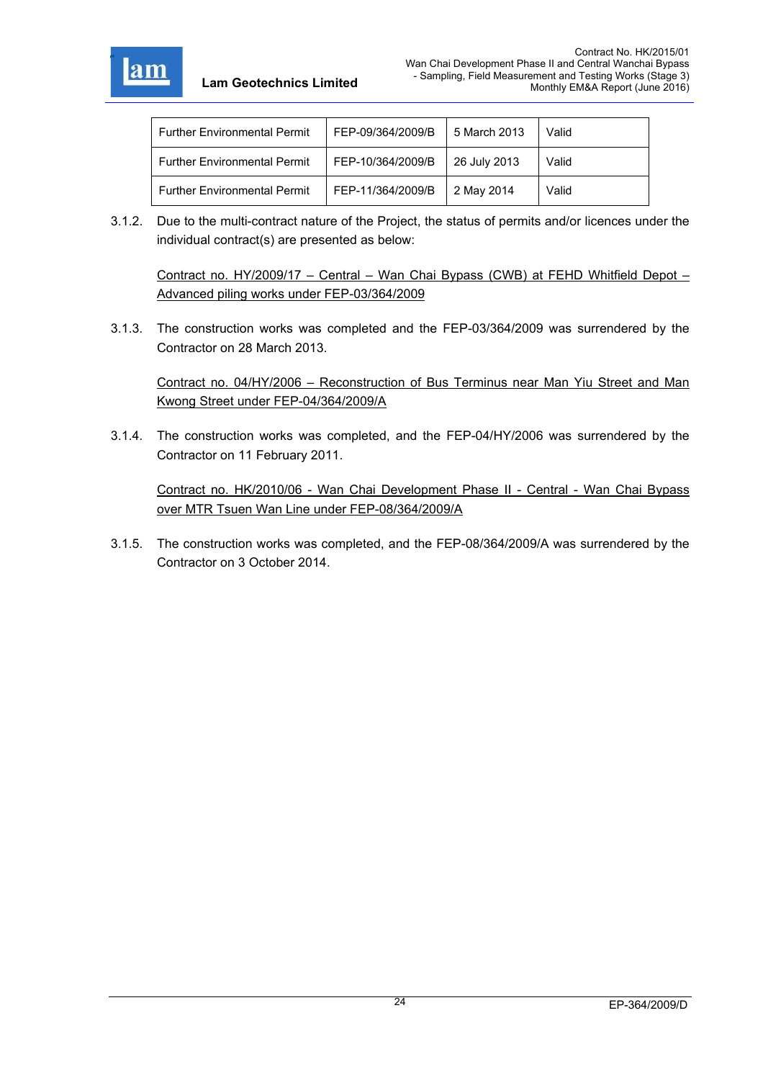

| <b>Further Environmental Permit</b> | FEP-09/364/2009/B | 5 March 2013 | Valid |
|-------------------------------------|-------------------|--------------|-------|
| <b>Further Environmental Permit</b> | FEP-10/364/2009/B | 26 July 2013 | Valid |
| <b>Further Environmental Permit</b> | FEP-11/364/2009/B | 2 May 2014   | Valid |

3.1.2. Due to the multi-contract nature of the Project, the status of permits and/or licences under the individual contract(s) are presented as below:

Contract no. HY/2009/17 – Central – Wan Chai Bypass (CWB) at FEHD Whitfield Depot – Advanced piling works under FEP-03/364/2009

3.1.3. The construction works was completed and the FEP-03/364/2009 was surrendered by the Contractor on 28 March 2013.

Contract no. 04/HY/2006 – Reconstruction of Bus Terminus near Man Yiu Street and Man Kwong Street under FEP-04/364/2009/A

3.1.4. The construction works was completed, and the FEP-04/HY/2006 was surrendered by the Contractor on 11 February 2011.

Contract no. HK/2010/06 - Wan Chai Development Phase II - Central - Wan Chai Bypass over MTR Tsuen Wan Line under FEP-08/364/2009/A

3.1.5. The construction works was completed, and the FEP-08/364/2009/A was surrendered by the Contractor on 3 October 2014.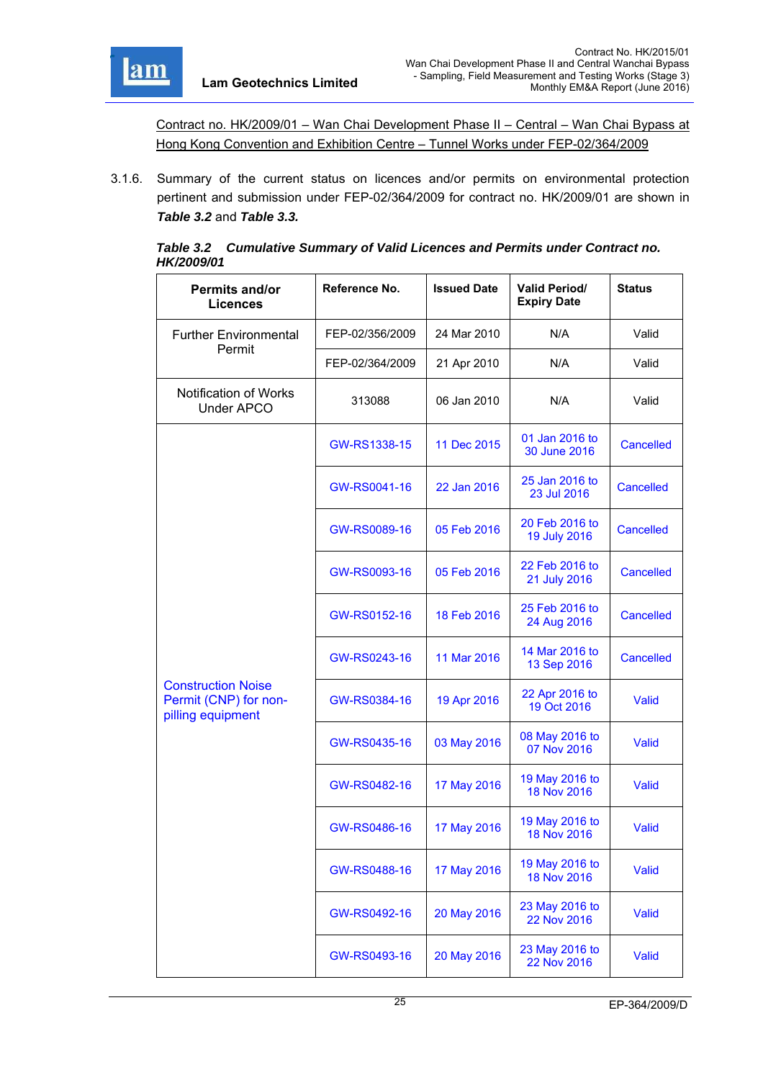

Contract no. HK/2009/01 – Wan Chai Development Phase II – Central – Wan Chai Bypass at Hong Kong Convention and Exhibition Centre – Tunnel Works under FEP-02/364/2009

3.1.6. Summary of the current status on licences and/or permits on environmental protection pertinent and submission under FEP-02/364/2009 for contract no. HK/2009/01 are shown in *Table 3.2* and *Table 3.3.*

|                   | Table 3.2 Cumulative Summary of Valid Licences and Permits under Contract no. |
|-------------------|-------------------------------------------------------------------------------|
| <b>HK/2009/01</b> |                                                                               |

| Reference No.<br>Permits and/or<br><b>Licences</b>                      |                 | <b>Issued Date</b> | <b>Valid Period/</b><br><b>Expiry Date</b> | <b>Status</b>    |
|-------------------------------------------------------------------------|-----------------|--------------------|--------------------------------------------|------------------|
| <b>Further Environmental</b>                                            | FEP-02/356/2009 | 24 Mar 2010        | N/A                                        | Valid            |
| Permit                                                                  | FEP-02/364/2009 | 21 Apr 2010        | N/A                                        | Valid            |
| <b>Notification of Works</b><br><b>Under APCO</b>                       | 313088          | 06 Jan 2010        | N/A                                        | Valid            |
|                                                                         | GW-RS1338-15    | 11 Dec 2015        | 01 Jan 2016 to<br>30 June 2016             | <b>Cancelled</b> |
|                                                                         | GW-RS0041-16    | 22 Jan 2016        | 25 Jan 2016 to<br>23 Jul 2016              | <b>Cancelled</b> |
|                                                                         | GW-RS0089-16    | 05 Feb 2016        | 20 Feb 2016 to<br>19 July 2016             | <b>Cancelled</b> |
|                                                                         | GW-RS0093-16    | 05 Feb 2016        | 22 Feb 2016 to<br>21 July 2016             | <b>Cancelled</b> |
|                                                                         | GW-RS0152-16    | 18 Feb 2016        | 25 Feb 2016 to<br>24 Aug 2016              | <b>Cancelled</b> |
|                                                                         | GW-RS0243-16    | 11 Mar 2016        | 14 Mar 2016 to<br>13 Sep 2016              | <b>Cancelled</b> |
| <b>Construction Noise</b><br>Permit (CNP) for non-<br>pilling equipment | GW-RS0384-16    | 19 Apr 2016        | 22 Apr 2016 to<br>19 Oct 2016              | Valid            |
|                                                                         | GW-RS0435-16    | 03 May 2016        | 08 May 2016 to<br>07 Nov 2016              | Valid            |
|                                                                         | GW-RS0482-16    | 17 May 2016        | 19 May 2016 to<br>18 Nov 2016              | Valid            |
|                                                                         | GW-RS0486-16    | 17 May 2016        | 19 May 2016 to<br>18 Nov 2016              | Valid            |
|                                                                         | GW-RS0488-16    | 17 May 2016        | 19 May 2016 to<br>18 Nov 2016              | Valid            |
|                                                                         | GW-RS0492-16    | 20 May 2016        | 23 May 2016 to<br>22 Nov 2016              | <b>Valid</b>     |
|                                                                         | GW-RS0493-16    | 20 May 2016        | 23 May 2016 to<br>22 Nov 2016              | Valid            |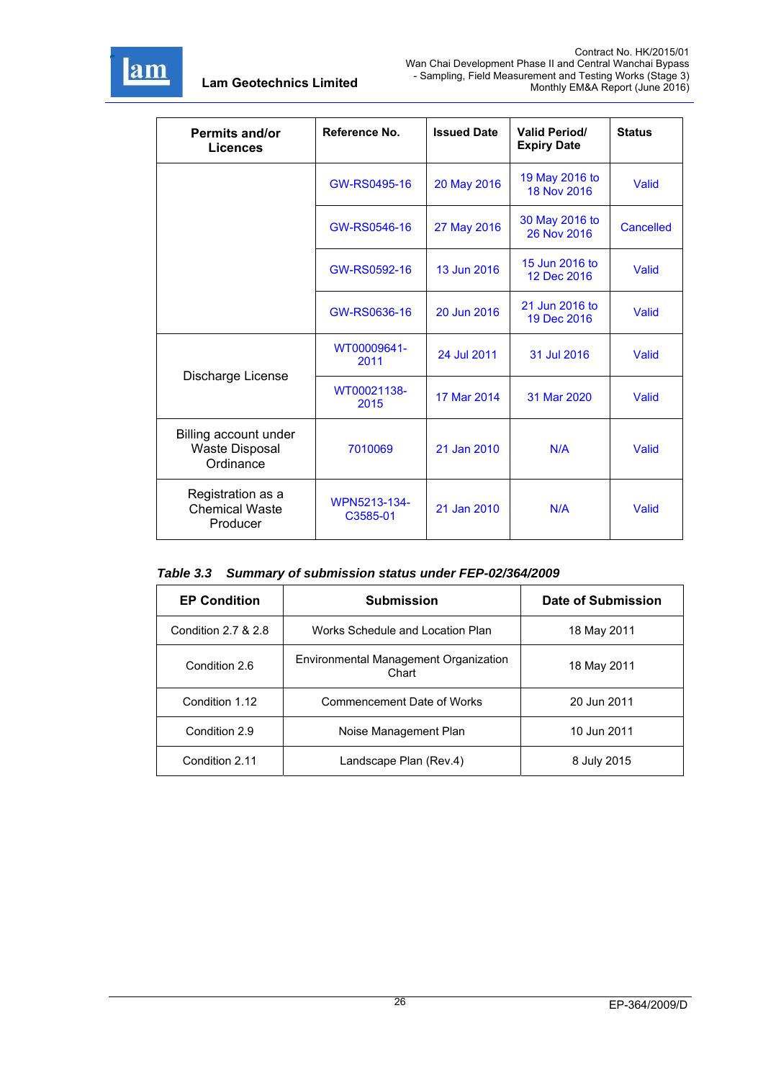

| Permits and/or<br>Licences                                  | Reference No.            | <b>Issued Date</b> | <b>Valid Period/</b><br><b>Expiry Date</b> | <b>Status</b>    |
|-------------------------------------------------------------|--------------------------|--------------------|--------------------------------------------|------------------|
|                                                             | GW-RS0495-16             | 20 May 2016        | 19 May 2016 to<br>18 Nov 2016              | <b>Valid</b>     |
|                                                             | GW-RS0546-16             | 27 May 2016        | 30 May 2016 to<br>26 Nov 2016              | <b>Cancelled</b> |
|                                                             | GW-RS0592-16             | 13 Jun 2016        | 15 Jun 2016 to<br>12 Dec 2016              | <b>Valid</b>     |
|                                                             | GW-RS0636-16             | 20 Jun 2016        | 21 Jun 2016 to<br>19 Dec 2016              | <b>Valid</b>     |
|                                                             | WT00009641-<br>2011      | 24 Jul 2011        | 31 Jul 2016                                | Valid            |
| Discharge License                                           | WT00021138-<br>2015      | 17 Mar 2014        | 31 Mar 2020                                | <b>Valid</b>     |
| Billing account under<br><b>Waste Disposal</b><br>Ordinance | 7010069                  | 21 Jan 2010        | N/A                                        | Valid            |
| Registration as a<br><b>Chemical Waste</b><br>Producer      | WPN5213-134-<br>C3585-01 | 21 Jan 2010        | N/A                                        | Valid            |

*Table 3.3 Summary of submission status under FEP-02/364/2009* 

| <b>EP Condition</b><br><b>Submission</b> |                                                | Date of Submission |
|------------------------------------------|------------------------------------------------|--------------------|
| Condition 2.7 & 2.8                      | Works Schedule and Location Plan               | 18 May 2011        |
| Condition 2.6                            | Environmental Management Organization<br>Chart | 18 May 2011        |
| Condition 1.12                           | Commencement Date of Works                     | 20 Jun 2011        |
| Condition 2.9                            | Noise Management Plan                          | 10 Jun 2011        |
| Condition 2.11                           | Landscape Plan (Rev.4)                         | 8 July 2015        |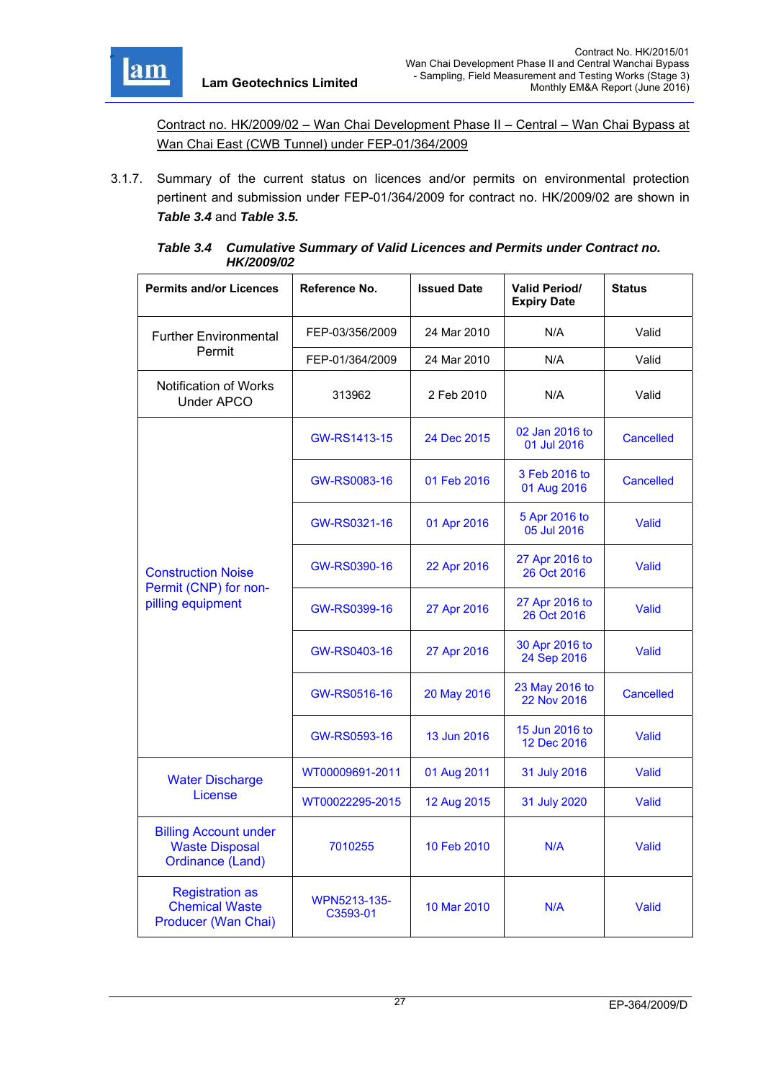

Contract no. HK/2009/02 – Wan Chai Development Phase II – Central – Wan Chai Bypass at Wan Chai East (CWB Tunnel) under FEP-01/364/2009

3.1.7. Summary of the current status on licences and/or permits on environmental protection pertinent and submission under FEP-01/364/2009 for contract no. HK/2009/02 are shown in *Table 3.4* and *Table 3.5.*

| <b>Permits and/or Licences</b>                                            | Reference No.            | <b>Issued Date</b> | <b>Valid Period/</b><br><b>Expiry Date</b> | <b>Status</b>    |
|---------------------------------------------------------------------------|--------------------------|--------------------|--------------------------------------------|------------------|
| <b>Further Environmental</b>                                              | FEP-03/356/2009          | 24 Mar 2010        | N/A                                        | Valid            |
| Permit                                                                    | FEP-01/364/2009          | 24 Mar 2010        | N/A                                        | Valid            |
| <b>Notification of Works</b><br><b>Under APCO</b>                         | 313962                   | 2 Feb 2010         | N/A                                        | Valid            |
|                                                                           | GW-RS1413-15             | 24 Dec 2015        | 02 Jan 2016 to<br>01 Jul 2016              | <b>Cancelled</b> |
|                                                                           | GW-RS0083-16             | 01 Feb 2016        | 3 Feb 2016 to<br>01 Aug 2016               | <b>Cancelled</b> |
|                                                                           | GW-RS0321-16             | 01 Apr 2016        | 5 Apr 2016 to<br>05 Jul 2016               | Valid            |
| <b>Construction Noise</b>                                                 | GW-RS0390-16             | 22 Apr 2016        | 27 Apr 2016 to<br>26 Oct 2016              | Valid            |
| Permit (CNP) for non-<br>pilling equipment                                | GW-RS0399-16             | 27 Apr 2016        | 27 Apr 2016 to<br>26 Oct 2016              | Valid            |
|                                                                           | GW-RS0403-16             | 27 Apr 2016        | 30 Apr 2016 to<br>24 Sep 2016              | Valid            |
|                                                                           | GW-RS0516-16             | 20 May 2016        | 23 May 2016 to<br>22 Nov 2016              | <b>Cancelled</b> |
|                                                                           | GW-RS0593-16             | 13 Jun 2016        | 15 Jun 2016 to<br>12 Dec 2016              | Valid            |
| <b>Water Discharge</b>                                                    | WT00009691-2011          | 01 Aug 2011        | 31 July 2016                               | Valid            |
| License                                                                   | WT00022295-2015          | 12 Aug 2015        | 31 July 2020                               | Valid            |
| <b>Billing Account under</b><br><b>Waste Disposal</b><br>Ordinance (Land) | 7010255                  | 10 Feb 2010        | N/A                                        | Valid            |
| <b>Registration as</b><br><b>Chemical Waste</b><br>Producer (Wan Chai)    | WPN5213-135-<br>C3593-01 | 10 Mar 2010        | N/A                                        | Valid            |

| Table 3.4 Cumulative Summary of Valid Licences and Permits under Contract no. |
|-------------------------------------------------------------------------------|
| <b>HK/2009/02</b>                                                             |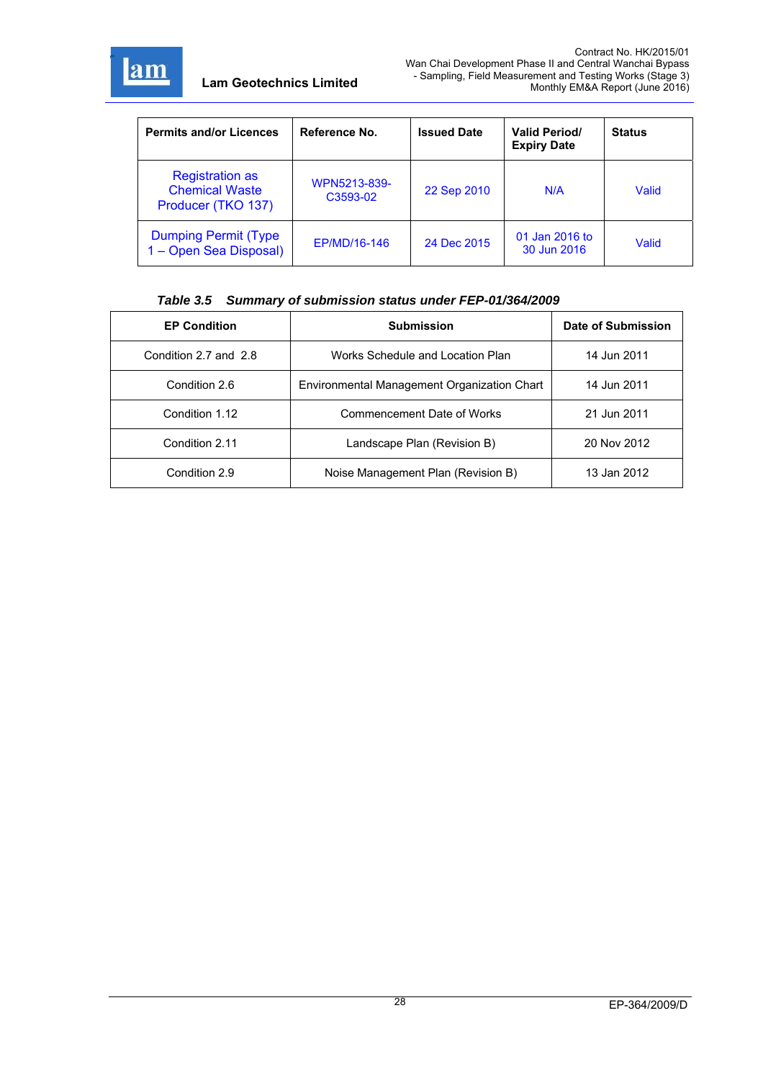

| <b>Permits and/or Licences</b>                                        | Reference No.            | <b>Issued Date</b> | <b>Valid Period/</b><br><b>Expiry Date</b> | <b>Status</b> |
|-----------------------------------------------------------------------|--------------------------|--------------------|--------------------------------------------|---------------|
| <b>Registration as</b><br><b>Chemical Waste</b><br>Producer (TKO 137) | WPN5213-839-<br>C3593-02 | 22 Sep 2010        | N/A                                        | Valid         |
| <b>Dumping Permit (Type</b><br>1 - Open Sea Disposal)                 | EP/MD/16-146             | 24 Dec 2015        | 01 Jan 2016 to<br>30 Jun 2016              | Valid         |

#### *Table 3.5 Summary of submission status under FEP-01/364/2009*

| <b>EP Condition</b>   | <b>Submission</b>                           | Date of Submission |
|-----------------------|---------------------------------------------|--------------------|
| Condition 2.7 and 2.8 | Works Schedule and Location Plan            | 14 Jun 2011        |
| Condition 2.6         | Environmental Management Organization Chart | 14 Jun 2011        |
| Condition 1.12        | Commencement Date of Works                  | 21 Jun 2011        |
| Condition 2.11        | Landscape Plan (Revision B)                 | 20 Nov 2012        |
| Condition 2.9         | Noise Management Plan (Revision B)          | 13 Jan 2012        |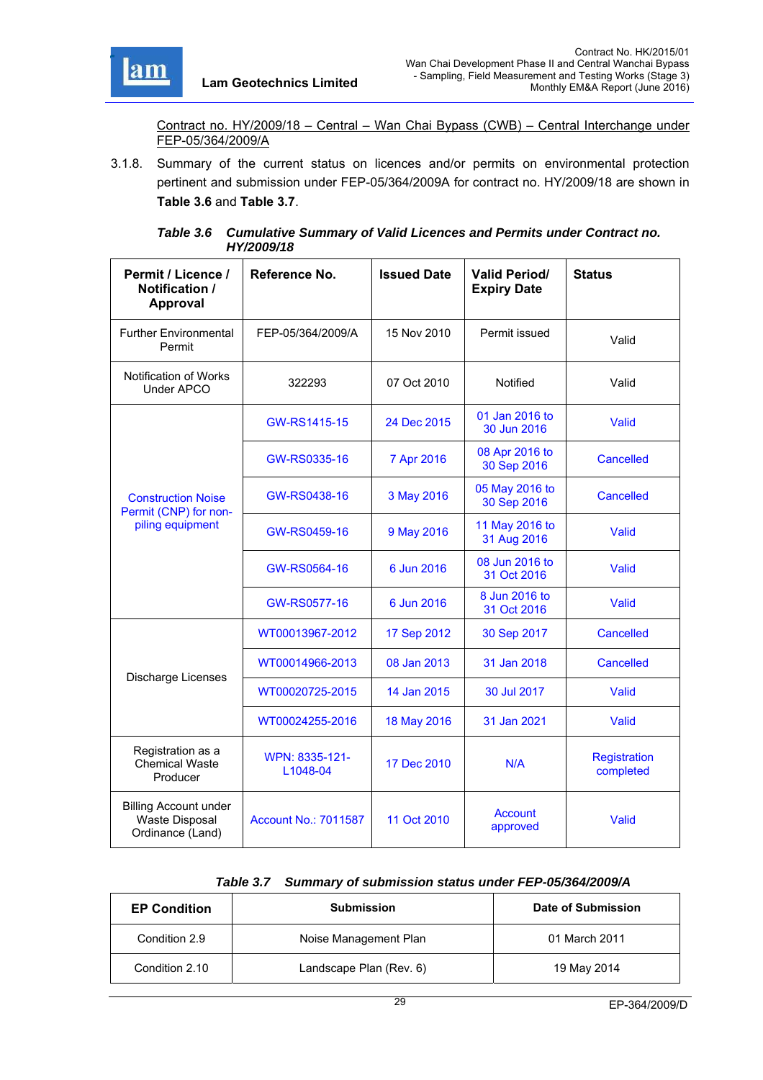

Contract no. HY/2009/18 – Central – Wan Chai Bypass (CWB) – Central Interchange under FEP-05/364/2009/A

3.1.8. Summary of the current status on licences and/or permits on environmental protection pertinent and submission under FEP-05/364/2009A for contract no. HY/2009/18 are shown in **Table 3.6** and **Table 3.7**.

| Permit / Licence /<br>Notification /<br>Approval                   | Reference No.               | <b>Issued Date</b> | <b>Valid Period/</b><br><b>Expiry Date</b> | <b>Status</b>                    |
|--------------------------------------------------------------------|-----------------------------|--------------------|--------------------------------------------|----------------------------------|
| <b>Further Environmental</b><br>Permit                             | FEP-05/364/2009/A           | 15 Nov 2010        | Permit issued                              | Valid                            |
| Notification of Works<br>Under APCO                                | 322293                      | 07 Oct 2010        | Notified                                   | Valid                            |
|                                                                    | GW-RS1415-15                | 24 Dec 2015        | 01 Jan 2016 to<br>30 Jun 2016              | Valid                            |
|                                                                    | GW-RS0335-16                | 7 Apr 2016         | 08 Apr 2016 to<br>30 Sep 2016              | <b>Cancelled</b>                 |
| <b>Construction Noise</b><br>Permit (CNP) for non-                 | GW-RS0438-16                | 3 May 2016         | 05 May 2016 to<br>30 Sep 2016              | <b>Cancelled</b>                 |
| piling equipment                                                   | GW-RS0459-16                | 9 May 2016         | 11 May 2016 to<br>31 Aug 2016              | Valid                            |
|                                                                    | GW-RS0564-16                | 6 Jun 2016         | 08 Jun 2016 to<br>31 Oct 2016              | Valid                            |
|                                                                    | <b>GW-RS0577-16</b>         | 6 Jun 2016         | 8 Jun 2016 to<br>31 Oct 2016               | Valid                            |
|                                                                    | WT00013967-2012             | 17 Sep 2012        | 30 Sep 2017                                | <b>Cancelled</b>                 |
|                                                                    | WT00014966-2013             | 08 Jan 2013        | 31 Jan 2018                                | <b>Cancelled</b>                 |
| Discharge Licenses                                                 | WT00020725-2015             | 14 Jan 2015        | 30 Jul 2017                                | Valid                            |
|                                                                    | WT00024255-2016             | 18 May 2016        | 31 Jan 2021                                | Valid                            |
| Registration as a<br><b>Chemical Waste</b><br>Producer             | WPN: 8335-121-<br>L1048-04  | 17 Dec 2010        | N/A                                        | <b>Registration</b><br>completed |
| <b>Billing Account under</b><br>Waste Disposal<br>Ordinance (Land) | <b>Account No.: 7011587</b> | 11 Oct 2010        | <b>Account</b><br>approved                 | Valid                            |

*Table 3.6 Cumulative Summary of Valid Licences and Permits under Contract no. HY/2009/18* 

|  | Table 3.7 Summary of submission status under FEP-05/364/2009/A |
|--|----------------------------------------------------------------|
|--|----------------------------------------------------------------|

| <b>EP Condition</b> | <b>Submission</b>       | Date of Submission |
|---------------------|-------------------------|--------------------|
| Condition 2.9       | Noise Management Plan   | 01 March 2011      |
| Condition 2.10      | Landscape Plan (Rev. 6) | 19 May 2014        |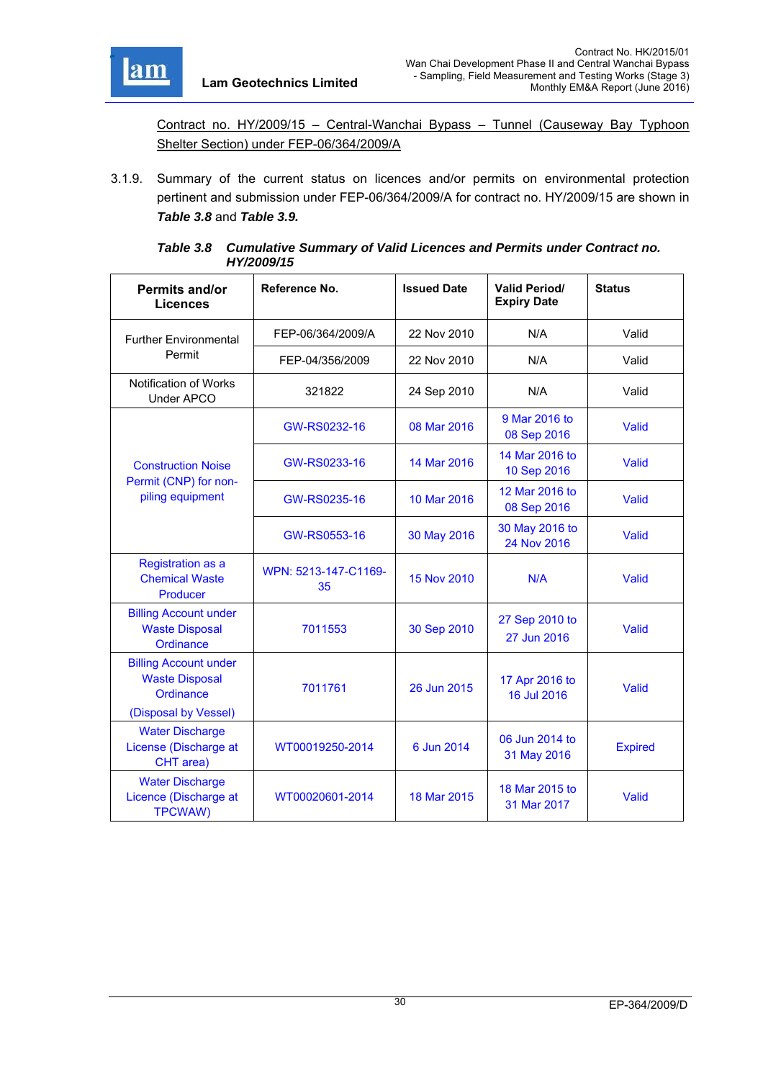

Contract no. HY/2009/15 – Central-Wanchai Bypass – Tunnel (Causeway Bay Typhoon Shelter Section) under FEP-06/364/2009/A

3.1.9. Summary of the current status on licences and/or permits on environmental protection pertinent and submission under FEP-06/364/2009/A for contract no. HY/2009/15 are shown in *Table 3.8* and *Table 3.9.*

| Table 3.8 Cumulative Summary of Valid Licences and Permits under Contract no. |
|-------------------------------------------------------------------------------|
| <b>HY/2009/15</b>                                                             |

| Permits and/or                                                                             | Reference No.              | <b>Issued Date</b> | <b>Valid Period/</b><br><b>Expiry Date</b> | <b>Status</b>  |
|--------------------------------------------------------------------------------------------|----------------------------|--------------------|--------------------------------------------|----------------|
| <b>Licences</b>                                                                            |                            |                    |                                            |                |
| <b>Further Environmental</b>                                                               | FEP-06/364/2009/A          | 22 Nov 2010        | N/A                                        | Valid          |
| Permit                                                                                     | FEP-04/356/2009            | 22 Nov 2010        | N/A                                        | Valid          |
| Notification of Works<br>Under APCO                                                        | 321822                     | 24 Sep 2010        | N/A                                        | Valid          |
|                                                                                            | GW-RS0232-16               | 08 Mar 2016        | 9 Mar 2016 to<br>08 Sep 2016               | Valid          |
| <b>Construction Noise</b>                                                                  | GW-RS0233-16               | 14 Mar 2016        | 14 Mar 2016 to<br>10 Sep 2016              | <b>Valid</b>   |
| Permit (CNP) for non-<br>piling equipment                                                  | GW-RS0235-16               | 10 Mar 2016        | 12 Mar 2016 to<br>08 Sep 2016              | <b>Valid</b>   |
|                                                                                            | GW-RS0553-16               | 30 May 2016        | 30 May 2016 to<br>24 Nov 2016              | Valid          |
| <b>Registration as a</b><br><b>Chemical Waste</b><br>Producer                              | WPN: 5213-147-C1169-<br>35 | 15 Nov 2010        | N/A                                        | Valid          |
| <b>Billing Account under</b><br><b>Waste Disposal</b><br>Ordinance                         | 7011553                    | 30 Sep 2010        | 27 Sep 2010 to<br>27 Jun 2016              | Valid          |
| <b>Billing Account under</b><br><b>Waste Disposal</b><br>Ordinance<br>(Disposal by Vessel) | 7011761                    | 26 Jun 2015        | 17 Apr 2016 to<br>16 Jul 2016              | <b>Valid</b>   |
| <b>Water Discharge</b><br>License (Discharge at<br>CHT area)                               | WT00019250-2014            | 6 Jun 2014         | 06 Jun 2014 to<br>31 May 2016              | <b>Expired</b> |
| <b>Water Discharge</b><br>Licence (Discharge at<br><b>TPCWAW)</b>                          | WT00020601-2014            | 18 Mar 2015        | 18 Mar 2015 to<br>31 Mar 2017              | Valid          |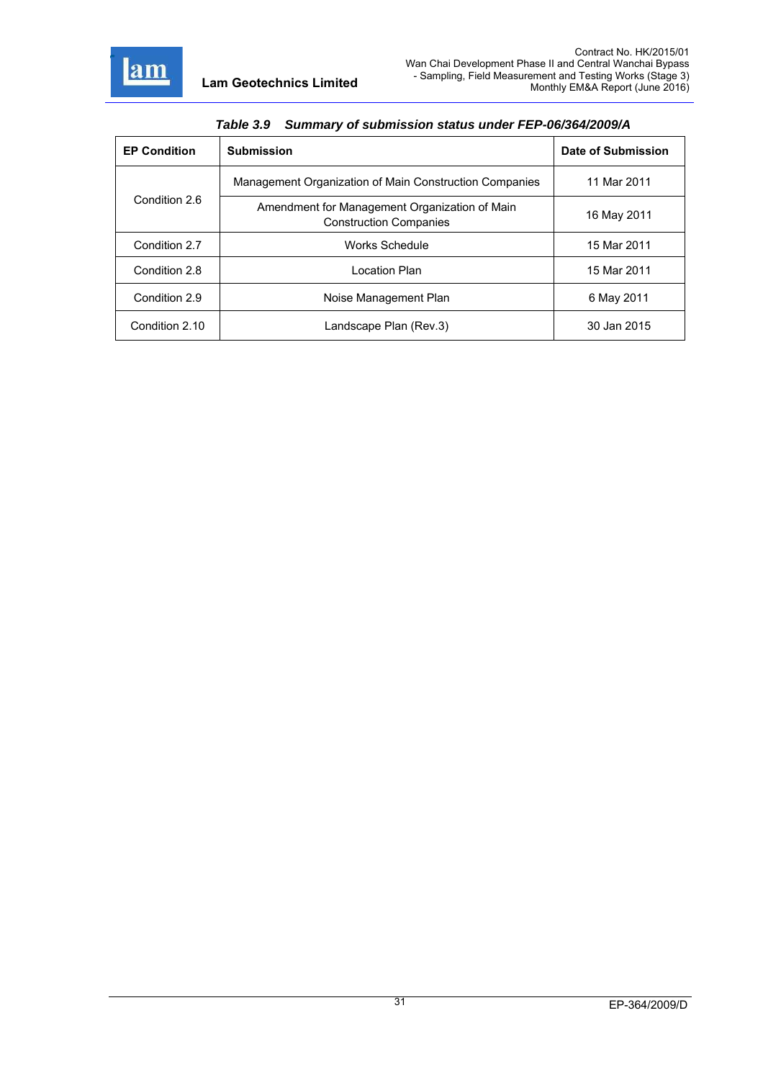

| $14000$ $0.0$ and $10000$ and $10000$ and $10000$ and $10000$ |                                                                                |                    |  |
|---------------------------------------------------------------|--------------------------------------------------------------------------------|--------------------|--|
| <b>EP Condition</b>                                           | <b>Submission</b>                                                              | Date of Submission |  |
|                                                               | Management Organization of Main Construction Companies                         | 11 Mar 2011        |  |
| Condition 2.6                                                 | Amendment for Management Organization of Main<br><b>Construction Companies</b> | 16 May 2011        |  |
| Condition 2.7                                                 | Works Schedule                                                                 | 15 Mar 2011        |  |
| Condition 2.8                                                 | Location Plan                                                                  | 15 Mar 2011        |  |
| Condition 2.9                                                 | Noise Management Plan                                                          | 6 May 2011         |  |
| Condition 2.10                                                | Landscape Plan (Rev.3)                                                         | 30 Jan 2015        |  |

## *Table 3.9 Summary of submission status under FEP-06/364/2009/A*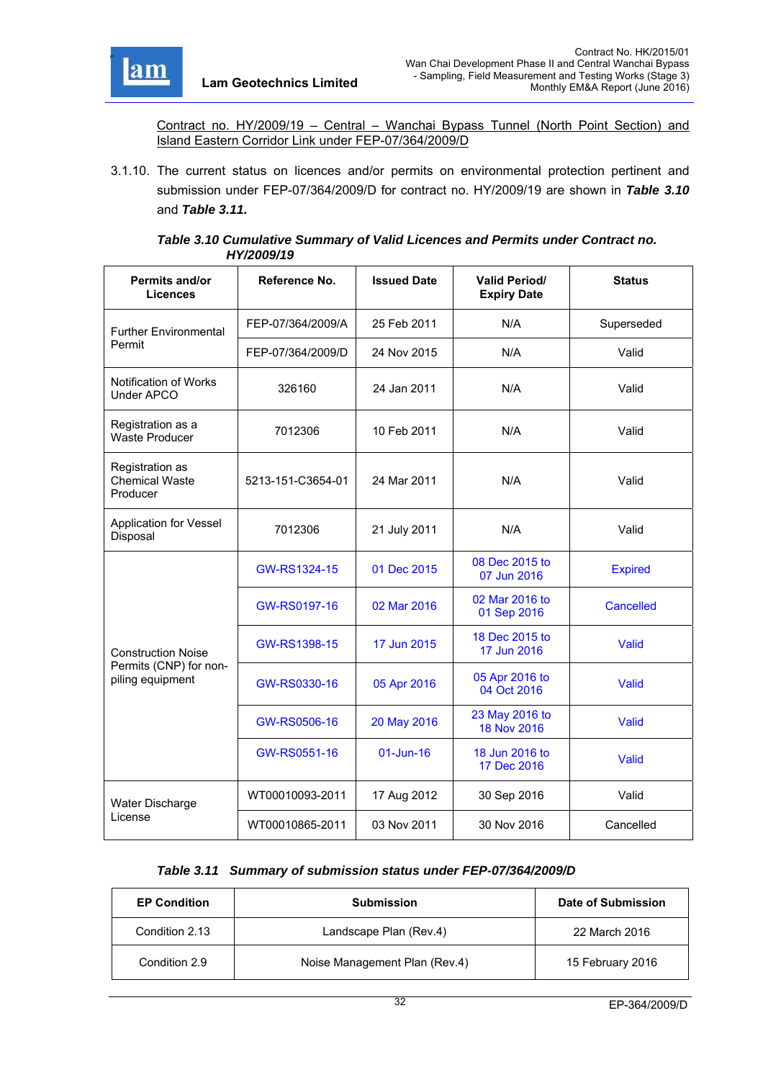

Contract no. HY/2009/19 – Central – Wanchai Bypass Tunnel (North Point Section) and Island Eastern Corridor Link under FEP-07/364/2009/D

3.1.10. The current status on licences and/or permits on environmental protection pertinent and submission under FEP-07/364/2009/D for contract no. HY/2009/19 are shown in *Table 3.10*  and *Table 3.11.*

#### *Table 3.10 Cumulative Summary of Valid Licences and Permits under Contract no. HY/2009/19*

| <b>Permits and/or</b><br><b>Licences</b>             | Reference No.     | <b>Issued Date</b> | <b>Valid Period/</b><br><b>Expiry Date</b> | <b>Status</b>  |
|------------------------------------------------------|-------------------|--------------------|--------------------------------------------|----------------|
| <b>Further Environmental</b>                         | FEP-07/364/2009/A | 25 Feb 2011        | N/A                                        | Superseded     |
| Permit                                               | FEP-07/364/2009/D | 24 Nov 2015        | N/A                                        | Valid          |
| <b>Notification of Works</b><br><b>Under APCO</b>    | 326160            | 24 Jan 2011        | N/A                                        | Valid          |
| Registration as a<br><b>Waste Producer</b>           | 7012306           | 10 Feb 2011        | N/A                                        | Valid          |
| Registration as<br><b>Chemical Waste</b><br>Producer | 5213-151-C3654-01 | 24 Mar 2011        | N/A                                        | Valid          |
| <b>Application for Vessel</b><br>Disposal            | 7012306           | 21 July 2011       | N/A                                        | Valid          |
|                                                      | GW-RS1324-15      | 01 Dec 2015        | 08 Dec 2015 to<br>07 Jun 2016              | <b>Expired</b> |
|                                                      | GW-RS0197-16      | 02 Mar 2016        | 02 Mar 2016 to<br>01 Sep 2016              | Cancelled      |
| <b>Construction Noise</b>                            | GW-RS1398-15      | 17 Jun 2015        | 18 Dec 2015 to<br>17 Jun 2016              | Valid          |
| Permits (CNP) for non-<br>piling equipment           | GW-RS0330-16      | 05 Apr 2016        | 05 Apr 2016 to<br>04 Oct 2016              | Valid          |
|                                                      | GW-RS0506-16      | 20 May 2016        | 23 May 2016 to<br>Valid<br>18 Nov 2016     |                |
|                                                      | GW-RS0551-16      | $01$ -Jun-16       | 18 Jun 2016 to<br>17 Dec 2016              | Valid          |
| Water Discharge                                      | WT00010093-2011   | 17 Aug 2012        | 30 Sep 2016                                | Valid          |
| License                                              | WT00010865-2011   | 03 Nov 2011        | 30 Nov 2016                                | Cancelled      |

## *Table 3.11 Summary of submission status under FEP-07/364/2009/D*

| <b>EP Condition</b> | <b>Submission</b>             | Date of Submission |
|---------------------|-------------------------------|--------------------|
| Condition 2.13      | Landscape Plan (Rev.4)        | 22 March 2016      |
| Condition 2.9       | Noise Management Plan (Rev.4) | 15 February 2016   |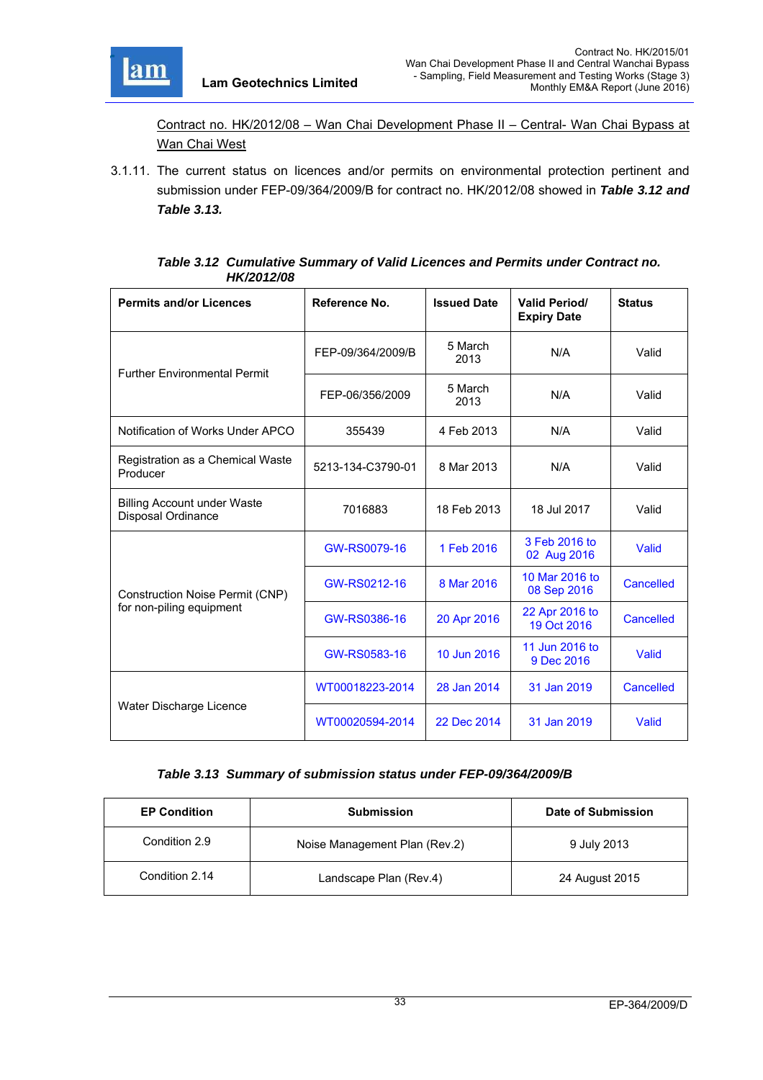

Contract no. HK/2012/08 – Wan Chai Development Phase II – Central- Wan Chai Bypass at Wan Chai West

3.1.11. The current status on licences and/or permits on environmental protection pertinent and submission under FEP-09/364/2009/B for contract no. HK/2012/08 showed in *Table 3.12 and Table 3.13.*

| Table 3.12 Cumulative Summary of Valid Licences and Permits under Contract no. |
|--------------------------------------------------------------------------------|
| <b>HK/2012/08</b>                                                              |

| <b>Permits and/or Licences</b>                                  | Reference No.     | <b>Issued Date</b> | <b>Valid Period/</b><br><b>Expiry Date</b> | <b>Status</b>    |
|-----------------------------------------------------------------|-------------------|--------------------|--------------------------------------------|------------------|
| <b>Further Environmental Permit</b>                             | FEP-09/364/2009/B | 5 March<br>2013    | N/A                                        | Valid            |
|                                                                 | FEP-06/356/2009   | 5 March<br>2013    | N/A                                        | Valid            |
| Notification of Works Under APCO                                | 355439            | 4 Feb 2013         | N/A                                        | Valid            |
| Registration as a Chemical Waste<br>Producer                    | 5213-134-C3790-01 | 8 Mar 2013         | N/A                                        | Valid            |
| <b>Billing Account under Waste</b><br><b>Disposal Ordinance</b> | 7016883           | 18 Feb 2013        | 18 Jul 2017                                | Valid            |
|                                                                 | GW-RS0079-16      | 1 Feb 2016         | 3 Feb 2016 to<br>02 Aug 2016               | Valid            |
| Construction Noise Permit (CNP)                                 | GW-RS0212-16      | 8 Mar 2016         | 10 Mar 2016 to<br>08 Sep 2016              | Cancelled        |
| for non-piling equipment                                        | GW-RS0386-16      | 20 Apr 2016        | 22 Apr 2016 to<br>19 Oct 2016              | <b>Cancelled</b> |
|                                                                 | GW-RS0583-16      | 10 Jun 2016        | 11 Jun 2016 to<br>9 Dec 2016               | Valid            |
|                                                                 | WT00018223-2014   | 28 Jan 2014        | 31 Jan 2019                                | Cancelled        |
| Water Discharge Licence                                         | WT00020594-2014   | 22 Dec 2014        | 31 Jan 2019                                | Valid            |

## *Table 3.13 Summary of submission status under FEP-09/364/2009/B*

| <b>EP Condition</b> | <b>Submission</b>             | Date of Submission |  |
|---------------------|-------------------------------|--------------------|--|
| Condition 2.9       | Noise Management Plan (Rev.2) | 9 July 2013        |  |
| Condition 2.14      | Landscape Plan (Rev.4)        | 24 August 2015     |  |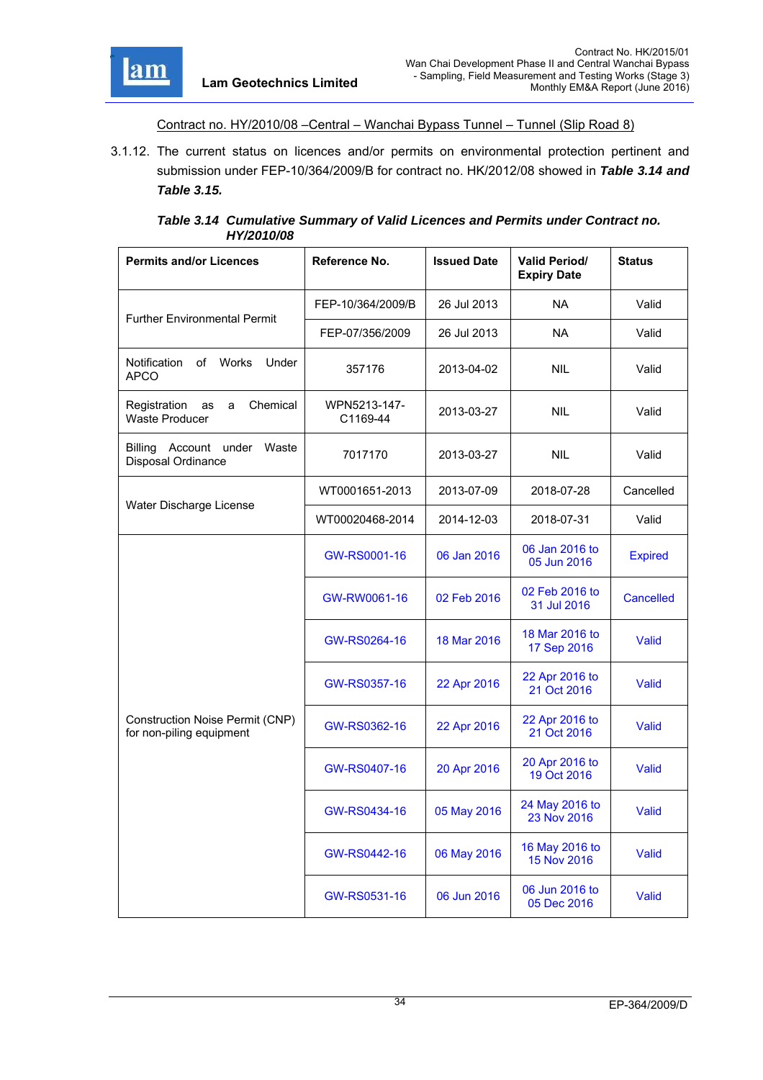

Contract no. HY/2010/08 –Central – Wanchai Bypass Tunnel – Tunnel (Slip Road 8)

3.1.12. The current status on licences and/or permits on environmental protection pertinent and submission under FEP-10/364/2009/B for contract no. HK/2012/08 showed in *Table 3.14 and Table 3.15.*

| Table 3.14 Cumulative Summary of Valid Licences and Permits under Contract no. |
|--------------------------------------------------------------------------------|
| HY/2010/08                                                                     |

| <b>Permits and/or Licences</b>                               | Reference No.            | <b>Issued Date</b> | <b>Valid Period/</b><br><b>Expiry Date</b> | <b>Status</b>    |
|--------------------------------------------------------------|--------------------------|--------------------|--------------------------------------------|------------------|
|                                                              | FEP-10/364/2009/B        | 26 Jul 2013        | <b>NA</b>                                  | Valid            |
| <b>Further Environmental Permit</b>                          | FEP-07/356/2009          | 26 Jul 2013        | <b>NA</b>                                  | Valid            |
| <b>Notification</b><br>οf<br>Works<br>Under<br><b>APCO</b>   | 357176                   | 2013-04-02         | <b>NIL</b>                                 | Valid            |
| Chemical<br>Registration<br>as<br>a<br><b>Waste Producer</b> | WPN5213-147-<br>C1169-44 | 2013-03-27         | <b>NIL</b>                                 | Valid            |
| Billing<br>Account under<br>Waste<br>Disposal Ordinance      | 7017170                  | 2013-03-27         | <b>NIL</b>                                 | Valid            |
| Water Discharge License                                      | WT0001651-2013           | 2013-07-09         | 2018-07-28                                 | Cancelled        |
|                                                              | WT00020468-2014          | 2014-12-03         | 2018-07-31                                 | Valid            |
|                                                              | GW-RS0001-16             | 06 Jan 2016        | 06 Jan 2016 to<br>05 Jun 2016              | <b>Expired</b>   |
|                                                              | GW-RW0061-16             | 02 Feb 2016        | 02 Feb 2016 to<br>31 Jul 2016              | <b>Cancelled</b> |
|                                                              | GW-RS0264-16             | 18 Mar 2016        | 18 Mar 2016 to<br>17 Sep 2016              | Valid            |
|                                                              | GW-RS0357-16             | 22 Apr 2016        | 22 Apr 2016 to<br>21 Oct 2016              | Valid            |
| Construction Noise Permit (CNP)<br>for non-piling equipment  | GW-RS0362-16             | 22 Apr 2016        | 22 Apr 2016 to<br>21 Oct 2016              | Valid            |
|                                                              | GW-RS0407-16             | 20 Apr 2016        | 20 Apr 2016 to<br>19 Oct 2016              | Valid            |
|                                                              | GW-RS0434-16             | 05 May 2016        | 24 May 2016 to<br>23 Nov 2016              | Valid            |
|                                                              | GW-RS0442-16             | 06 May 2016        | 16 May 2016 to<br>15 Nov 2016              | Valid            |
|                                                              | GW-RS0531-16             | 06 Jun 2016        | 06 Jun 2016 to<br>05 Dec 2016              | Valid            |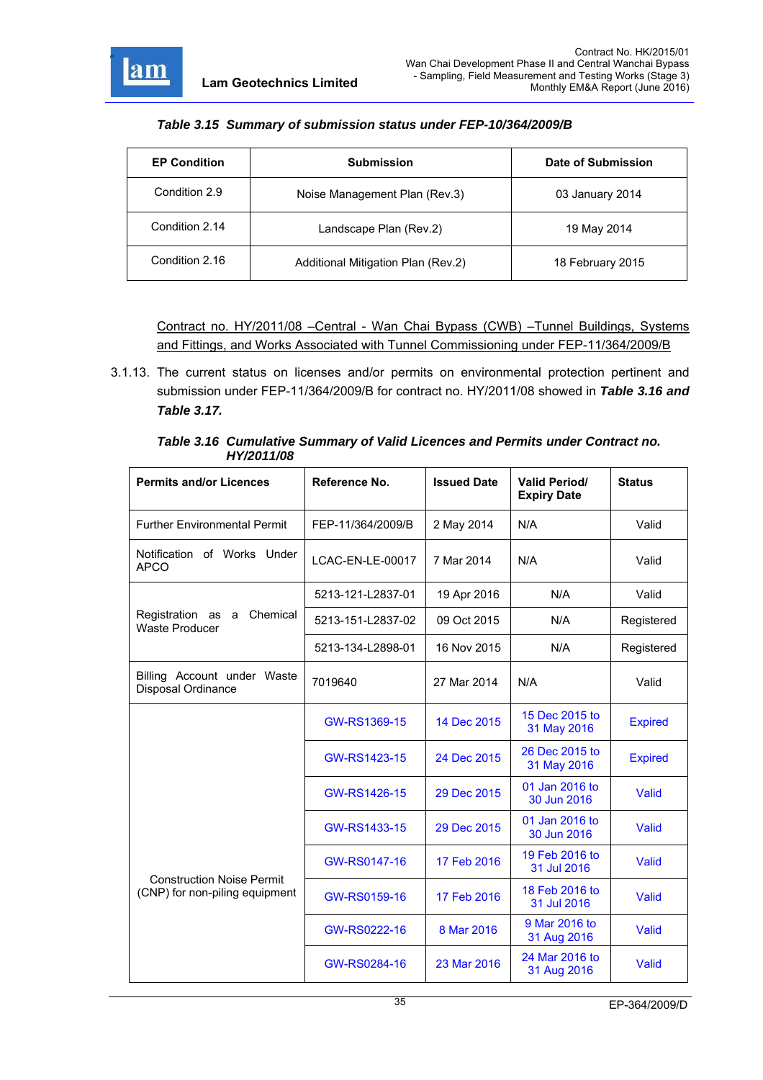

#### *Table 3.15 Summary of submission status under FEP-10/364/2009/B*

| <b>EP Condition</b> | <b>Submission</b>                  | Date of Submission |
|---------------------|------------------------------------|--------------------|
| Condition 2.9       | Noise Management Plan (Rev.3)      | 03 January 2014    |
| Condition 2.14      | Landscape Plan (Rev.2)             | 19 May 2014        |
| Condition 2.16      | Additional Mitigation Plan (Rev.2) | 18 February 2015   |

Contract no. HY/2011/08 –Central - Wan Chai Bypass (CWB) –Tunnel Buildings, Systems and Fittings, and Works Associated with Tunnel Commissioning under FEP-11/364/2009/B

3.1.13. The current status on licenses and/or permits on environmental protection pertinent and submission under FEP-11/364/2009/B for contract no. HY/2011/08 showed in *Table 3.16 and Table 3.17.*

| <b>Permits and/or Licences</b>                      | Reference No.     | <b>Issued Date</b> | <b>Valid Period/</b><br><b>Expiry Date</b> | <b>Status</b>  |
|-----------------------------------------------------|-------------------|--------------------|--------------------------------------------|----------------|
| <b>Further Environmental Permit</b>                 | FEP-11/364/2009/B | 2 May 2014         | N/A                                        | Valid          |
| Notification of Works Under<br><b>APCO</b>          | LCAC-EN-LE-00017  | 7 Mar 2014         | N/A                                        | Valid          |
|                                                     | 5213-121-L2837-01 | 19 Apr 2016        | N/A                                        | Valid          |
| Registration as a Chemical<br><b>Waste Producer</b> | 5213-151-L2837-02 | 09 Oct 2015        | N/A                                        | Registered     |
|                                                     | 5213-134-L2898-01 | 16 Nov 2015        | N/A                                        | Registered     |
| Billing Account under Waste<br>Disposal Ordinance   | 7019640           | 27 Mar 2014        | N/A                                        | Valid          |
|                                                     | GW-RS1369-15      | 14 Dec 2015        | 15 Dec 2015 to<br>31 May 2016              | <b>Expired</b> |
|                                                     | GW-RS1423-15      | 24 Dec 2015        | 26 Dec 2015 to<br>31 May 2016              | <b>Expired</b> |
|                                                     | GW-RS1426-15      | 29 Dec 2015        | 01 Jan 2016 to<br>30 Jun 2016              | Valid          |
|                                                     | GW-RS1433-15      | 29 Dec 2015        | 01 Jan 2016 to<br>30 Jun 2016              | Valid          |
| <b>Construction Noise Permit</b>                    | GW-RS0147-16      | 17 Feb 2016        | 19 Feb 2016 to<br>31 Jul 2016              | Valid          |
| (CNP) for non-piling equipment                      | GW-RS0159-16      | 17 Feb 2016        | 18 Feb 2016 to<br>31 Jul 2016              | Valid          |
|                                                     | GW-RS0222-16      | 8 Mar 2016         | 9 Mar 2016 to<br>31 Aug 2016               | Valid          |
|                                                     | GW-RS0284-16      | 23 Mar 2016        | 24 Mar 2016 to<br>31 Aug 2016              | Valid          |

*Table 3.16 Cumulative Summary of Valid Licences and Permits under Contract no. HY/2011/08*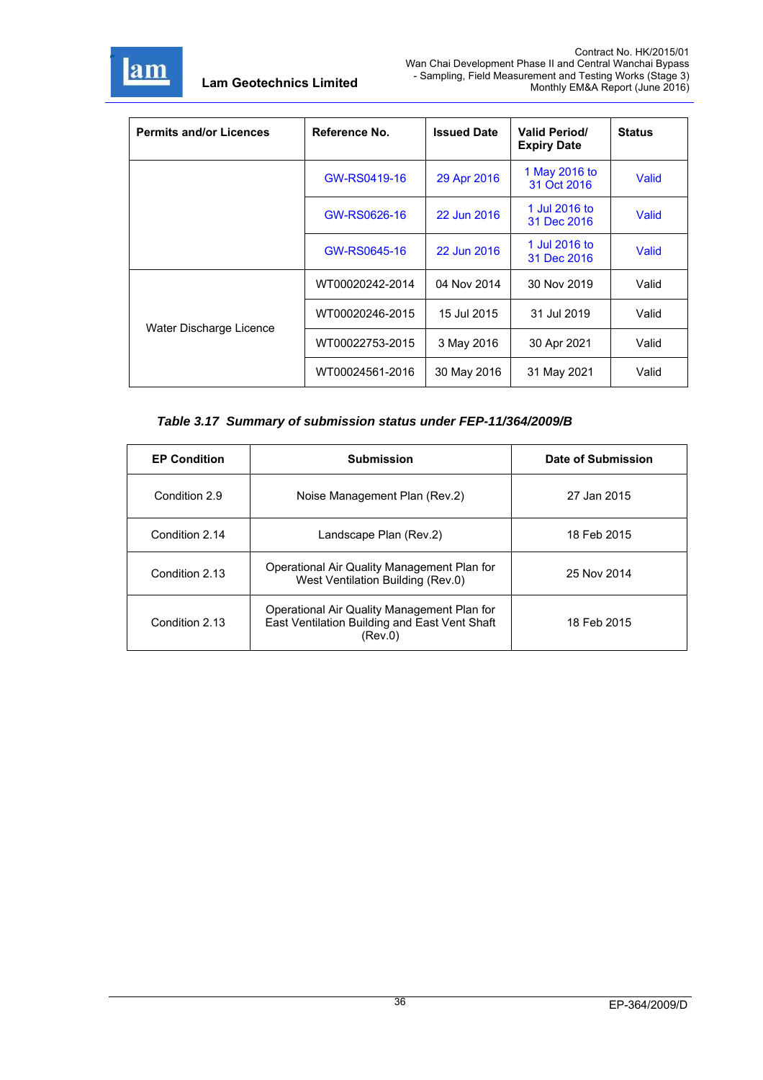

| <b>Permits and/or Licences</b> | Reference No.   | <b>Issued Date</b> | <b>Valid Period/</b><br><b>Expiry Date</b> | <b>Status</b> |
|--------------------------------|-----------------|--------------------|--------------------------------------------|---------------|
|                                | GW-RS0419-16    | 29 Apr 2016        | 1 May 2016 to<br>31 Oct 2016               | Valid         |
|                                | GW-RS0626-16    | 22 Jun 2016        | 1 Jul 2016 to<br>31 Dec 2016               | Valid         |
|                                | GW-RS0645-16    | 22 Jun 2016        | 1 Jul 2016 to<br>31 Dec 2016               | Valid         |
|                                | WT00020242-2014 | 04 Nov 2014        | 30 Nov 2019                                | Valid         |
| Water Discharge Licence        | WT00020246-2015 | 15 Jul 2015        | 31 Jul 2019                                | Valid         |
|                                | WT00022753-2015 | 3 May 2016         | 30 Apr 2021                                | Valid         |
|                                | WT00024561-2016 | 30 May 2016        | 31 May 2021                                | Valid         |

# *Table 3.17 Summary of submission status under FEP-11/364/2009/B*

| <b>EP Condition</b> | <b>Submission</b>                                                                                       | Date of Submission |
|---------------------|---------------------------------------------------------------------------------------------------------|--------------------|
| Condition 2.9       | Noise Management Plan (Rev.2)                                                                           | 27 Jan 2015        |
| Condition 2.14      | Landscape Plan (Rev.2)                                                                                  | 18 Feb 2015        |
| Condition 2.13      | Operational Air Quality Management Plan for<br>West Ventilation Building (Rev.0)                        | 25 Nov 2014        |
| Condition 2.13      | Operational Air Quality Management Plan for<br>East Ventilation Building and East Vent Shaft<br>(Rev.0) | 18 Feb 2015        |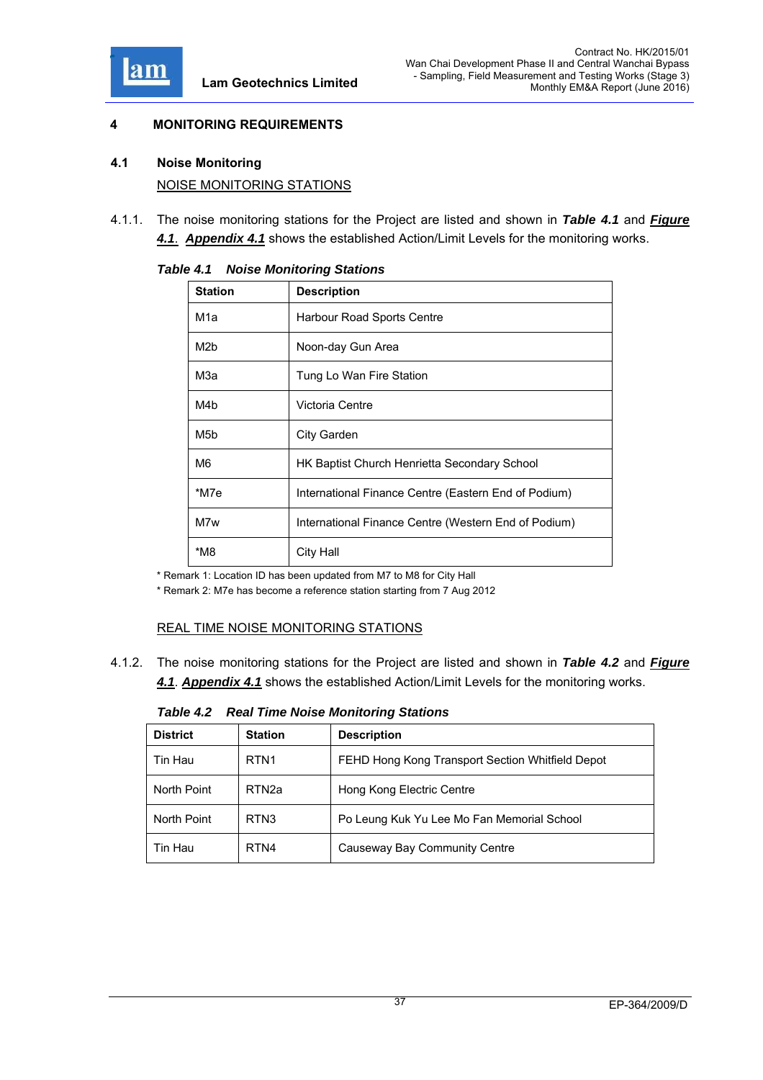

### **4 MONITORING REQUIREMENTS**

### **4.1 Noise Monitoring**

NOISE MONITORING STATIONS

4.1.1. The noise monitoring stations for the Project are listed and shown in *Table 4.1* and *Figure 4.1*. *Appendix 4.1* shows the established Action/Limit Levels for the monitoring works.

| <b>Station</b>   | <b>Description</b>                                   |  |
|------------------|------------------------------------------------------|--|
| M1a              | Harbour Road Sports Centre                           |  |
| M <sub>2</sub> b | Noon-day Gun Area                                    |  |
| МЗа              | Tung Lo Wan Fire Station                             |  |
| M4b              | Victoria Centre                                      |  |
| M <sub>5</sub> b | City Garden                                          |  |
| M6               | <b>HK Baptist Church Henrietta Secondary School</b>  |  |
| *M7e             | International Finance Centre (Eastern End of Podium) |  |
| M7w              | International Finance Centre (Western End of Podium) |  |
| *M8              | City Hall                                            |  |

*Table 4.1 Noise Monitoring Stations* 

\* Remark 1: Location ID has been updated from M7 to M8 for City Hall

\* Remark 2: M7e has become a reference station starting from 7 Aug 2012

# REAL TIME NOISE MONITORING STATIONS

4.1.2. The noise monitoring stations for the Project are listed and shown in *Table 4.2* and *Figure 4.1*. *Appendix 4.1* shows the established Action/Limit Levels for the monitoring works.

*Table 4.2 Real Time Noise Monitoring Stations* 

| <b>District</b> | <b>Station</b>    | <b>Description</b>                               |
|-----------------|-------------------|--------------------------------------------------|
| Tin Hau         | RTN <sub>1</sub>  | FEHD Hong Kong Transport Section Whitfield Depot |
| North Point     | RTN <sub>2a</sub> | Hong Kong Electric Centre                        |
| North Point     | RTN <sub>3</sub>  | Po Leung Kuk Yu Lee Mo Fan Memorial School       |
| Tin Hau         | RTN4              | Causeway Bay Community Centre                    |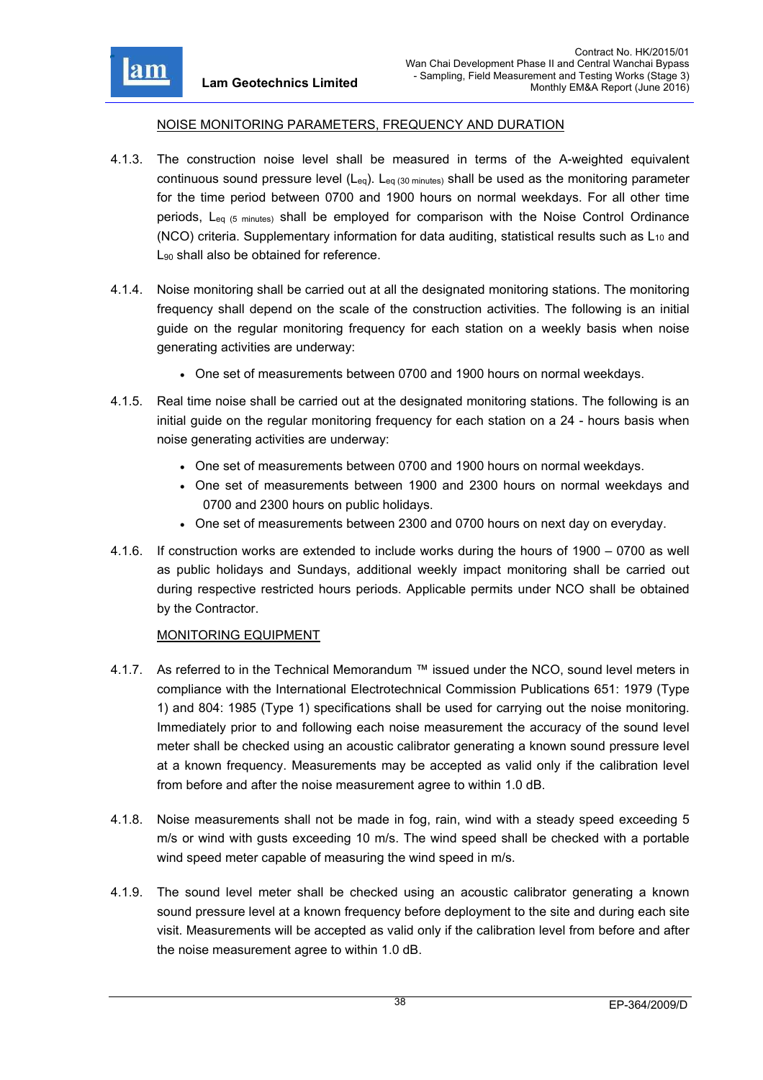

#### NOISE MONITORING PARAMETERS, FREQUENCY AND DURATION

- 4.1.3. The construction noise level shall be measured in terms of the A-weighted equivalent continuous sound pressure level  $(L_{eq})$ .  $L_{eq}$  (30 minutes) shall be used as the monitoring parameter for the time period between 0700 and 1900 hours on normal weekdays. For all other time periods, L<sub>eq (5 minutes)</sub> shall be employed for comparison with the Noise Control Ordinance (NCO) criteria. Supplementary information for data auditing, statistical results such as  $L_{10}$  and L<sub>90</sub> shall also be obtained for reference.
- 4.1.4. Noise monitoring shall be carried out at all the designated monitoring stations. The monitoring frequency shall depend on the scale of the construction activities. The following is an initial guide on the regular monitoring frequency for each station on a weekly basis when noise generating activities are underway:
	- One set of measurements between 0700 and 1900 hours on normal weekdays.
- 4.1.5. Real time noise shall be carried out at the designated monitoring stations. The following is an initial guide on the regular monitoring frequency for each station on a 24 - hours basis when noise generating activities are underway:
	- One set of measurements between 0700 and 1900 hours on normal weekdays.
	- One set of measurements between 1900 and 2300 hours on normal weekdays and 0700 and 2300 hours on public holidays.
	- One set of measurements between 2300 and 0700 hours on next day on everyday.
- 4.1.6. If construction works are extended to include works during the hours of 1900 0700 as well as public holidays and Sundays, additional weekly impact monitoring shall be carried out during respective restricted hours periods. Applicable permits under NCO shall be obtained by the Contractor.

### MONITORING EQUIPMENT

- 4.1.7. As referred to in the Technical Memorandum ™ issued under the NCO, sound level meters in compliance with the International Electrotechnical Commission Publications 651: 1979 (Type 1) and 804: 1985 (Type 1) specifications shall be used for carrying out the noise monitoring. Immediately prior to and following each noise measurement the accuracy of the sound level meter shall be checked using an acoustic calibrator generating a known sound pressure level at a known frequency. Measurements may be accepted as valid only if the calibration level from before and after the noise measurement agree to within 1.0 dB.
- 4.1.8. Noise measurements shall not be made in fog, rain, wind with a steady speed exceeding 5 m/s or wind with gusts exceeding 10 m/s. The wind speed shall be checked with a portable wind speed meter capable of measuring the wind speed in m/s.
- 4.1.9. The sound level meter shall be checked using an acoustic calibrator generating a known sound pressure level at a known frequency before deployment to the site and during each site visit. Measurements will be accepted as valid only if the calibration level from before and after the noise measurement agree to within 1.0 dB.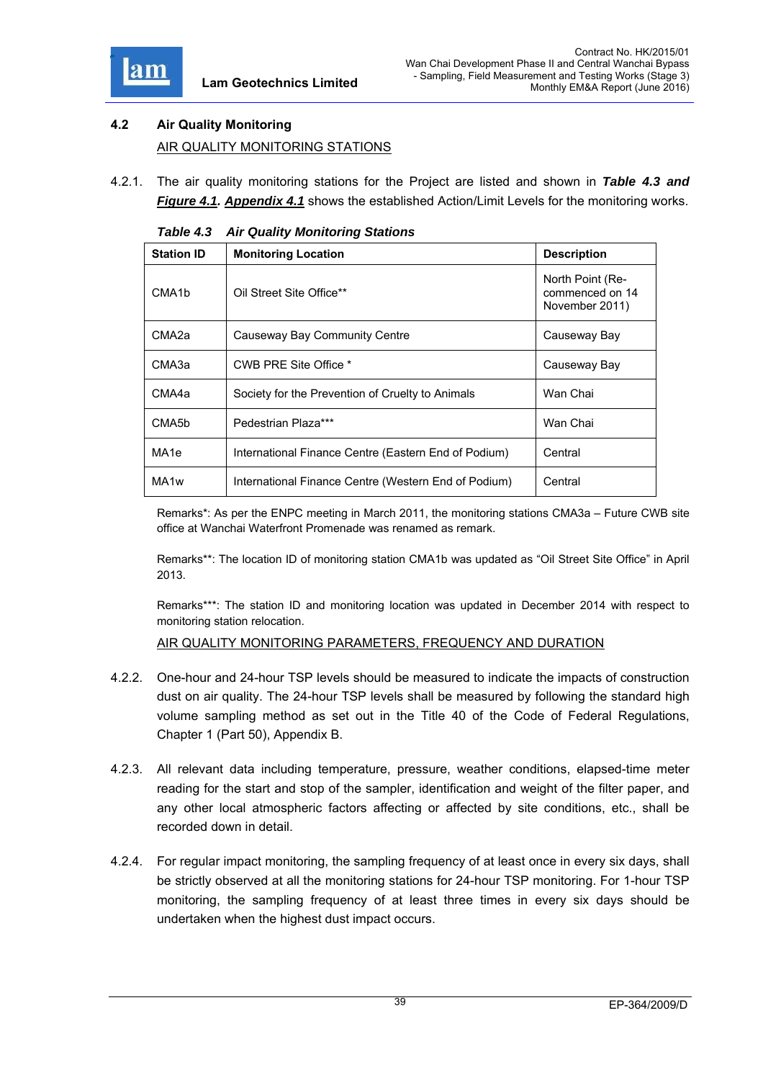

# **4.2 Air Quality Monitoring**  AIR QUALITY MONITORING STATIONS

4.2.1. The air quality monitoring stations for the Project are listed and shown in *Table 4.3 and Figure 4.1. Appendix 4.1* shows the established Action/Limit Levels for the monitoring works.

| The guanty monitoring otherwise |                                                      |                                                       |  |
|---------------------------------|------------------------------------------------------|-------------------------------------------------------|--|
| <b>Station ID</b>               | <b>Monitoring Location</b>                           | <b>Description</b>                                    |  |
| CMA <sub>1</sub> b              | Oil Street Site Office**                             | North Point (Re-<br>commenced on 14<br>November 2011) |  |
| CMA <sub>2a</sub>               | Causeway Bay Community Centre                        | Causeway Bay                                          |  |
| CMA3a                           | CWB PRE Site Office *                                | Causeway Bay                                          |  |
| CMA4a                           | Society for the Prevention of Cruelty to Animals     | Wan Chai                                              |  |
| CMA <sub>5</sub> b              | Pedestrian Plaza***                                  | Wan Chai                                              |  |
| MA <sub>1e</sub>                | International Finance Centre (Eastern End of Podium) | Central                                               |  |
| MA <sub>1w</sub>                | International Finance Centre (Western End of Podium) | Central                                               |  |

*Table 4.3 Air Quality Monitoring Stations* 

Remarks\*: As per the ENPC meeting in March 2011, the monitoring stations CMA3a – Future CWB site office at Wanchai Waterfront Promenade was renamed as remark.

Remarks\*\*: The location ID of monitoring station CMA1b was updated as "Oil Street Site Office" in April 2013.

Remarks\*\*\*: The station ID and monitoring location was updated in December 2014 with respect to monitoring station relocation.

AIR QUALITY MONITORING PARAMETERS, FREQUENCY AND DURATION

- 4.2.2. One-hour and 24-hour TSP levels should be measured to indicate the impacts of construction dust on air quality. The 24-hour TSP levels shall be measured by following the standard high volume sampling method as set out in the Title 40 of the Code of Federal Regulations, Chapter 1 (Part 50), Appendix B.
- 4.2.3. All relevant data including temperature, pressure, weather conditions, elapsed-time meter reading for the start and stop of the sampler, identification and weight of the filter paper, and any other local atmospheric factors affecting or affected by site conditions, etc., shall be recorded down in detail.
- 4.2.4. For regular impact monitoring, the sampling frequency of at least once in every six days, shall be strictly observed at all the monitoring stations for 24-hour TSP monitoring. For 1-hour TSP monitoring, the sampling frequency of at least three times in every six days should be undertaken when the highest dust impact occurs.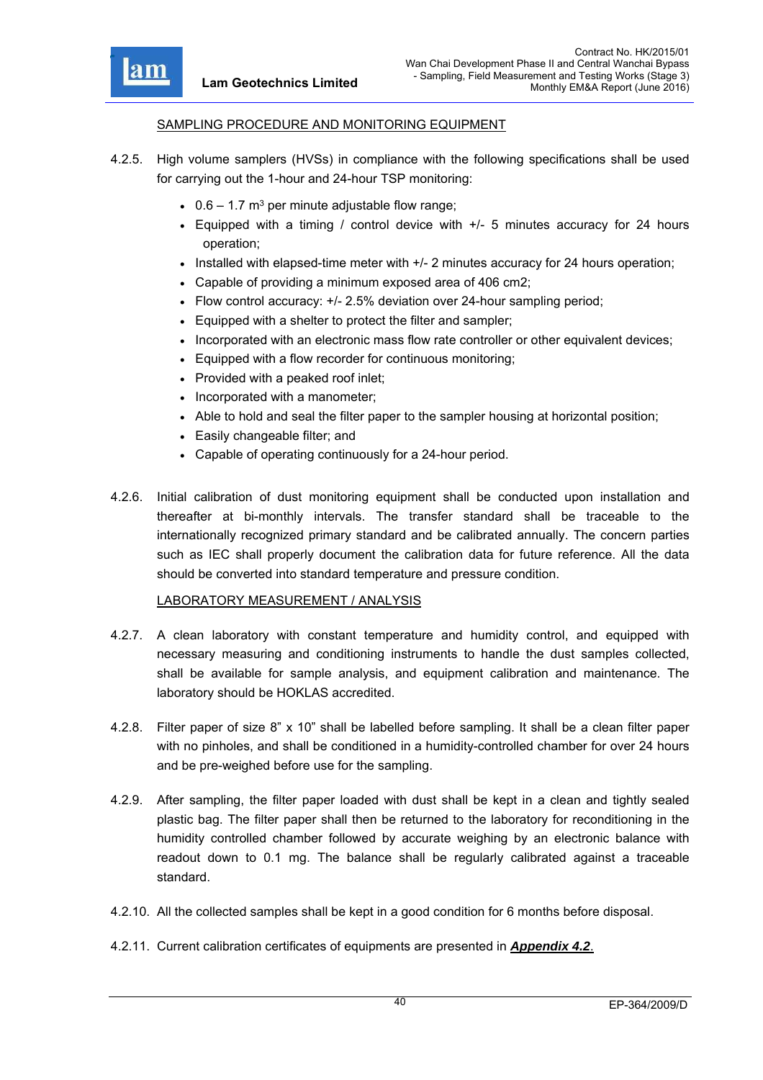

#### SAMPLING PROCEDURE AND MONITORING EQUIPMENT

- 4.2.5. High volume samplers (HVSs) in compliance with the following specifications shall be used for carrying out the 1-hour and 24-hour TSP monitoring:
	- $\cdot$  0.6 1.7 m<sup>3</sup> per minute adjustable flow range;
	- Equipped with a timing / control device with +/- 5 minutes accuracy for 24 hours operation;
	- $\bullet$  Installed with elapsed-time meter with  $+/$  2 minutes accuracy for 24 hours operation;
	- Capable of providing a minimum exposed area of 406 cm2;
	- Flow control accuracy: +/- 2.5% deviation over 24-hour sampling period;
	- Equipped with a shelter to protect the filter and sampler;
	- Incorporated with an electronic mass flow rate controller or other equivalent devices;
	- Equipped with a flow recorder for continuous monitoring;
	- Provided with a peaked roof inlet;
	- Incorporated with a manometer;
	- Able to hold and seal the filter paper to the sampler housing at horizontal position;
	- Easily changeable filter; and
	- Capable of operating continuously for a 24-hour period.
- 4.2.6. Initial calibration of dust monitoring equipment shall be conducted upon installation and thereafter at bi-monthly intervals. The transfer standard shall be traceable to the internationally recognized primary standard and be calibrated annually. The concern parties such as IEC shall properly document the calibration data for future reference. All the data should be converted into standard temperature and pressure condition.

#### LABORATORY MEASUREMENT / ANALYSIS

- 4.2.7. A clean laboratory with constant temperature and humidity control, and equipped with necessary measuring and conditioning instruments to handle the dust samples collected, shall be available for sample analysis, and equipment calibration and maintenance. The laboratory should be HOKLAS accredited.
- 4.2.8. Filter paper of size 8" x 10" shall be labelled before sampling. It shall be a clean filter paper with no pinholes, and shall be conditioned in a humidity-controlled chamber for over 24 hours and be pre-weighed before use for the sampling.
- 4.2.9. After sampling, the filter paper loaded with dust shall be kept in a clean and tightly sealed plastic bag. The filter paper shall then be returned to the laboratory for reconditioning in the humidity controlled chamber followed by accurate weighing by an electronic balance with readout down to 0.1 mg. The balance shall be regularly calibrated against a traceable standard.
- 4.2.10. All the collected samples shall be kept in a good condition for 6 months before disposal.
- 4.2.11. Current calibration certificates of equipments are presented in *Appendix 4.2*.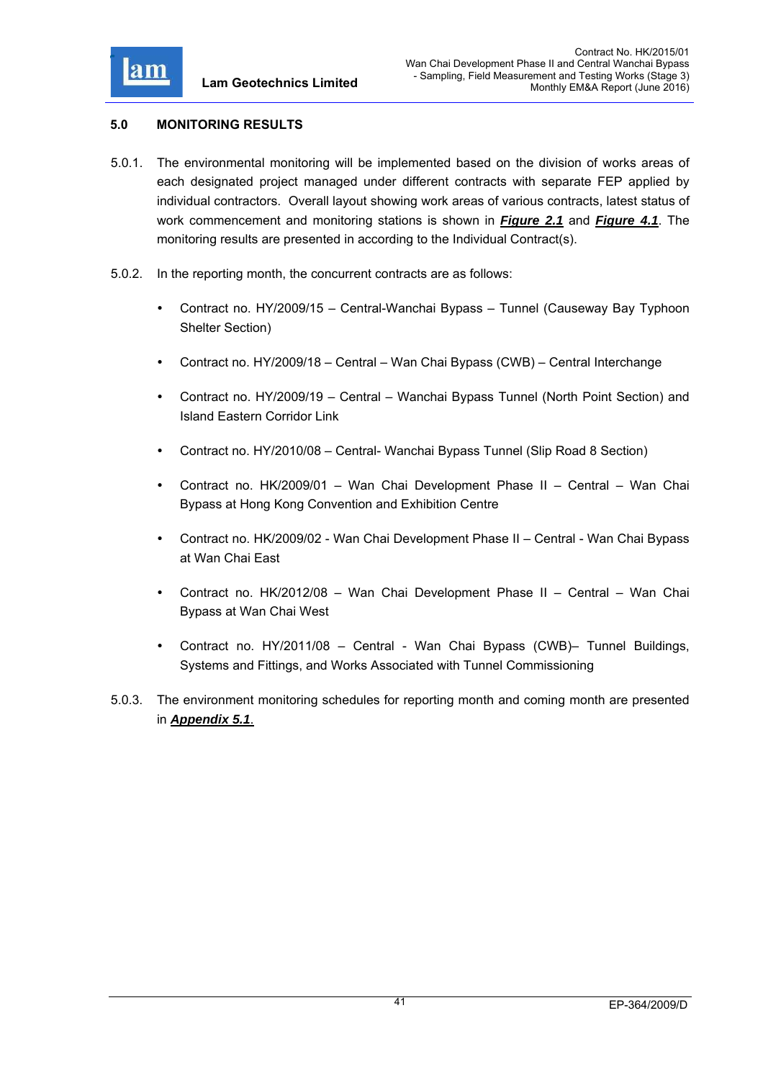

### **5.0 MONITORING RESULTS**

- 5.0.1. The environmental monitoring will be implemented based on the division of works areas of each designated project managed under different contracts with separate FEP applied by individual contractors. Overall layout showing work areas of various contracts, latest status of work commencement and monitoring stations is shown in *Figure 2.1* and *Figure 4.1*. The monitoring results are presented in according to the Individual Contract(s).
- 5.0.2. In the reporting month, the concurrent contracts are as follows:
	- Contract no. HY/2009/15 Central-Wanchai Bypass Tunnel (Causeway Bay Typhoon Shelter Section)
	- Contract no. HY/2009/18 Central Wan Chai Bypass (CWB) Central Interchange
	- Contract no. HY/2009/19 Central Wanchai Bypass Tunnel (North Point Section) and Island Eastern Corridor Link
	- Contract no. HY/2010/08 Central- Wanchai Bypass Tunnel (Slip Road 8 Section)
	- Contract no. HK/2009/01 Wan Chai Development Phase II Central Wan Chai Bypass at Hong Kong Convention and Exhibition Centre
	- Contract no. HK/2009/02 Wan Chai Development Phase II Central Wan Chai Bypass at Wan Chai East
	- Contract no. HK/2012/08 Wan Chai Development Phase II Central Wan Chai Bypass at Wan Chai West
	- Contract no. HY/2011/08 Central Wan Chai Bypass (CWB)– Tunnel Buildings, Systems and Fittings, and Works Associated with Tunnel Commissioning
- 5.0.3. The environment monitoring schedules for reporting month and coming month are presented in *Appendix 5.1*.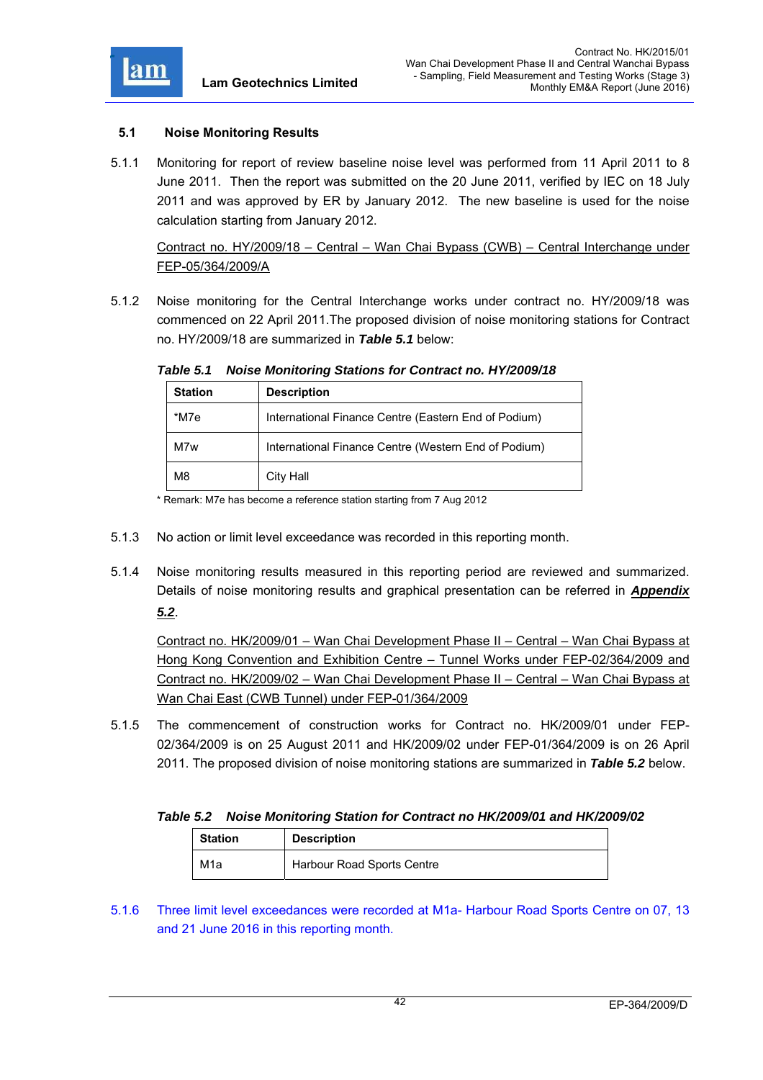

### **5.1 Noise Monitoring Results**

5.1.1 Monitoring for report of review baseline noise level was performed from 11 April 2011 to 8 June 2011. Then the report was submitted on the 20 June 2011, verified by IEC on 18 July 2011 and was approved by ER by January 2012. The new baseline is used for the noise calculation starting from January 2012.

Contract no. HY/2009/18 – Central – Wan Chai Bypass (CWB) – Central Interchange under FEP-05/364/2009/A

5.1.2 Noise monitoring for the Central Interchange works under contract no. HY/2009/18 was commenced on 22 April 2011.The proposed division of noise monitoring stations for Contract no. HY/2009/18 are summarized in *Table 5.1* below:

| <b>Station</b> | <b>Description</b>                                   |
|----------------|------------------------------------------------------|
| *M7e           | International Finance Centre (Eastern End of Podium) |
| M7w            | International Finance Centre (Western End of Podium) |
| M8             | City Hall                                            |

*Table 5.1 Noise Monitoring Stations for Contract no. HY/2009/18* 

\* Remark: M7e has become a reference station starting from 7 Aug 2012

- 5.1.3 No action or limit level exceedance was recorded in this reporting month.
- 5.1.4 Noise monitoring results measured in this reporting period are reviewed and summarized. Details of noise monitoring results and graphical presentation can be referred in *Appendix 5.2*.

Contract no. HK/2009/01 – Wan Chai Development Phase II – Central – Wan Chai Bypass at Hong Kong Convention and Exhibition Centre – Tunnel Works under FEP-02/364/2009 and Contract no. HK/2009/02 – Wan Chai Development Phase II – Central – Wan Chai Bypass at Wan Chai East (CWB Tunnel) under FEP-01/364/2009

5.1.5 The commencement of construction works for Contract no. HK/2009/01 under FEP-02/364/2009 is on 25 August 2011 and HK/2009/02 under FEP-01/364/2009 is on 26 April 2011. The proposed division of noise monitoring stations are summarized in *Table 5.2* below.

### *Table 5.2 Noise Monitoring Station for Contract no HK/2009/01 and HK/2009/02*

| <b>Station</b>   | <b>Description</b>         |
|------------------|----------------------------|
| M <sub>1</sub> a | Harbour Road Sports Centre |

5.1.6 Three limit level exceedances were recorded at M1a- Harbour Road Sports Centre on 07, 13 and 21 June 2016 in this reporting month.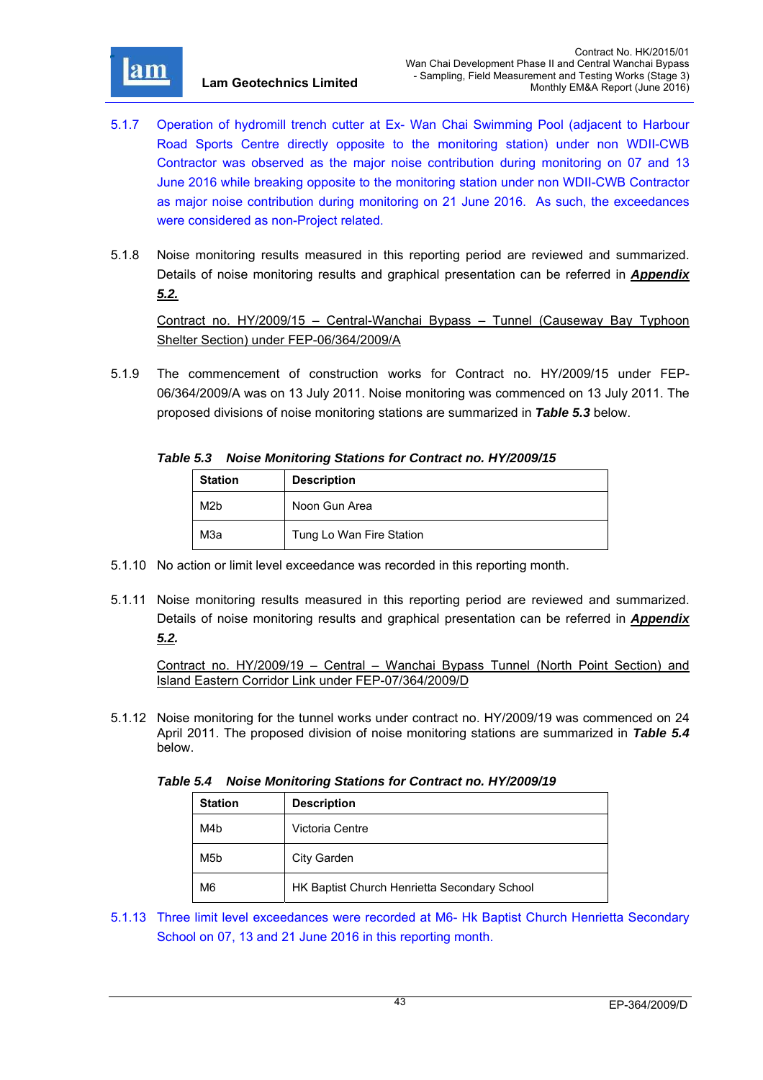

- 5.1.7 Operation of hydromill trench cutter at Ex- Wan Chai Swimming Pool (adjacent to Harbour Road Sports Centre directly opposite to the monitoring station) under non WDII-CWB Contractor was observed as the major noise contribution during monitoring on 07 and 13 June 2016 while breaking opposite to the monitoring station under non WDII-CWB Contractor as major noise contribution during monitoring on 21 June 2016. As such, the exceedances were considered as non-Project related.
- 5.1.8 Noise monitoring results measured in this reporting period are reviewed and summarized. Details of noise monitoring results and graphical presentation can be referred in *Appendix 5.2.*

Contract no. HY/2009/15 – Central-Wanchai Bypass – Tunnel (Causeway Bay Typhoon Shelter Section) under FEP-06/364/2009/A

5.1.9 The commencement of construction works for Contract no. HY/2009/15 under FEP-06/364/2009/A was on 13 July 2011. Noise monitoring was commenced on 13 July 2011. The proposed divisions of noise monitoring stations are summarized in *Table 5.3* below.

#### *Table 5.3 Noise Monitoring Stations for Contract no. HY/2009/15*

| <b>Station</b>   | <b>Description</b>       |  |
|------------------|--------------------------|--|
| M <sub>2</sub> b | Noon Gun Area            |  |
| МЗа              | Tung Lo Wan Fire Station |  |

- 5.1.10 No action or limit level exceedance was recorded in this reporting month.
- 5.1.11 Noise monitoring results measured in this reporting period are reviewed and summarized. Details of noise monitoring results and graphical presentation can be referred in *Appendix 5.2.*

Contract no. HY/2009/19 – Central – Wanchai Bypass Tunnel (North Point Section) and Island Eastern Corridor Link under FEP-07/364/2009/D

5.1.12 Noise monitoring for the tunnel works under contract no. HY/2009/19 was commenced on 24 April 2011. The proposed division of noise monitoring stations are summarized in *Table 5.4* below.

*Table 5.4 Noise Monitoring Stations for Contract no. HY/2009/19* 

| <b>Station</b> | <b>Description</b>                           |
|----------------|----------------------------------------------|
| M4b            | Victoria Centre                              |
| M5b            | City Garden                                  |
| M6             | HK Baptist Church Henrietta Secondary School |

5.1.13 Three limit level exceedances were recorded at M6- Hk Baptist Church Henrietta Secondary School on 07, 13 and 21 June 2016 in this reporting month.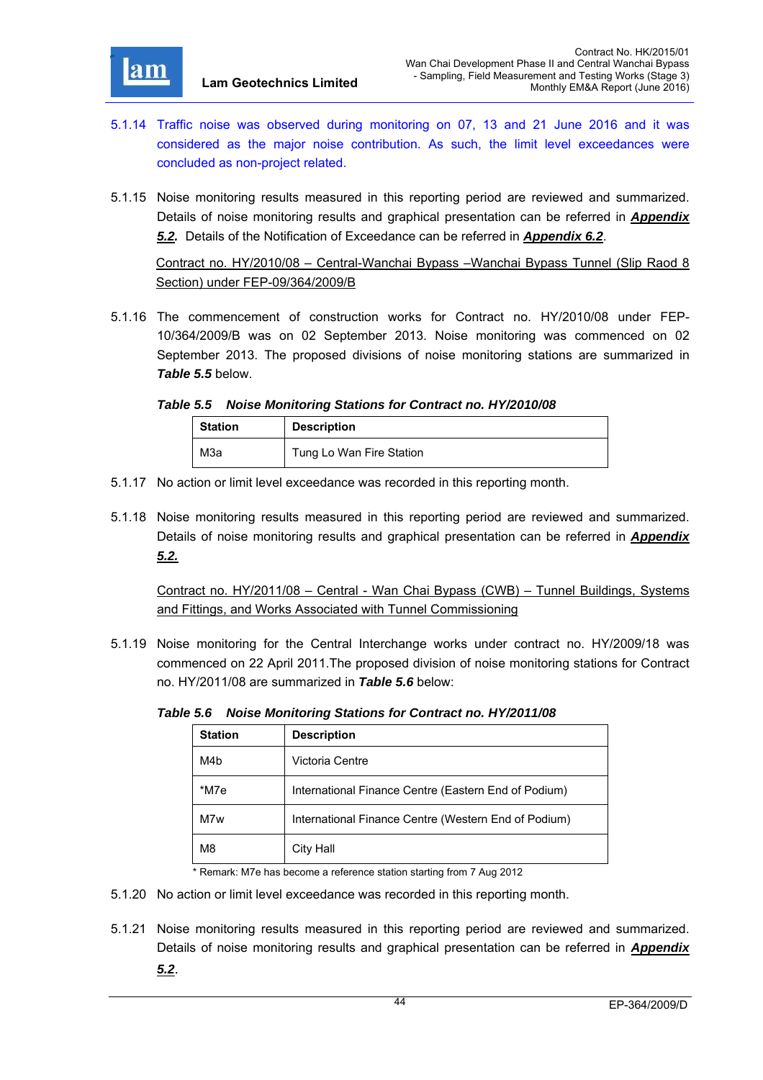

- 5.1.14 Traffic noise was observed during monitoring on 07, 13 and 21 June 2016 and it was considered as the major noise contribution. As such, the limit level exceedances were concluded as non-project related.
- 5.1.15 Noise monitoring results measured in this reporting period are reviewed and summarized. Details of noise monitoring results and graphical presentation can be referred in *Appendix 5.2.* Details of the Notification of Exceedance can be referred in *Appendix 6.2*.

Contract no. HY/2010/08 – Central-Wanchai Bypass –Wanchai Bypass Tunnel (Slip Raod 8 Section) under FEP-09/364/2009/B

5.1.16 The commencement of construction works for Contract no. HY/2010/08 under FEP-10/364/2009/B was on 02 September 2013. Noise monitoring was commenced on 02 September 2013. The proposed divisions of noise monitoring stations are summarized in *Table 5.5* below.

*Table 5.5 Noise Monitoring Stations for Contract no. HY/2010/08* 

| <b>Station</b> | <b>Description</b>       |
|----------------|--------------------------|
| МЗа            | Tung Lo Wan Fire Station |

- 5.1.17 No action or limit level exceedance was recorded in this reporting month.
- 5.1.18 Noise monitoring results measured in this reporting period are reviewed and summarized. Details of noise monitoring results and graphical presentation can be referred in *Appendix 5.2.*

Contract no. HY/2011/08 – Central - Wan Chai Bypass (CWB) – Tunnel Buildings, Systems and Fittings, and Works Associated with Tunnel Commissioning

5.1.19 Noise monitoring for the Central Interchange works under contract no. HY/2009/18 was commenced on 22 April 2011.The proposed division of noise monitoring stations for Contract no. HY/2011/08 are summarized in *Table 5.6* below:

| Table 5.6 Noise Monitoring Stations for Contract no. HY/2011/08 |  |  |  |  |  |
|-----------------------------------------------------------------|--|--|--|--|--|
|-----------------------------------------------------------------|--|--|--|--|--|

| <b>Station</b> | <b>Description</b>                                   |
|----------------|------------------------------------------------------|
| M4b            | Victoria Centre                                      |
| *M7e           | International Finance Centre (Eastern End of Podium) |
| M7w            | International Finance Centre (Western End of Podium) |
| M <sub>8</sub> | City Hall                                            |

\* Remark: M7e has become a reference station starting from 7 Aug 2012

- 5.1.20 No action or limit level exceedance was recorded in this reporting month.
- 5.1.21 Noise monitoring results measured in this reporting period are reviewed and summarized. Details of noise monitoring results and graphical presentation can be referred in *Appendix*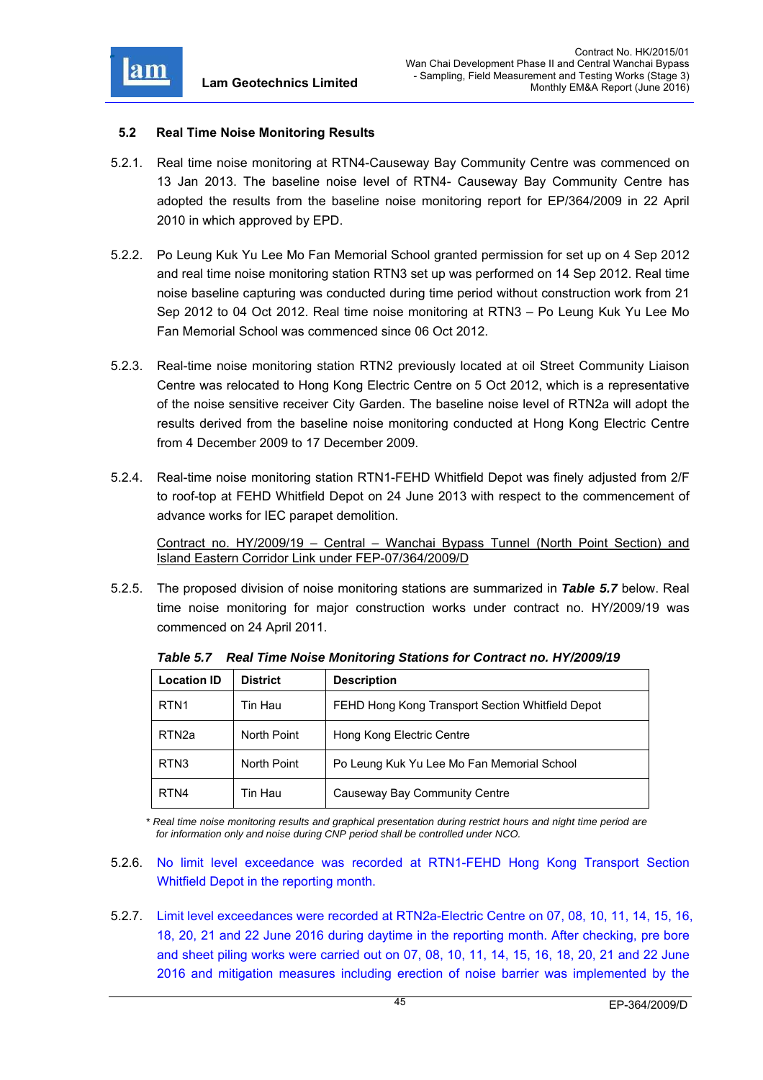

#### **5.2 Real Time Noise Monitoring Results**

- 5.2.1. Real time noise monitoring at RTN4-Causeway Bay Community Centre was commenced on 13 Jan 2013. The baseline noise level of RTN4- Causeway Bay Community Centre has adopted the results from the baseline noise monitoring report for EP/364/2009 in 22 April 2010 in which approved by EPD.
- 5.2.2. Po Leung Kuk Yu Lee Mo Fan Memorial School granted permission for set up on 4 Sep 2012 and real time noise monitoring station RTN3 set up was performed on 14 Sep 2012. Real time noise baseline capturing was conducted during time period without construction work from 21 Sep 2012 to 04 Oct 2012. Real time noise monitoring at RTN3 – Po Leung Kuk Yu Lee Mo Fan Memorial School was commenced since 06 Oct 2012.
- 5.2.3. Real-time noise monitoring station RTN2 previously located at oil Street Community Liaison Centre was relocated to Hong Kong Electric Centre on 5 Oct 2012, which is a representative of the noise sensitive receiver City Garden. The baseline noise level of RTN2a will adopt the results derived from the baseline noise monitoring conducted at Hong Kong Electric Centre from 4 December 2009 to 17 December 2009.
- 5.2.4. Real-time noise monitoring station RTN1-FEHD Whitfield Depot was finely adjusted from 2/F to roof-top at FEHD Whitfield Depot on 24 June 2013 with respect to the commencement of advance works for IEC parapet demolition.

Contract no. HY/2009/19 – Central – Wanchai Bypass Tunnel (North Point Section) and Island Eastern Corridor Link under FEP-07/364/2009/D

5.2.5. The proposed division of noise monitoring stations are summarized in *Table 5.7* below. Real time noise monitoring for major construction works under contract no. HY/2009/19 was commenced on 24 April 2011.

| <b>Location ID</b> | <b>District</b> | <b>Description</b>                               |
|--------------------|-----------------|--------------------------------------------------|
| RTN <sub>1</sub>   | Tin Hau         | FEHD Hong Kong Transport Section Whitfield Depot |
| RTN <sub>2a</sub>  | North Point     | Hong Kong Electric Centre                        |
| RTN <sub>3</sub>   | North Point     | Po Leung Kuk Yu Lee Mo Fan Memorial School       |
| RTN4               | Tin Hau         | Causeway Bay Community Centre                    |

*Table 5.7 Real Time Noise Monitoring Stations for Contract no. HY/2009/19* 

*\* Real time noise monitoring results and graphical presentation during restrict hours and night time period are for information only and noise during CNP period shall be controlled under NCO.* 

- 5.2.6. No limit level exceedance was recorded at RTN1-FEHD Hong Kong Transport Section Whitfield Depot in the reporting month.
- 5.2.7. Limit level exceedances were recorded at RTN2a-Electric Centre on 07, 08, 10, 11, 14, 15, 16, 18, 20, 21 and 22 June 2016 during daytime in the reporting month. After checking, pre bore and sheet piling works were carried out on 07, 08, 10, 11, 14, 15, 16, 18, 20, 21 and 22 June 2016 and mitigation measures including erection of noise barrier was implemented by the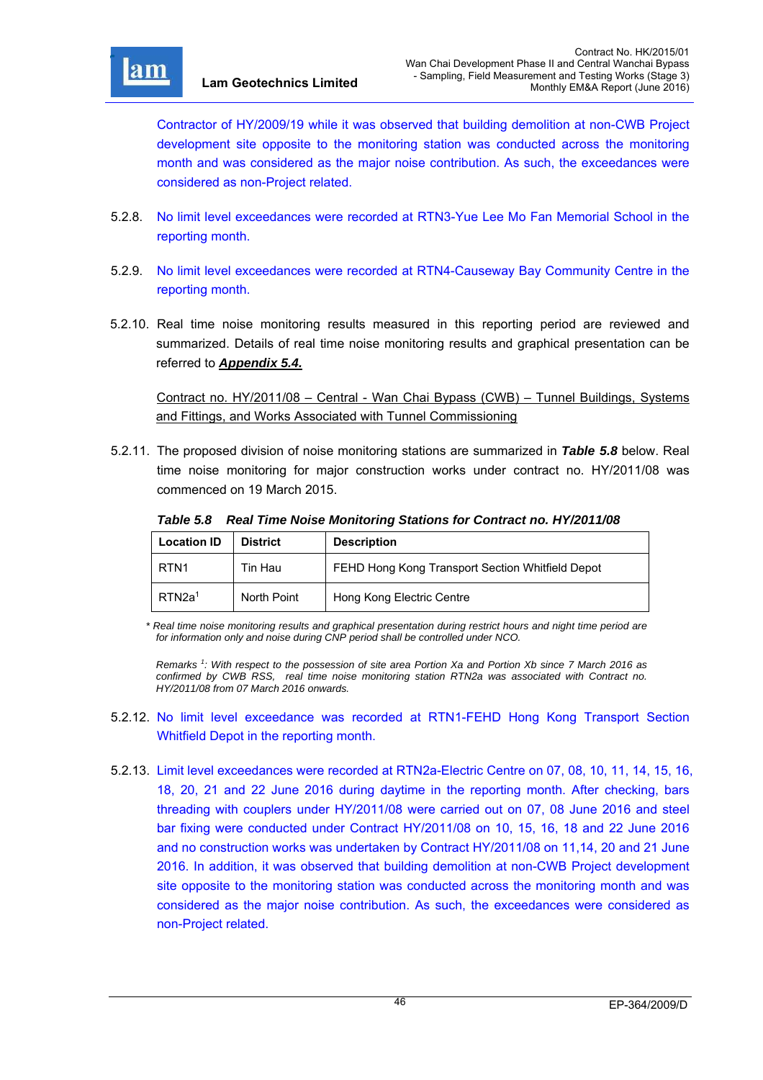

r

Contractor of HY/2009/19 while it was observed that building demolition at non-CWB Project development site opposite to the monitoring station was conducted across the monitoring month and was considered as the major noise contribution. As such, the exceedances were considered as non-Project related.

- 5.2.8. No limit level exceedances were recorded at RTN3-Yue Lee Mo Fan Memorial School in the reporting month.
- 5.2.9. No limit level exceedances were recorded at RTN4-Causeway Bay Community Centre in the reporting month.
- 5.2.10. Real time noise monitoring results measured in this reporting period are reviewed and summarized. Details of real time noise monitoring results and graphical presentation can be referred to *Appendix 5.4.*

Contract no. HY/2011/08 – Central - Wan Chai Bypass (CWB) – Tunnel Buildings, Systems and Fittings, and Works Associated with Tunnel Commissioning

5.2.11. The proposed division of noise monitoring stations are summarized in *Table 5.8* below. Real time noise monitoring for major construction works under contract no. HY/2011/08 was commenced on 19 March 2015.

| <b>Location ID</b> | <b>District</b> | <b>Description</b>                               |
|--------------------|-----------------|--------------------------------------------------|
| RTN <sub>1</sub>   | Tin Hau         | FEHD Hong Kong Transport Section Whitfield Depot |
| RTN2a <sup>1</sup> | North Point     | Hong Kong Electric Centre                        |

*Table 5.8 Real Time Noise Monitoring Stations for Contract no. HY/2011/08* 

*\* Real time noise monitoring results and graphical presentation during restrict hours and night time period are for information only and noise during CNP period shall be controlled under NCO.* 

*Remarks 1 : With respect to the possession of site area Portion Xa and Portion Xb since 7 March 2016 as confirmed by CWB RSS, real time noise monitoring station RTN2a was associated with Contract no. HY/2011/08 from 07 March 2016 onwards.* 

- 5.2.12. No limit level exceedance was recorded at RTN1-FEHD Hong Kong Transport Section Whitfield Depot in the reporting month.
- 5.2.13. Limit level exceedances were recorded at RTN2a-Electric Centre on 07, 08, 10, 11, 14, 15, 16, 18, 20, 21 and 22 June 2016 during daytime in the reporting month. After checking, bars threading with couplers under HY/2011/08 were carried out on 07, 08 June 2016 and steel bar fixing were conducted under Contract HY/2011/08 on 10, 15, 16, 18 and 22 June 2016 and no construction works was undertaken by Contract HY/2011/08 on 11,14, 20 and 21 June 2016. In addition, it was observed that building demolition at non-CWB Project development site opposite to the monitoring station was conducted across the monitoring month and was considered as the major noise contribution. As such, the exceedances were considered as non-Project related.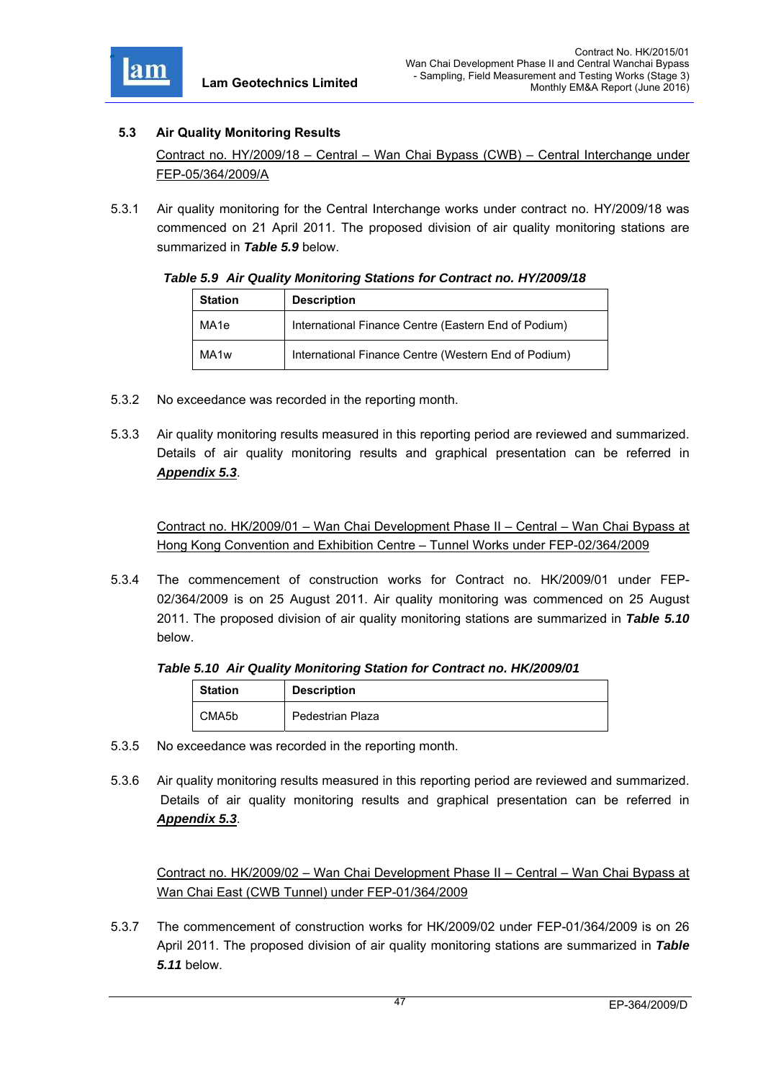

### **5.3 Air Quality Monitoring Results**

Contract no. HY/2009/18 – Central – Wan Chai Bypass (CWB) – Central Interchange under FEP-05/364/2009/A

5.3.1 Air quality monitoring for the Central Interchange works under contract no. HY/2009/18 was commenced on 21 April 2011. The proposed division of air quality monitoring stations are summarized in *Table 5.9* below.

#### *Table 5.9 Air Quality Monitoring Stations for Contract no. HY/2009/18*

| <b>Station</b>   | <b>Description</b>                                   |
|------------------|------------------------------------------------------|
| MA1e             | International Finance Centre (Eastern End of Podium) |
| MA <sub>1w</sub> | International Finance Centre (Western End of Podium) |

- 5.3.2 No exceedance was recorded in the reporting month.
- 5.3.3 Air quality monitoring results measured in this reporting period are reviewed and summarized. Details of air quality monitoring results and graphical presentation can be referred in *Appendix 5.3*.

Contract no. HK/2009/01 – Wan Chai Development Phase II – Central – Wan Chai Bypass at Hong Kong Convention and Exhibition Centre – Tunnel Works under FEP-02/364/2009

5.3.4 The commencement of construction works for Contract no. HK/2009/01 under FEP-02/364/2009 is on 25 August 2011. Air quality monitoring was commenced on 25 August 2011. The proposed division of air quality monitoring stations are summarized in *Table 5.10* below.

### *Table 5.10 Air Quality Monitoring Station for Contract no. HK/2009/01*

| <b>Station</b> | <b>Description</b> |
|----------------|--------------------|
| CMA5b          | Pedestrian Plaza   |

- 5.3.5 No exceedance was recorded in the reporting month.
- 5.3.6 Air quality monitoring results measured in this reporting period are reviewed and summarized. Details of air quality monitoring results and graphical presentation can be referred in *Appendix 5.3*.

Contract no. HK/2009/02 – Wan Chai Development Phase II – Central – Wan Chai Bypass at Wan Chai East (CWB Tunnel) under FEP-01/364/2009

5.3.7 The commencement of construction works for HK/2009/02 under FEP-01/364/2009 is on 26 April 2011. The proposed division of air quality monitoring stations are summarized in *Table 5.11* below.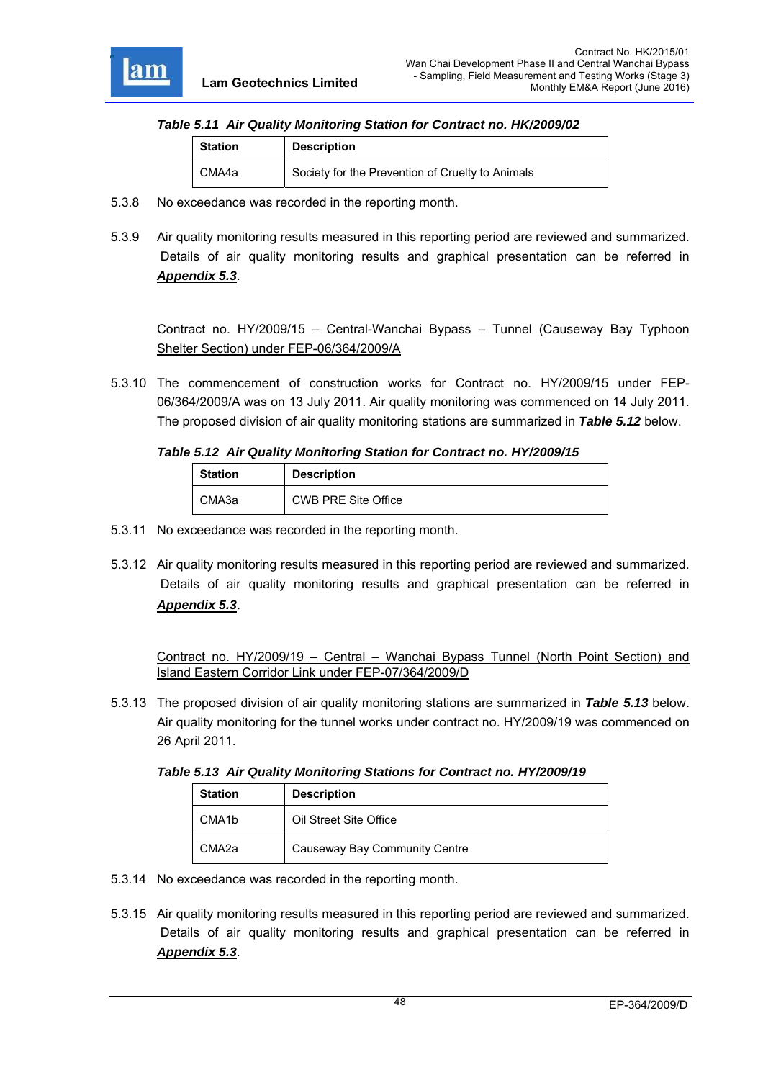

#### *Table 5.11 Air Quality Monitoring Station for Contract no. HK/2009/02*

| <b>Station</b> | <b>Description</b>                               |
|----------------|--------------------------------------------------|
| CMA4a          | Society for the Prevention of Cruelty to Animals |

- 5.3.8 No exceedance was recorded in the reporting month.
- 5.3.9 Air quality monitoring results measured in this reporting period are reviewed and summarized. Details of air quality monitoring results and graphical presentation can be referred in *Appendix 5.3*.

Contract no. HY/2009/15 – Central-Wanchai Bypass – Tunnel (Causeway Bay Typhoon Shelter Section) under FEP-06/364/2009/A

5.3.10 The commencement of construction works for Contract no. HY/2009/15 under FEP-06/364/2009/A was on 13 July 2011. Air quality monitoring was commenced on 14 July 2011. The proposed division of air quality monitoring stations are summarized in *Table 5.12* below.

#### *Table 5.12 Air Quality Monitoring Station for Contract no. HY/2009/15*

| <b>Station</b> | <b>Description</b>         |
|----------------|----------------------------|
| CMA3a          | <b>CWB PRE Site Office</b> |

- 5.3.11 No exceedance was recorded in the reporting month.
- 5.3.12 Air quality monitoring results measured in this reporting period are reviewed and summarized. Details of air quality monitoring results and graphical presentation can be referred in *Appendix 5.3*.

Contract no. HY/2009/19 – Central – Wanchai Bypass Tunnel (North Point Section) and Island Eastern Corridor Link under FEP-07/364/2009/D

5.3.13 The proposed division of air quality monitoring stations are summarized in *Table 5.13* below. Air quality monitoring for the tunnel works under contract no. HY/2009/19 was commenced on 26 April 2011.

*Table 5.13 Air Quality Monitoring Stations for Contract no. HY/2009/19* 

| <b>Station</b>     | <b>Description</b>            |
|--------------------|-------------------------------|
| CMA <sub>1</sub> b | Oil Street Site Office        |
| CMA <sub>2a</sub>  | Causeway Bay Community Centre |

- 5.3.14 No exceedance was recorded in the reporting month.
- 5.3.15 Air quality monitoring results measured in this reporting period are reviewed and summarized. Details of air quality monitoring results and graphical presentation can be referred in *Appendix 5.3*.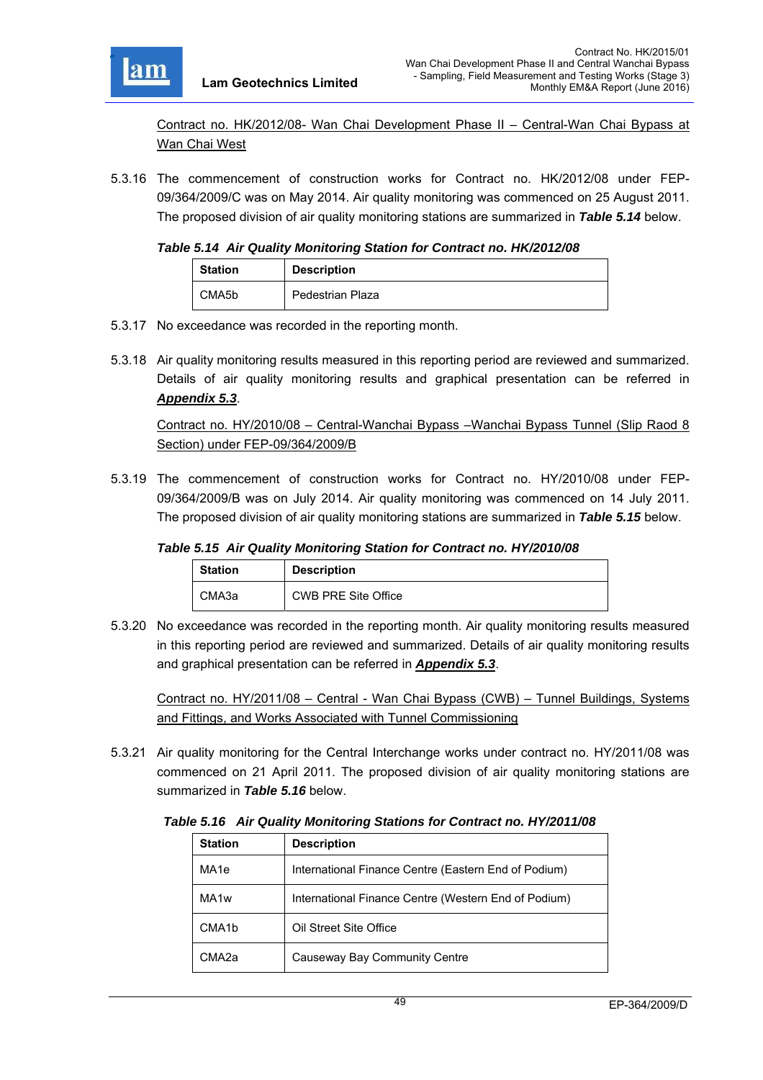

Contract no. HK/2012/08- Wan Chai Development Phase II – Central-Wan Chai Bypass at Wan Chai West

5.3.16 The commencement of construction works for Contract no. HK/2012/08 under FEP-09/364/2009/C was on May 2014. Air quality monitoring was commenced on 25 August 2011. The proposed division of air quality monitoring stations are summarized in *Table 5.14* below.

#### *Table 5.14 Air Quality Monitoring Station for Contract no. HK/2012/08*

| <b>Station</b> | <b>Description</b> |
|----------------|--------------------|
| CMA5b          | Pedestrian Plaza   |

- 5.3.17 No exceedance was recorded in the reporting month.
- 5.3.18 Air quality monitoring results measured in this reporting period are reviewed and summarized. Details of air quality monitoring results and graphical presentation can be referred in *Appendix 5.3*.

Contract no. HY/2010/08 – Central-Wanchai Bypass –Wanchai Bypass Tunnel (Slip Raod 8 Section) under FEP-09/364/2009/B

5.3.19 The commencement of construction works for Contract no. HY/2010/08 under FEP-09/364/2009/B was on July 2014. Air quality monitoring was commenced on 14 July 2011. The proposed division of air quality monitoring stations are summarized in *Table 5.15* below.

### *Table 5.15 Air Quality Monitoring Station for Contract no. HY/2010/08*

| <b>Station</b> | <b>Description</b>         |
|----------------|----------------------------|
| СМАЗа          | <b>CWB PRE Site Office</b> |

5.3.20 No exceedance was recorded in the reporting month. Air quality monitoring results measured in this reporting period are reviewed and summarized. Details of air quality monitoring results and graphical presentation can be referred in *Appendix 5.3*.

Contract no. HY/2011/08 – Central - Wan Chai Bypass (CWB) – Tunnel Buildings, Systems and Fittings, and Works Associated with Tunnel Commissioning

5.3.21 Air quality monitoring for the Central Interchange works under contract no. HY/2011/08 was commenced on 21 April 2011. The proposed division of air quality monitoring stations are summarized in *Table 5.16* below.

*Table 5.16 Air Quality Monitoring Stations for Contract no. HY/2011/08* 

| <b>Station</b>     | <b>Description</b>                                   |
|--------------------|------------------------------------------------------|
| MA <sub>1e</sub>   | International Finance Centre (Eastern End of Podium) |
| MA <sub>1w</sub>   | International Finance Centre (Western End of Podium) |
| CMA <sub>1</sub> b | Oil Street Site Office                               |
| CMA <sub>2a</sub>  | Causeway Bay Community Centre                        |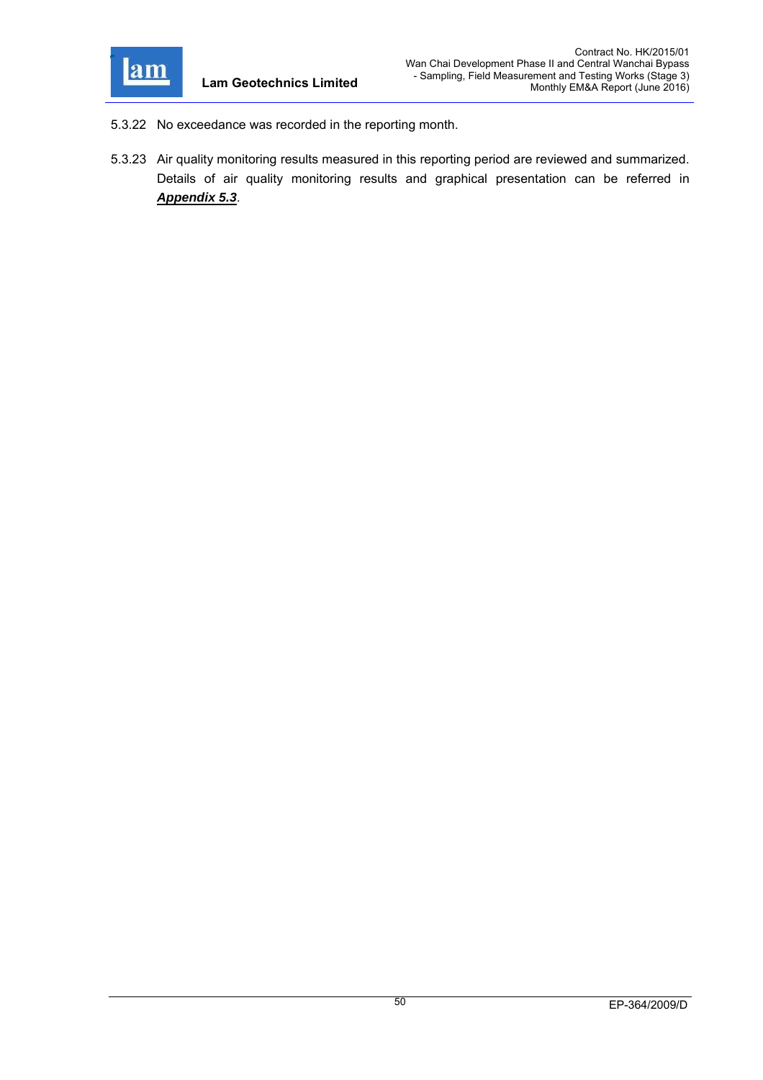

- 5.3.22 No exceedance was recorded in the reporting month.
- 5.3.23 Air quality monitoring results measured in this reporting period are reviewed and summarized. Details of air quality monitoring results and graphical presentation can be referred in *Appendix 5.3*.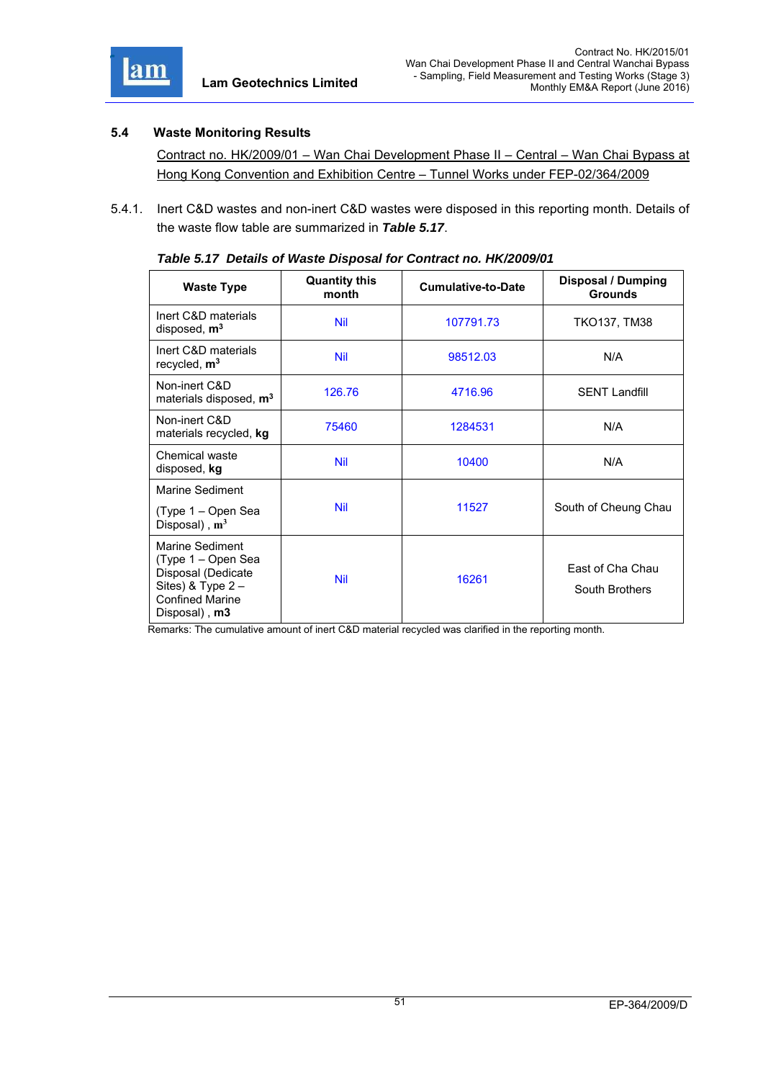

### **5.4 Waste Monitoring Results**

Contract no. HK/2009/01 – Wan Chai Development Phase II – Central – Wan Chai Bypass at Hong Kong Convention and Exhibition Centre – Tunnel Works under FEP-02/364/2009

5.4.1. Inert C&D wastes and non-inert C&D wastes were disposed in this reporting month. Details of the waste flow table are summarized in *Table 5.17*.

| <b>Waste Type</b>                                                                                                          | <b>Quantity this</b><br>month | <b>Cumulative-to-Date</b> | <b>Disposal / Dumping</b><br><b>Grounds</b> |
|----------------------------------------------------------------------------------------------------------------------------|-------------------------------|---------------------------|---------------------------------------------|
| Inert C&D materials<br>disposed, $m3$                                                                                      | <b>Nil</b>                    | 107791.73                 | TKO137, TM38                                |
| Inert C&D materials<br>recycled, m <sup>3</sup>                                                                            | <b>Nil</b>                    | 98512.03                  | N/A                                         |
| Non-inert C&D<br>materials disposed, m <sup>3</sup>                                                                        | 126.76                        | 4716.96                   | <b>SENT Landfill</b>                        |
| Non-inert C&D<br>materials recycled, kg                                                                                    | 75460                         | 1284531                   | N/A                                         |
| Chemical waste<br>disposed, kg                                                                                             | <b>Nil</b>                    | 10400                     | N/A                                         |
| Marine Sediment                                                                                                            |                               |                           |                                             |
| (Type 1 - Open Sea<br>Disposal), $m^3$                                                                                     | <b>Nil</b>                    | 11527                     | South of Cheung Chau                        |
| Marine Sediment<br>(Type 1 – Open Sea<br>Disposal (Dedicate<br>Sites) & Type 2-<br><b>Confined Marine</b><br>Disposal), m3 | <b>Nil</b>                    | 16261                     | East of Cha Chau<br>South Brothers          |

| Table 5.17 Details of Waste Disposal for Contract no. HK/2009/01 |  |  |
|------------------------------------------------------------------|--|--|

Remarks: The cumulative amount of inert C&D material recycled was clarified in the reporting month.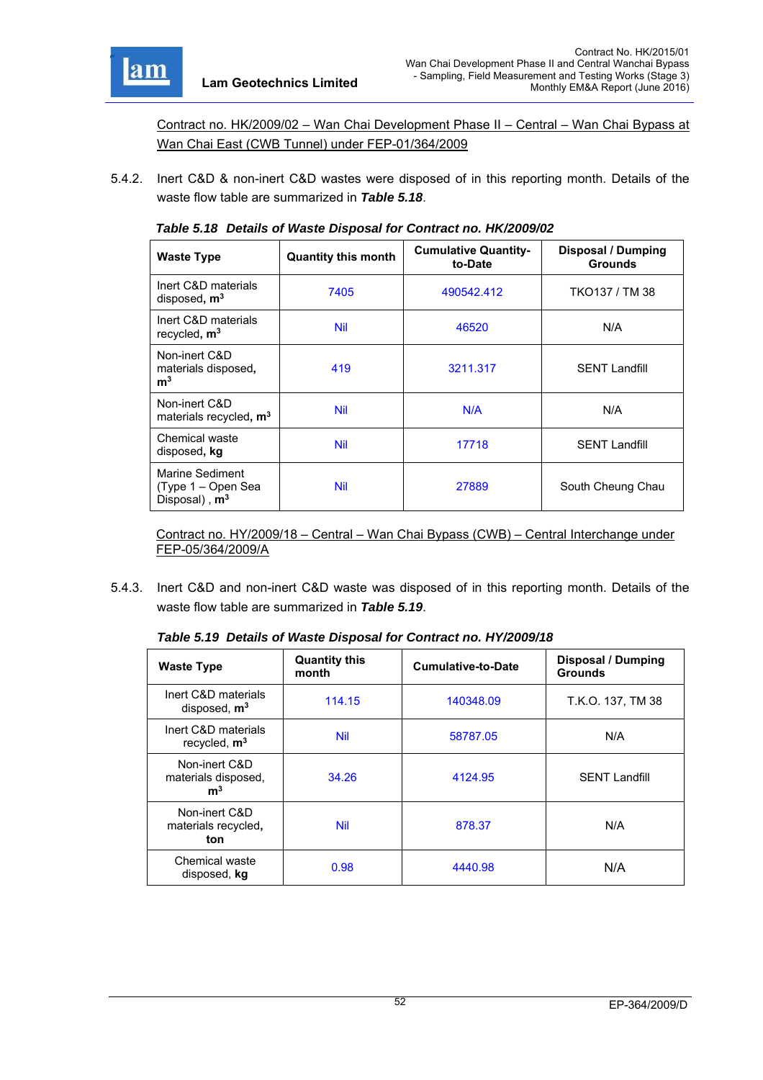

Marine Sediment (Type 1 – Open Sea Disposal) , **m3**

Contract no. HK/2009/02 – Wan Chai Development Phase II – Central – Wan Chai Bypass at Wan Chai East (CWB Tunnel) under FEP-01/364/2009

5.4.2. Inert C&D & non-inert C&D wastes were disposed of in this reporting month. Details of the waste flow table are summarized in *Table 5.18*.

| Table 5.16 Details of Waste Disposal for Contract no. HTV2009/02 |                            |                                        |                                             |  |
|------------------------------------------------------------------|----------------------------|----------------------------------------|---------------------------------------------|--|
| <b>Waste Type</b>                                                | <b>Quantity this month</b> | <b>Cumulative Quantity-</b><br>to-Date | <b>Disposal / Dumping</b><br><b>Grounds</b> |  |
| Inert C&D materials<br>disposed, $m3$                            | 7405                       | 490542.412                             | TKO137 / TM 38                              |  |
| Inert C&D materials<br>recycled, $m3$                            | <b>Nil</b>                 | 46520                                  | N/A                                         |  |
| Non-inert C&D<br>materials disposed,<br>m <sup>3</sup>           | 419                        | 3211.317                               | <b>SENT Landfill</b>                        |  |
| Non-inert C&D<br>materials recycled, m <sup>3</sup>              | <b>Nil</b>                 | N/A                                    | N/A                                         |  |
| Chemical waste<br>disposed, kg                                   | <b>Nil</b>                 | 17718                                  | <b>SENT Landfill</b>                        |  |

*Table 5.18 Details of Waste Disposal for Contract no. HK/2009/02* 

Contract no. HY/2009/18 – Central – Wan Chai Bypass (CWB) – Central Interchange under FEP-05/364/2009/A

Nil 27889 South Cheung Chau

5.4.3. Inert C&D and non-inert C&D waste was disposed of in this reporting month. Details of the waste flow table are summarized in *Table 5.19*.

| <b>Waste Type</b>                                      | <b>Quantity this</b><br>month | <b>Cumulative-to-Date</b> | <b>Disposal / Dumping</b><br><b>Grounds</b> |
|--------------------------------------------------------|-------------------------------|---------------------------|---------------------------------------------|
| Inert C&D materials<br>disposed, $m3$                  | 114.15                        | 140348.09                 | T.K.O. 137, TM 38                           |
| Inert C&D materials<br>recycled, $m3$                  | <b>Nil</b>                    | 58787.05                  | N/A                                         |
| Non-inert C&D<br>materials disposed,<br>m <sup>3</sup> | 34.26                         | 4124.95                   | <b>SENT Landfill</b>                        |
| Non-inert C&D<br>materials recycled,<br>ton            | <b>Nil</b>                    | 878.37                    | N/A                                         |
| Chemical waste<br>disposed, kg                         | 0.98                          | 4440.98                   | N/A                                         |

*Table 5.19 Details of Waste Disposal for Contract no. HY/2009/18*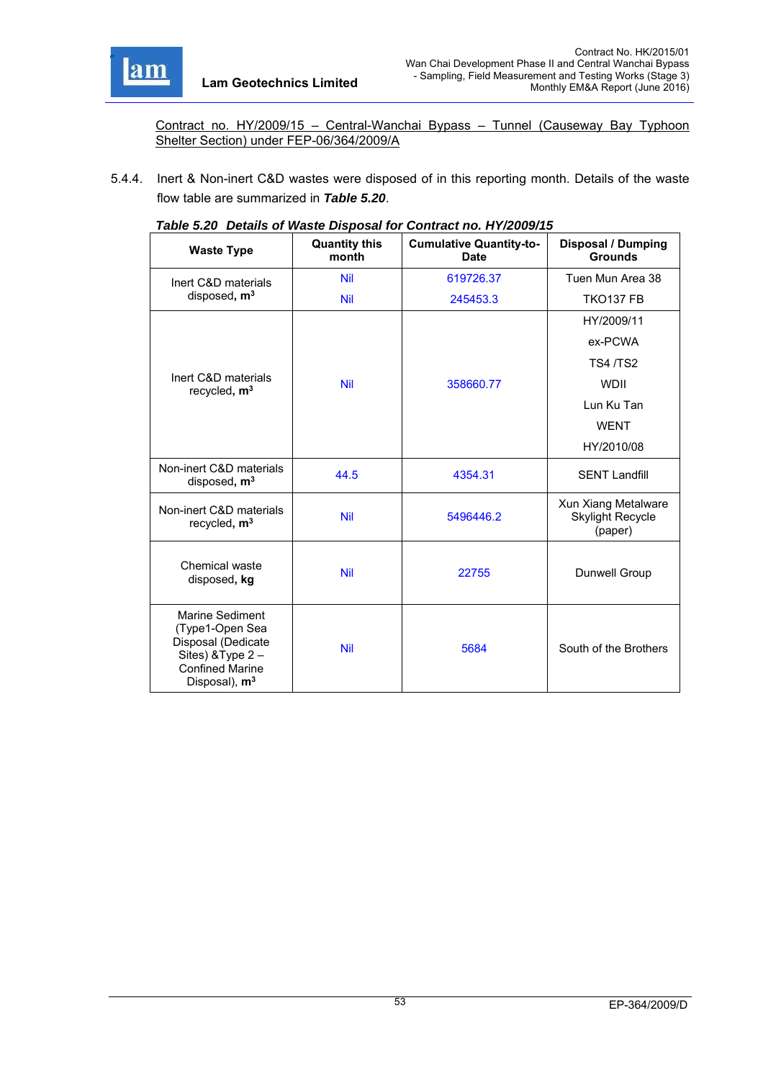

Contract no. HY/2009/15 – Central-Wanchai Bypass – Tunnel (Causeway Bay Typhoon Shelter Section) under FEP-06/364/2009/A

5.4.4. Inert & Non-inert C&D wastes were disposed of in this reporting month. Details of the waste flow table are summarized in *Table 5.20*.

|                                                                                                                                            | $1800$ $0.20$ Detains of Fraste Disposal for Obtitual fib. 111/2009/10 |                                               |                                                           |  |  |
|--------------------------------------------------------------------------------------------------------------------------------------------|------------------------------------------------------------------------|-----------------------------------------------|-----------------------------------------------------------|--|--|
| <b>Waste Type</b>                                                                                                                          | <b>Quantity this</b><br>month                                          | <b>Cumulative Quantity-to-</b><br><b>Date</b> | <b>Disposal / Dumping</b><br><b>Grounds</b>               |  |  |
| Inert C&D materials                                                                                                                        | <b>Nil</b>                                                             | 619726.37                                     | Tuen Mun Area 38                                          |  |  |
| disposed, m <sup>3</sup>                                                                                                                   | <b>Nil</b>                                                             | 245453.3                                      | <b>TKO137 FB</b>                                          |  |  |
|                                                                                                                                            |                                                                        |                                               | HY/2009/11                                                |  |  |
|                                                                                                                                            |                                                                        |                                               | ex-PCWA                                                   |  |  |
|                                                                                                                                            |                                                                        |                                               | <b>TS4/TS2</b>                                            |  |  |
| Inert C&D materials<br>recycled, $m3$                                                                                                      | <b>Nil</b>                                                             | 358660.77                                     | <b>WDII</b>                                               |  |  |
|                                                                                                                                            |                                                                        |                                               | Lun Ku Tan                                                |  |  |
|                                                                                                                                            |                                                                        |                                               | <b>WENT</b>                                               |  |  |
|                                                                                                                                            |                                                                        |                                               | HY/2010/08                                                |  |  |
| Non-inert C&D materials<br>disposed, $m3$                                                                                                  | 44.5                                                                   | 4354.31                                       | <b>SENT Landfill</b>                                      |  |  |
| Non-inert C&D materials<br>recycled, $m3$                                                                                                  | <b>Nil</b>                                                             | 5496446.2                                     | Xun Xiang Metalware<br><b>Skylight Recycle</b><br>(paper) |  |  |
| Chemical waste<br>disposed, kg                                                                                                             | <b>Nil</b>                                                             | 22755                                         | Dunwell Group                                             |  |  |
| <b>Marine Sediment</b><br>(Type1-Open Sea<br>Disposal (Dedicate<br>Sites) & Type 2-<br><b>Confined Marine</b><br>Disposal), m <sup>3</sup> | <b>Nil</b>                                                             | 5684                                          | South of the Brothers                                     |  |  |

|  | Table 5.20 Details of Waste Disposal for Contract no. HY/2009/15 |  |
|--|------------------------------------------------------------------|--|
|  |                                                                  |  |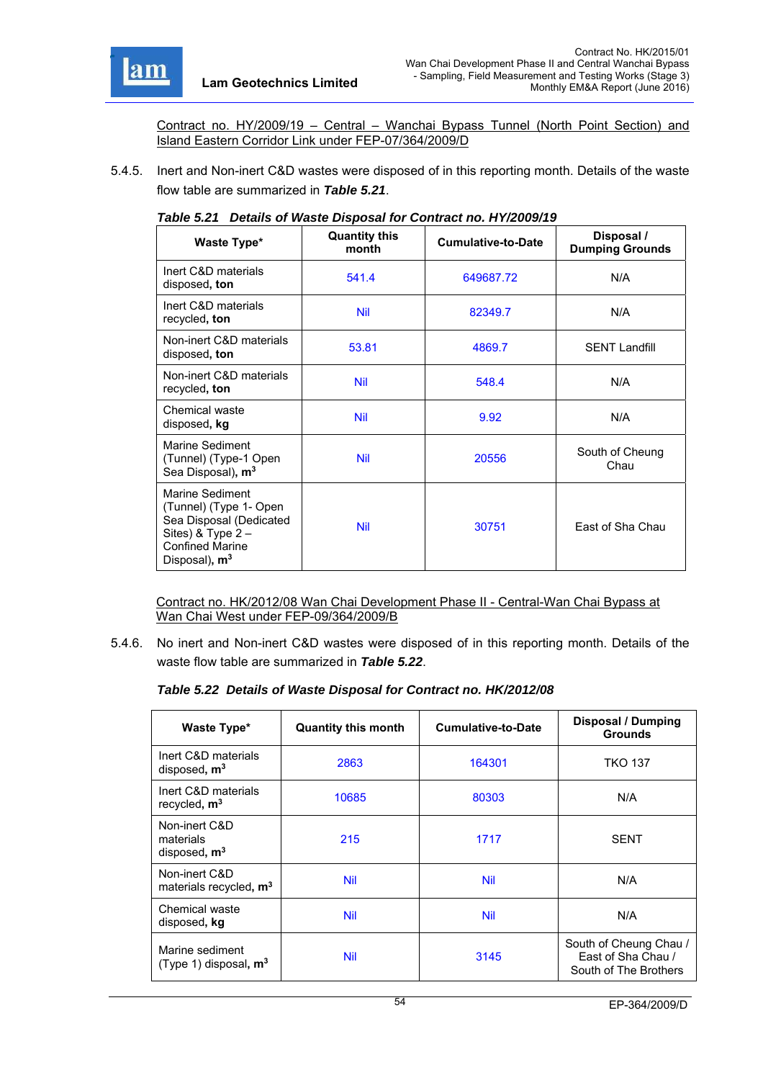

Contract no. HY/2009/19 – Central – Wanchai Bypass Tunnel (North Point Section) and Island Eastern Corridor Link under FEP-07/364/2009/D

5.4.5. Inert and Non-inert C&D wastes were disposed of in this reporting month. Details of the waste flow table are summarized in *Table 5.21*.

| Waste Type*                                                                                                                                        | <b>Quantity this</b><br>month | <b>Cumulative-to-Date</b> | Disposal /<br><b>Dumping Grounds</b> |
|----------------------------------------------------------------------------------------------------------------------------------------------------|-------------------------------|---------------------------|--------------------------------------|
| Inert C&D materials<br>disposed, ton                                                                                                               | 541.4                         | 649687.72                 | N/A                                  |
| Inert C&D materials<br>recycled, ton                                                                                                               | <b>Nil</b>                    | 82349.7                   | N/A                                  |
| Non-inert C&D materials<br>disposed, ton                                                                                                           | 53.81                         | 4869.7                    | <b>SENT Landfill</b>                 |
| Non-inert C&D materials<br>recycled, ton                                                                                                           | <b>Nil</b>                    | 548.4                     | N/A                                  |
| Chemical waste<br>disposed, kg                                                                                                                     | <b>Nil</b>                    | 9.92                      | N/A                                  |
| Marine Sediment<br>(Tunnel) (Type-1 Open<br>Sea Disposal), m <sup>3</sup>                                                                          | <b>Nil</b>                    | 20556                     | South of Cheung<br>Chau              |
| Marine Sediment<br>(Tunnel) (Type 1- Open<br>Sea Disposal (Dedicated<br>Sites) & Type $2 -$<br><b>Confined Marine</b><br>Disposal), m <sup>3</sup> | <b>Nil</b>                    | 30751                     | East of Sha Chau                     |

#### *Table 5.21 Details of Waste Disposal for Contract no. HY/2009/19*

Contract no. HK/2012/08 Wan Chai Development Phase II - Central-Wan Chai Bypass at Wan Chai West under FEP-09/364/2009/B

5.4.6. No inert and Non-inert C&D wastes were disposed of in this reporting month. Details of the waste flow table are summarized in *Table 5.22*.

#### *Table 5.22 Details of Waste Disposal for Contract no. HK/2012/08*

| Waste Type*                                         | <b>Quantity this month</b> | Cumulative-to-Date | <b>Disposal / Dumping</b><br><b>Grounds</b>                           |
|-----------------------------------------------------|----------------------------|--------------------|-----------------------------------------------------------------------|
| Inert C&D materials<br>disposed, $m3$               | 2863                       | 164301             | <b>TKO 137</b>                                                        |
| Inert C&D materials<br>recycled, $m3$               | 10685                      | 80303              | N/A                                                                   |
| Non-inert C&D<br>materials<br>disposed, $m3$        | 215                        | 1717               | <b>SENT</b>                                                           |
| Non-inert C&D<br>materials recycled, m <sup>3</sup> | <b>Nil</b>                 | Nil                | N/A                                                                   |
| Chemical waste<br>disposed, kg                      | <b>Nil</b>                 | Nil                | N/A                                                                   |
| Marine sediment<br>(Type 1) disposal, $m3$          | <b>Nil</b>                 | 3145               | South of Cheung Chau /<br>Fast of Sha Chau /<br>South of The Brothers |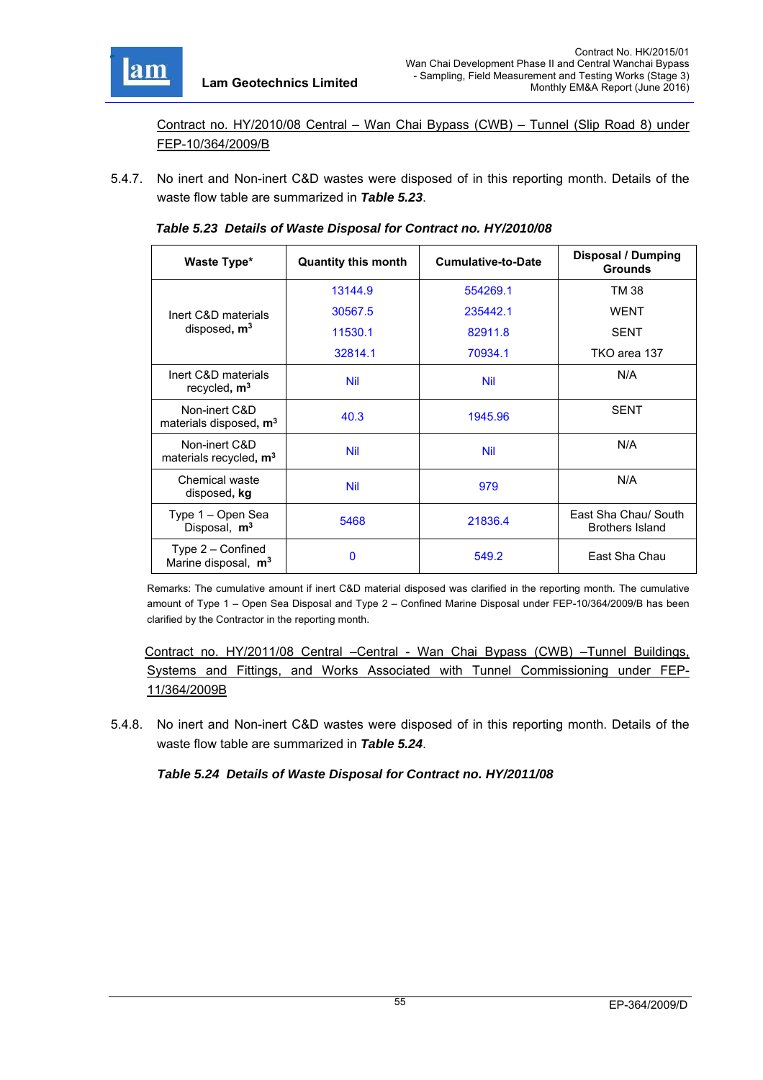

Contract no. HY/2010/08 Central – Wan Chai Bypass (CWB) – Tunnel (Slip Road 8) under FEP-10/364/2009/B

5.4.7. No inert and Non-inert C&D wastes were disposed of in this reporting month. Details of the waste flow table are summarized in *Table 5.23*.

| Waste Type*                                            | <b>Quantity this month</b> | <b>Cumulative-to-Date</b> | Disposal / Dumping<br><b>Grounds</b>           |
|--------------------------------------------------------|----------------------------|---------------------------|------------------------------------------------|
|                                                        | 13144.9                    | 554269.1                  | TM 38                                          |
| Inert C&D materials                                    | 30567.5                    | 235442.1                  | <b>WENT</b>                                    |
| disposed, m <sup>3</sup>                               | 11530.1                    | 82911.8                   | <b>SENT</b>                                    |
|                                                        | 32814.1                    | 70934.1                   | TKO area 137                                   |
| Inert C&D materials<br>recycled, m <sup>3</sup>        | <b>Nil</b>                 | <b>Nil</b>                | N/A                                            |
| Non-inert C&D<br>materials disposed, m <sup>3</sup>    | 40.3                       | 1945.96                   | <b>SENT</b>                                    |
| Non-inert C&D<br>materials recycled, m <sup>3</sup>    | <b>Nil</b>                 | <b>Nil</b>                | N/A                                            |
| Chemical waste<br>disposed, kg                         | <b>Nil</b>                 | 979                       | N/A                                            |
| Type 1 - Open Sea<br>Disposal, m <sup>3</sup>          | 5468                       | 21836.4                   | East Sha Chau/ South<br><b>Brothers Island</b> |
| Type $2$ – Confined<br>Marine disposal, m <sup>3</sup> | 0                          | 549.2                     | East Sha Chau                                  |

| Table 5.23 Details of Waste Disposal for Contract no. HY/2010/08 |  |  |
|------------------------------------------------------------------|--|--|
|                                                                  |  |  |

Remarks: The cumulative amount if inert C&D material disposed was clarified in the reporting month. The cumulative amount of Type 1 – Open Sea Disposal and Type 2 – Confined Marine Disposal under FEP-10/364/2009/B has been clarified by the Contractor in the reporting month.

 Contract no. HY/2011/08 Central –Central - Wan Chai Bypass (CWB) –Tunnel Buildings, Systems and Fittings, and Works Associated with Tunnel Commissioning under FEP-11/364/2009B

5.4.8. No inert and Non-inert C&D wastes were disposed of in this reporting month. Details of the waste flow table are summarized in *Table 5.24*.

*Table 5.24 Details of Waste Disposal for Contract no. HY/2011/08*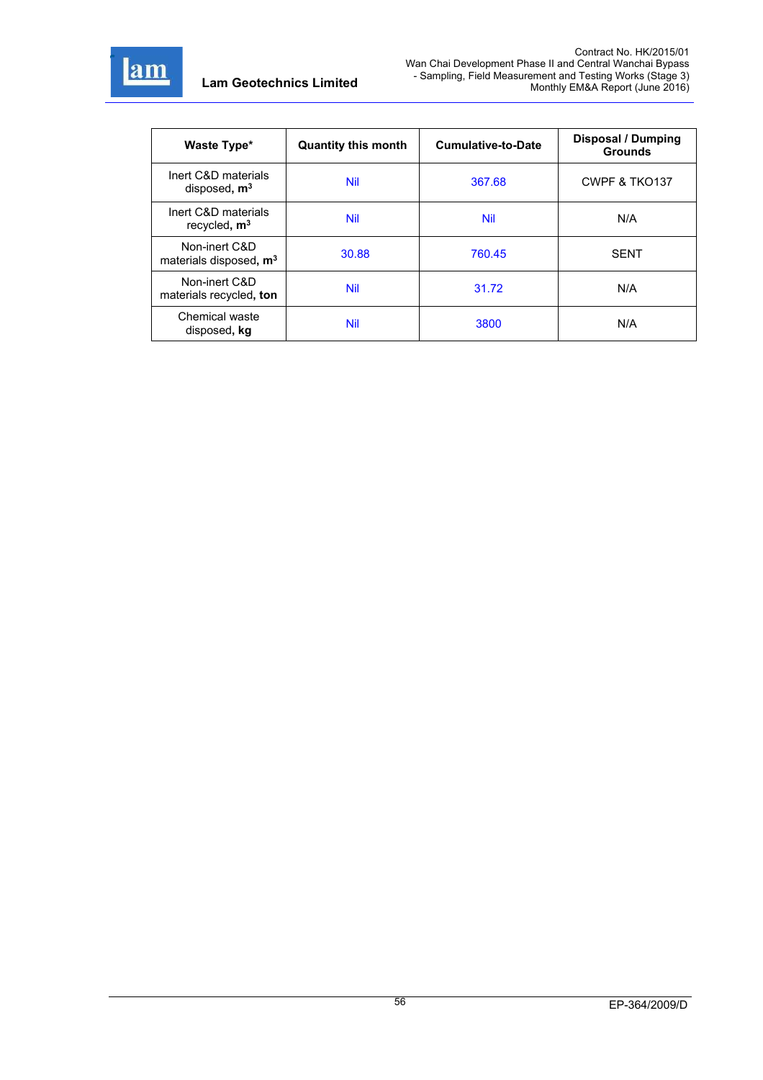

| Waste Type*                                         | <b>Quantity this month</b> | <b>Cumulative-to-Date</b> | Disposal / Dumping<br><b>Grounds</b> |
|-----------------------------------------------------|----------------------------|---------------------------|--------------------------------------|
| Inert C&D materials<br>disposed, $m3$               | <b>Nil</b>                 | 367.68                    | CWPF & TKO137                        |
| Inert C&D materials<br>recycled, $m3$               | <b>Nil</b>                 | Nil                       | N/A                                  |
| Non-inert C&D<br>materials disposed, m <sup>3</sup> | 30.88                      | 760.45                    | <b>SENT</b>                          |
| Non-inert C&D<br>materials recycled, ton            | <b>Nil</b>                 | 31.72                     | N/A                                  |
| Chemical waste<br>disposed, kg                      | <b>Nil</b>                 | 3800                      | N/A                                  |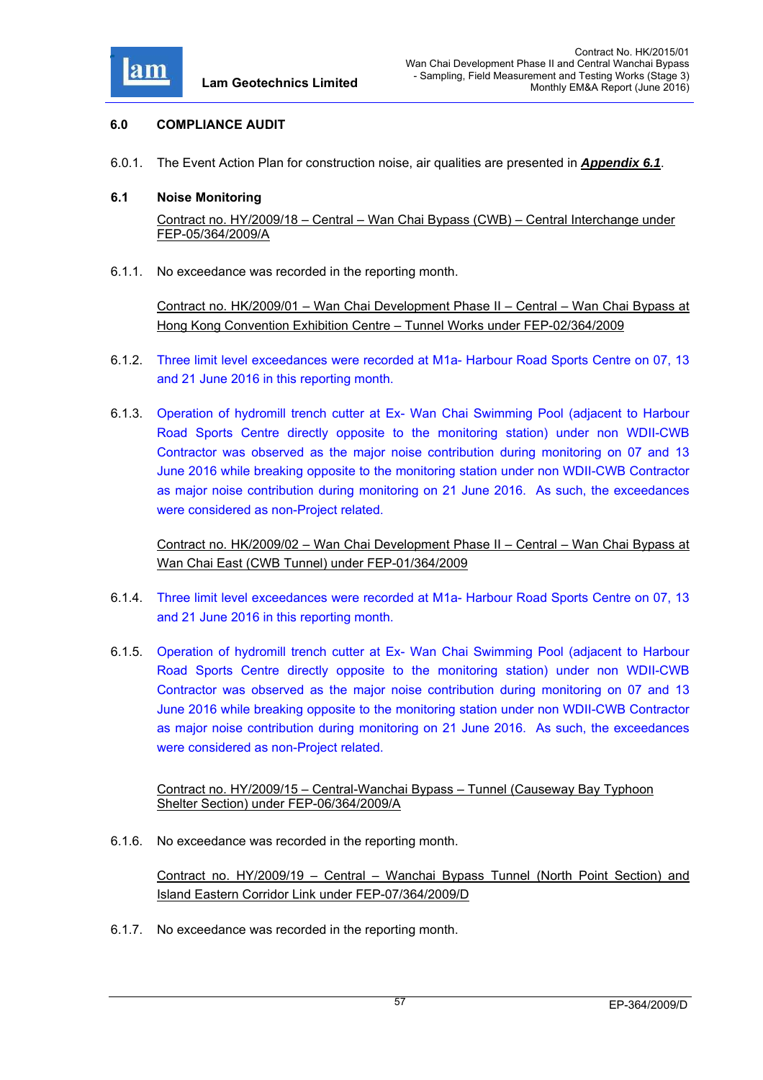

### **6.0 COMPLIANCE AUDIT**

6.0.1. The Event Action Plan for construction noise, air qualities are presented in *Appendix 6.1*.

#### **6.1 Noise Monitoring**

Contract no. HY/2009/18 – Central – Wan Chai Bypass (CWB) – Central Interchange under FEP-05/364/2009/A

6.1.1. No exceedance was recorded in the reporting month.

Contract no. HK/2009/01 – Wan Chai Development Phase II – Central – Wan Chai Bypass at Hong Kong Convention Exhibition Centre – Tunnel Works under FEP-02/364/2009

- 6.1.2. Three limit level exceedances were recorded at M1a- Harbour Road Sports Centre on 07, 13 and 21 June 2016 in this reporting month.
- 6.1.3. Operation of hydromill trench cutter at Ex- Wan Chai Swimming Pool (adjacent to Harbour Road Sports Centre directly opposite to the monitoring station) under non WDII-CWB Contractor was observed as the major noise contribution during monitoring on 07 and 13 June 2016 while breaking opposite to the monitoring station under non WDII-CWB Contractor as major noise contribution during monitoring on 21 June 2016. As such, the exceedances were considered as non-Project related.

Contract no. HK/2009/02 – Wan Chai Development Phase II – Central – Wan Chai Bypass at Wan Chai East (CWB Tunnel) under FEP-01/364/2009

- 6.1.4. Three limit level exceedances were recorded at M1a- Harbour Road Sports Centre on 07, 13 and 21 June 2016 in this reporting month.
- 6.1.5. Operation of hydromill trench cutter at Ex- Wan Chai Swimming Pool (adjacent to Harbour Road Sports Centre directly opposite to the monitoring station) under non WDII-CWB Contractor was observed as the major noise contribution during monitoring on 07 and 13 June 2016 while breaking opposite to the monitoring station under non WDII-CWB Contractor as major noise contribution during monitoring on 21 June 2016. As such, the exceedances were considered as non-Project related.

Contract no. HY/2009/15 – Central-Wanchai Bypass – Tunnel (Causeway Bay Typhoon Shelter Section) under FEP-06/364/2009/A

6.1.6. No exceedance was recorded in the reporting month.

Contract no. HY/2009/19 – Central – Wanchai Bypass Tunnel (North Point Section) and Island Eastern Corridor Link under FEP-07/364/2009/D

6.1.7. No exceedance was recorded in the reporting month.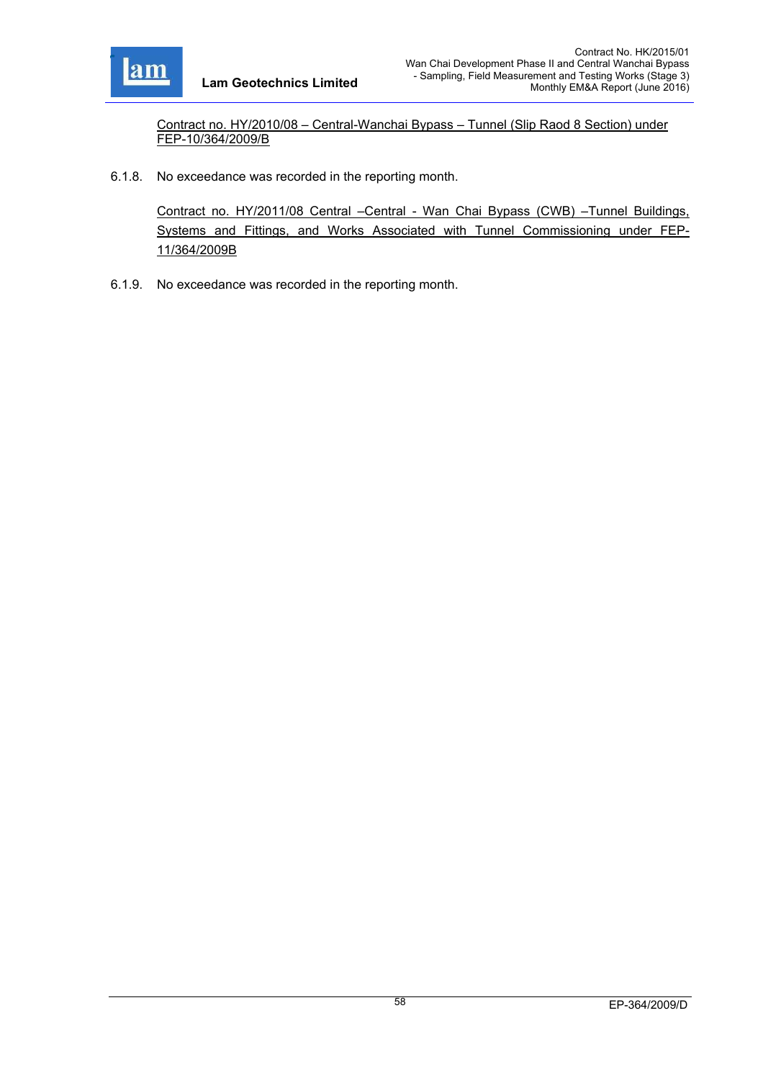

Contract no. HY/2010/08 – Central-Wanchai Bypass – Tunnel (Slip Raod 8 Section) under FEP-10/364/2009/B

6.1.8. No exceedance was recorded in the reporting month.

Contract no. HY/2011/08 Central –Central - Wan Chai Bypass (CWB) –Tunnel Buildings, Systems and Fittings, and Works Associated with Tunnel Commissioning under FEP-11/364/2009B

6.1.9. No exceedance was recorded in the reporting month.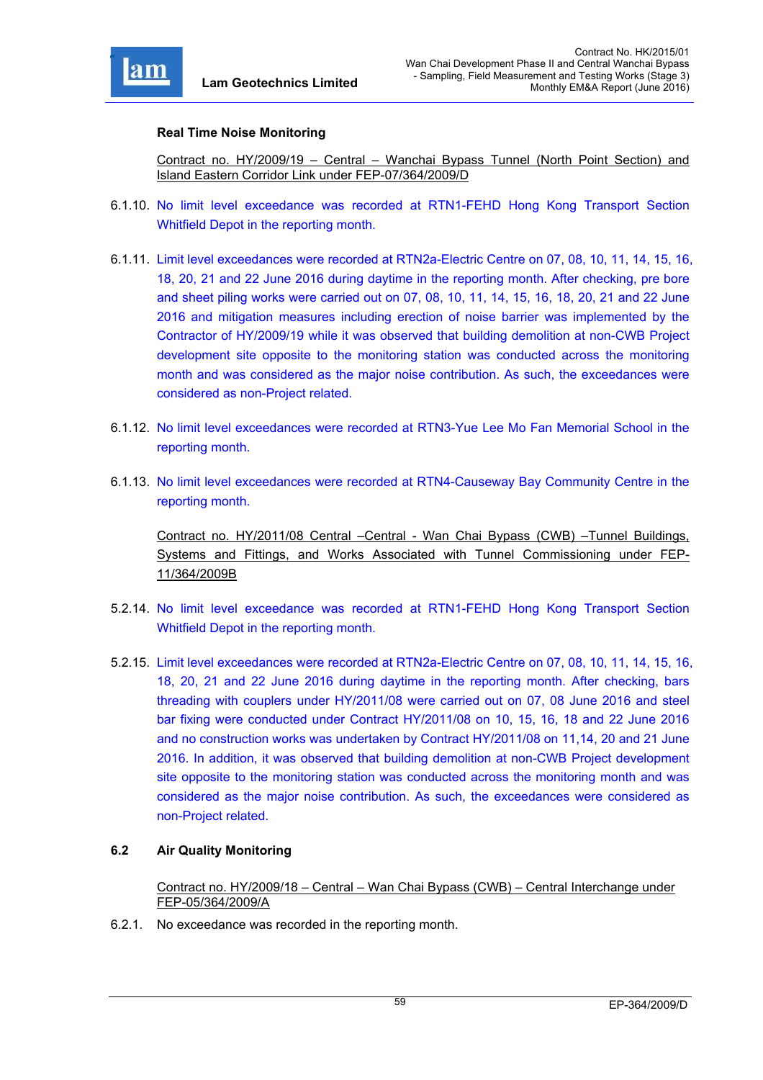

### **Real Time Noise Monitoring**

Contract no. HY/2009/19 – Central – Wanchai Bypass Tunnel (North Point Section) and Island Eastern Corridor Link under FEP-07/364/2009/D

- 6.1.10. No limit level exceedance was recorded at RTN1-FEHD Hong Kong Transport Section Whitfield Depot in the reporting month.
- 6.1.11. Limit level exceedances were recorded at RTN2a-Electric Centre on 07, 08, 10, 11, 14, 15, 16, 18, 20, 21 and 22 June 2016 during daytime in the reporting month. After checking, pre bore and sheet piling works were carried out on 07, 08, 10, 11, 14, 15, 16, 18, 20, 21 and 22 June 2016 and mitigation measures including erection of noise barrier was implemented by the Contractor of HY/2009/19 while it was observed that building demolition at non-CWB Project development site opposite to the monitoring station was conducted across the monitoring month and was considered as the major noise contribution. As such, the exceedances were considered as non-Project related.
- 6.1.12. No limit level exceedances were recorded at RTN3-Yue Lee Mo Fan Memorial School in the reporting month.
- 6.1.13. No limit level exceedances were recorded at RTN4-Causeway Bay Community Centre in the reporting month.

Contract no. HY/2011/08 Central –Central - Wan Chai Bypass (CWB) –Tunnel Buildings, Systems and Fittings, and Works Associated with Tunnel Commissioning under FEP-11/364/2009B

- 5.2.14. No limit level exceedance was recorded at RTN1-FEHD Hong Kong Transport Section Whitfield Depot in the reporting month.
- 5.2.15. Limit level exceedances were recorded at RTN2a-Electric Centre on 07, 08, 10, 11, 14, 15, 16, 18, 20, 21 and 22 June 2016 during daytime in the reporting month. After checking, bars threading with couplers under HY/2011/08 were carried out on 07, 08 June 2016 and steel bar fixing were conducted under Contract HY/2011/08 on 10, 15, 16, 18 and 22 June 2016 and no construction works was undertaken by Contract HY/2011/08 on 11,14, 20 and 21 June 2016. In addition, it was observed that building demolition at non-CWB Project development site opposite to the monitoring station was conducted across the monitoring month and was considered as the major noise contribution. As such, the exceedances were considered as non-Project related.

### **6.2 Air Quality Monitoring**

Contract no. HY/2009/18 – Central – Wan Chai Bypass (CWB) – Central Interchange under FEP-05/364/2009/A

6.2.1. No exceedance was recorded in the reporting month.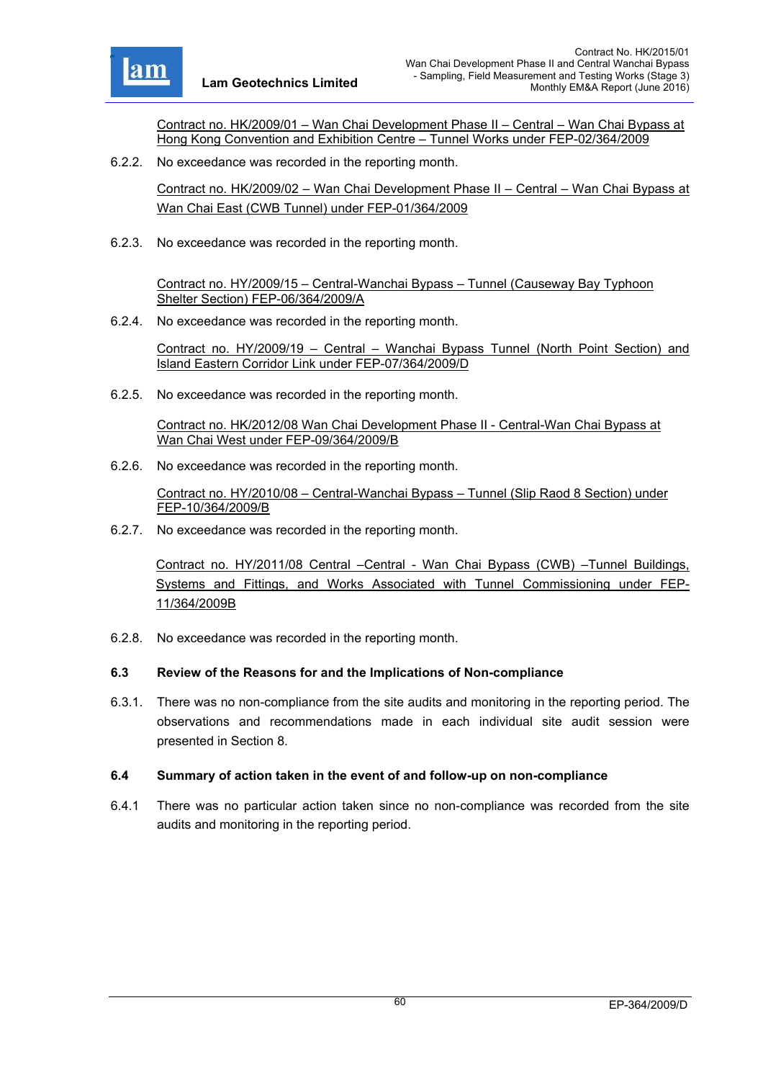

Contract no. HK/2009/01 – Wan Chai Development Phase II – Central – Wan Chai Bypass at Hong Kong Convention and Exhibition Centre – Tunnel Works under FEP-02/364/2009

6.2.2. No exceedance was recorded in the reporting month.

Contract no. HK/2009/02 – Wan Chai Development Phase II – Central – Wan Chai Bypass at Wan Chai East (CWB Tunnel) under FEP-01/364/2009

6.2.3. No exceedance was recorded in the reporting month.

Contract no. HY/2009/15 – Central-Wanchai Bypass – Tunnel (Causeway Bay Typhoon Shelter Section) FEP-06/364/2009/A

6.2.4. No exceedance was recorded in the reporting month.

Contract no. HY/2009/19 – Central – Wanchai Bypass Tunnel (North Point Section) and Island Eastern Corridor Link under FEP-07/364/2009/D

6.2.5. No exceedance was recorded in the reporting month.

Contract no. HK/2012/08 Wan Chai Development Phase II - Central-Wan Chai Bypass at Wan Chai West under FEP-09/364/2009/B

6.2.6. No exceedance was recorded in the reporting month.

Contract no. HY/2010/08 – Central-Wanchai Bypass – Tunnel (Slip Raod 8 Section) under FEP-10/364/2009/B

6.2.7. No exceedance was recorded in the reporting month.

Contract no. HY/2011/08 Central –Central - Wan Chai Bypass (CWB) –Tunnel Buildings, Systems and Fittings, and Works Associated with Tunnel Commissioning under FEP-11/364/2009B

6.2.8. No exceedance was recorded in the reporting month.

# **6.3 Review of the Reasons for and the Implications of Non-compliance**

6.3.1. There was no non-compliance from the site audits and monitoring in the reporting period. The observations and recommendations made in each individual site audit session were presented in Section 8.

# **6.4 Summary of action taken in the event of and follow-up on non-compliance**

6.4.1 There was no particular action taken since no non-compliance was recorded from the site audits and monitoring in the reporting period.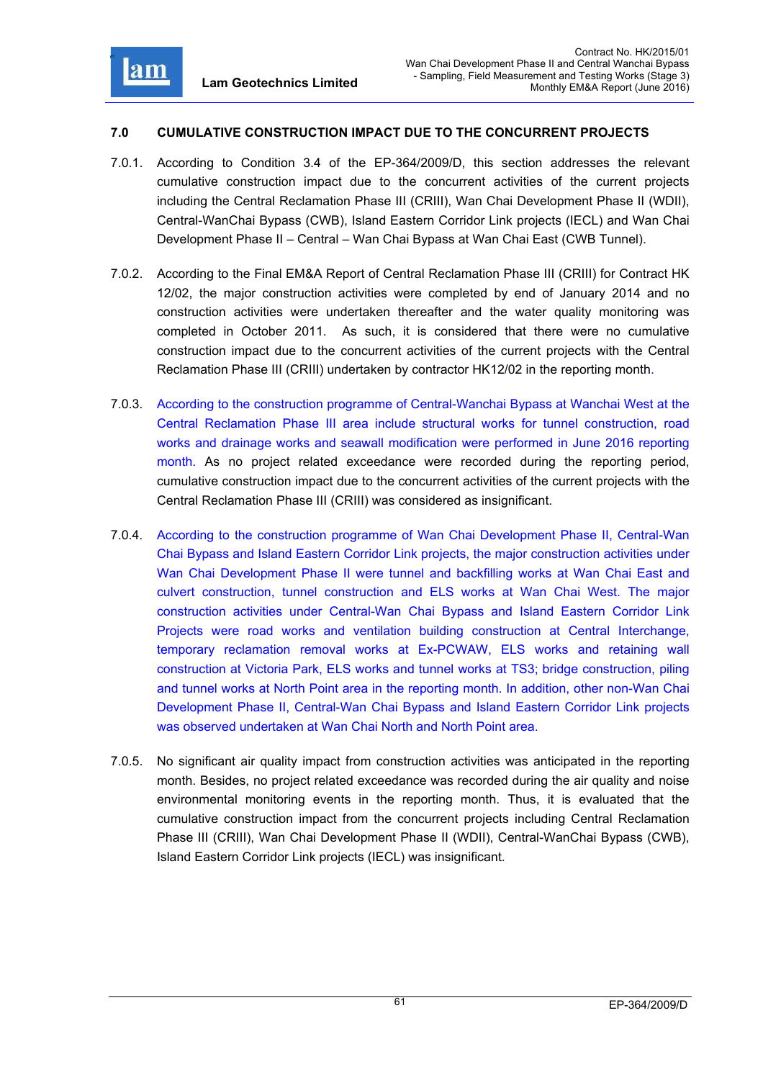

### **7.0 CUMULATIVE CONSTRUCTION IMPACT DUE TO THE CONCURRENT PROJECTS**

- 7.0.1. According to Condition 3.4 of the EP-364/2009/D, this section addresses the relevant cumulative construction impact due to the concurrent activities of the current projects including the Central Reclamation Phase III (CRIII), Wan Chai Development Phase II (WDII), Central-WanChai Bypass (CWB), Island Eastern Corridor Link projects (IECL) and Wan Chai Development Phase II – Central – Wan Chai Bypass at Wan Chai East (CWB Tunnel).
- 7.0.2. According to the Final EM&A Report of Central Reclamation Phase III (CRIII) for Contract HK 12/02, the major construction activities were completed by end of January 2014 and no construction activities were undertaken thereafter and the water quality monitoring was completed in October 2011. As such, it is considered that there were no cumulative construction impact due to the concurrent activities of the current projects with the Central Reclamation Phase III (CRIII) undertaken by contractor HK12/02 in the reporting month.
- 7.0.3. According to the construction programme of Central-Wanchai Bypass at Wanchai West at the Central Reclamation Phase III area include structural works for tunnel construction, road works and drainage works and seawall modification were performed in June 2016 reporting month. As no project related exceedance were recorded during the reporting period, cumulative construction impact due to the concurrent activities of the current projects with the Central Reclamation Phase III (CRIII) was considered as insignificant.
- 7.0.4. According to the construction programme of Wan Chai Development Phase II, Central-Wan Chai Bypass and Island Eastern Corridor Link projects, the major construction activities under Wan Chai Development Phase II were tunnel and backfilling works at Wan Chai East and culvert construction, tunnel construction and ELS works at Wan Chai West. The major construction activities under Central-Wan Chai Bypass and Island Eastern Corridor Link Projects were road works and ventilation building construction at Central Interchange, temporary reclamation removal works at Ex-PCWAW, ELS works and retaining wall construction at Victoria Park, ELS works and tunnel works at TS3; bridge construction, piling and tunnel works at North Point area in the reporting month. In addition, other non-Wan Chai Development Phase II, Central-Wan Chai Bypass and Island Eastern Corridor Link projects was observed undertaken at Wan Chai North and North Point area.
- 7.0.5. No significant air quality impact from construction activities was anticipated in the reporting month. Besides, no project related exceedance was recorded during the air quality and noise environmental monitoring events in the reporting month. Thus, it is evaluated that the cumulative construction impact from the concurrent projects including Central Reclamation Phase III (CRIII), Wan Chai Development Phase II (WDII), Central-WanChai Bypass (CWB), Island Eastern Corridor Link projects (IECL) was insignificant.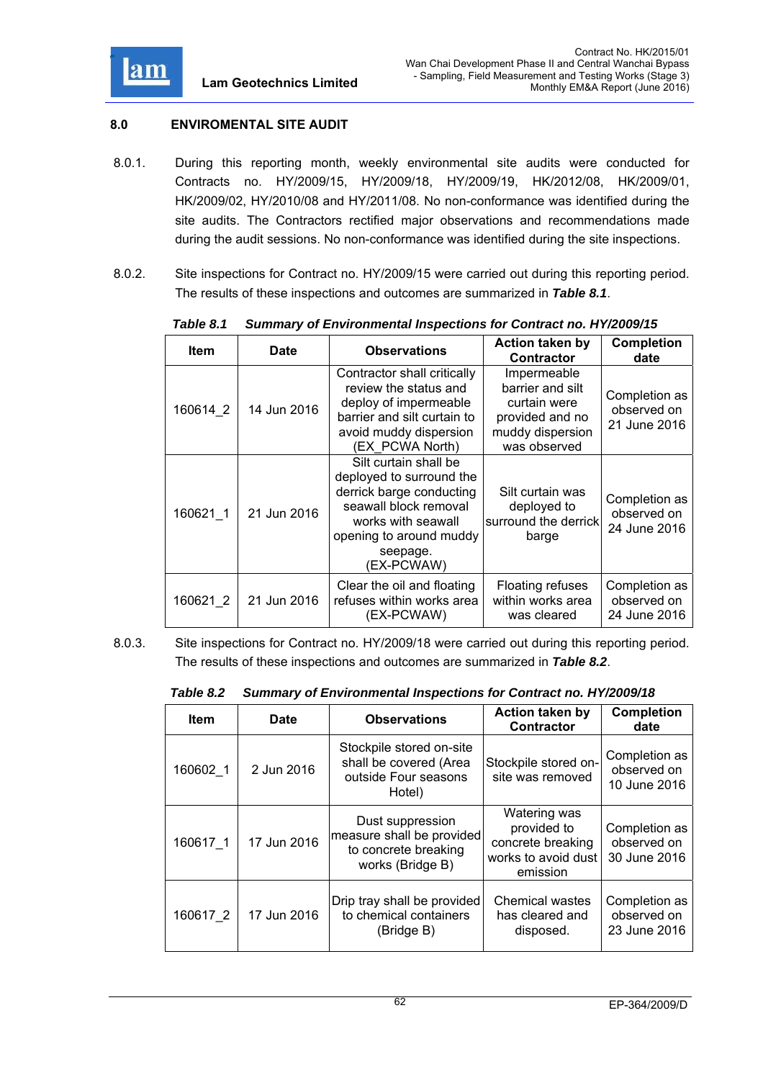

### **8.0 ENVIROMENTAL SITE AUDIT**

- 8.0.1. During this reporting month, weekly environmental site audits were conducted for Contracts no. HY/2009/15, HY/2009/18, HY/2009/19, HK/2012/08, HK/2009/01, HK/2009/02, HY/2010/08 and HY/2011/08. No non-conformance was identified during the site audits. The Contractors rectified major observations and recommendations made during the audit sessions. No non-conformance was identified during the site inspections.
- 8.0.2. Site inspections for Contract no. HY/2009/15 were carried out during this reporting period. The results of these inspections and outcomes are summarized in *Table 8.1*.

| <b>Item</b> | <b>Date</b> | <b>Observations</b>                                                                                                                                                               | <b>Action taken by</b><br><b>Contractor</b>                                                            | <b>Completion</b><br>date                    |
|-------------|-------------|-----------------------------------------------------------------------------------------------------------------------------------------------------------------------------------|--------------------------------------------------------------------------------------------------------|----------------------------------------------|
| 160614 2    | 14 Jun 2016 | Contractor shall critically<br>review the status and<br>deploy of impermeable<br>barrier and silt curtain to<br>avoid muddy dispersion<br>(EX PCWA North)                         | Impermeable<br>barrier and silt<br>curtain were<br>provided and no<br>muddy dispersion<br>was observed | Completion as<br>observed on<br>21 June 2016 |
| 160621 1    | 21 Jun 2016 | Silt curtain shall be<br>deployed to surround the<br>derrick barge conducting<br>seawall block removal<br>works with seawall<br>opening to around muddy<br>seepage.<br>(EX-PCWAW) | Silt curtain was<br>deployed to<br>surround the derrick<br>barge                                       | Completion as<br>observed on<br>24 June 2016 |
| 160621 2    | 21 Jun 2016 | Clear the oil and floating<br>refuses within works area<br>(EX-PCWAW)                                                                                                             | Floating refuses<br>within works area<br>was cleared                                                   | Completion as<br>observed on<br>24 June 2016 |

*Table 8.1 Summary of Environmental Inspections for Contract no. HY/2009/15* 

8.0.3. Site inspections for Contract no. HY/2009/18 were carried out during this reporting period. The results of these inspections and outcomes are summarized in *Table 8.2*.

| Table 8.2 | <sup>2</sup> Summary of Environmental Inspections for Contract no. HY/2009/18 |  |
|-----------|-------------------------------------------------------------------------------|--|
|-----------|-------------------------------------------------------------------------------|--|

| <b>Item</b> | <b>Date</b> | <b>Observations</b>                                                                       | <b>Action taken by</b><br><b>Contractor</b>                                         | <b>Completion</b><br>date                    |
|-------------|-------------|-------------------------------------------------------------------------------------------|-------------------------------------------------------------------------------------|----------------------------------------------|
| 160602 1    | 2 Jun 2016  | Stockpile stored on-site<br>shall be covered (Area<br>outside Four seasons<br>Hotel)      | Stockpile stored on-<br>site was removed                                            | Completion as<br>observed on<br>10 June 2016 |
| 160617 1    | 17 Jun 2016 | Dust suppression<br>measure shall be provided<br>to concrete breaking<br>works (Bridge B) | Watering was<br>provided to<br>concrete breaking<br>works to avoid dust<br>emission | Completion as<br>observed on<br>30 June 2016 |
| 160617 2    | 17 Jun 2016 | Drip tray shall be provided<br>to chemical containers<br>(Bridge B)                       | Chemical wastes<br>has cleared and<br>disposed.                                     | Completion as<br>observed on<br>23 June 2016 |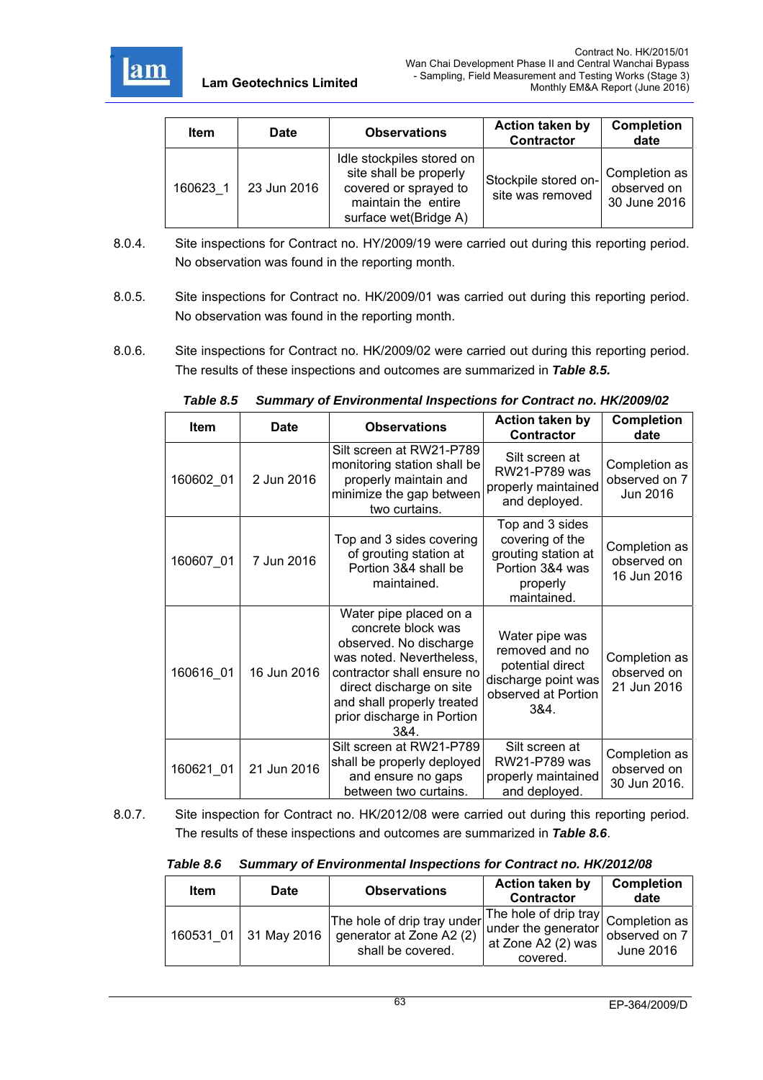

| <b>Item</b> | <b>Date</b> | <b>Observations</b>                                                                                                          | <b>Action taken by</b><br><b>Contractor</b> | <b>Completion</b><br>date                    |
|-------------|-------------|------------------------------------------------------------------------------------------------------------------------------|---------------------------------------------|----------------------------------------------|
| 160623 1    | 23 Jun 2016 | Idle stockpiles stored on<br>site shall be properly<br>covered or sprayed to<br>maintain the entire<br>surface wet(Bridge A) | Stockpile stored on-<br>site was removed    | Completion as<br>observed on<br>30 June 2016 |

- 8.0.4. Site inspections for Contract no. HY/2009/19 were carried out during this reporting period. No observation was found in the reporting month.
- 8.0.5. Site inspections for Contract no. HK/2009/01 was carried out during this reporting period. No observation was found in the reporting month.
- 8.0.6. Site inspections for Contract no. HK/2009/02 were carried out during this reporting period. The results of these inspections and outcomes are summarized in *Table 8.5.*

| Item      | <b>Date</b> | <b>Observations</b>                                                                                                                                                                                                              | <b>Action taken by</b><br><b>Contractor</b>                                                                | <b>Completion</b><br>date                    |
|-----------|-------------|----------------------------------------------------------------------------------------------------------------------------------------------------------------------------------------------------------------------------------|------------------------------------------------------------------------------------------------------------|----------------------------------------------|
| 160602_01 | 2 Jun 2016  | Silt screen at RW21-P789<br>monitoring station shall be<br>properly maintain and<br>minimize the gap between<br>two curtains.                                                                                                    | Silt screen at<br>RW21-P789 was<br>properly maintained<br>and deployed.                                    | Completion as<br>observed on 7<br>Jun 2016   |
| 160607_01 | 7 Jun 2016  | Top and 3 sides covering<br>of grouting station at<br>Portion 3&4 shall be<br>maintained.                                                                                                                                        | Top and 3 sides<br>covering of the<br>grouting station at<br>Portion 3&4 was<br>properly<br>maintained.    | Completion as<br>observed on<br>16 Jun 2016  |
| 160616 01 | 16 Jun 2016 | Water pipe placed on a<br>concrete block was<br>observed. No discharge<br>was noted. Nevertheless,<br>contractor shall ensure no<br>direct discharge on site<br>and shall properly treated<br>prior discharge in Portion<br>384. | Water pipe was<br>removed and no<br>potential direct<br>discharge point was<br>observed at Portion<br>3&4. | Completion as<br>observed on<br>21 Jun 2016  |
| 160621 01 | 21 Jun 2016 | Silt screen at RW21-P789<br>shall be properly deployed<br>and ensure no gaps<br>between two curtains.                                                                                                                            | Silt screen at<br>RW21-P789 was<br>properly maintained<br>and deployed.                                    | Completion as<br>observed on<br>30 Jun 2016. |

*Table 8.5 Summary of Environmental Inspections for Contract no. HK/2009/02* 

8.0.7. Site inspection for Contract no. HK/2012/08 were carried out during this reporting period. The results of these inspections and outcomes are summarized in *Table 8.6*.

 *Table 8.6 Summary of Environmental Inspections for Contract no. HK/2012/08* 

| <b>Item</b> | Date        | <b>Observations</b>                                                                                                      | Action taken by<br><b>Contractor</b>                  | <b>Completion</b><br>date  |
|-------------|-------------|--------------------------------------------------------------------------------------------------------------------------|-------------------------------------------------------|----------------------------|
| 160531 01   | 31 May 2016 | The hole of drip tray under The hole of drip tray $\vert$ Completion as<br>generator at Zone A2 (2)<br>shall be covered. | under the generator<br>at Zone A2 (2) was<br>covered. | observed on 7<br>June 2016 |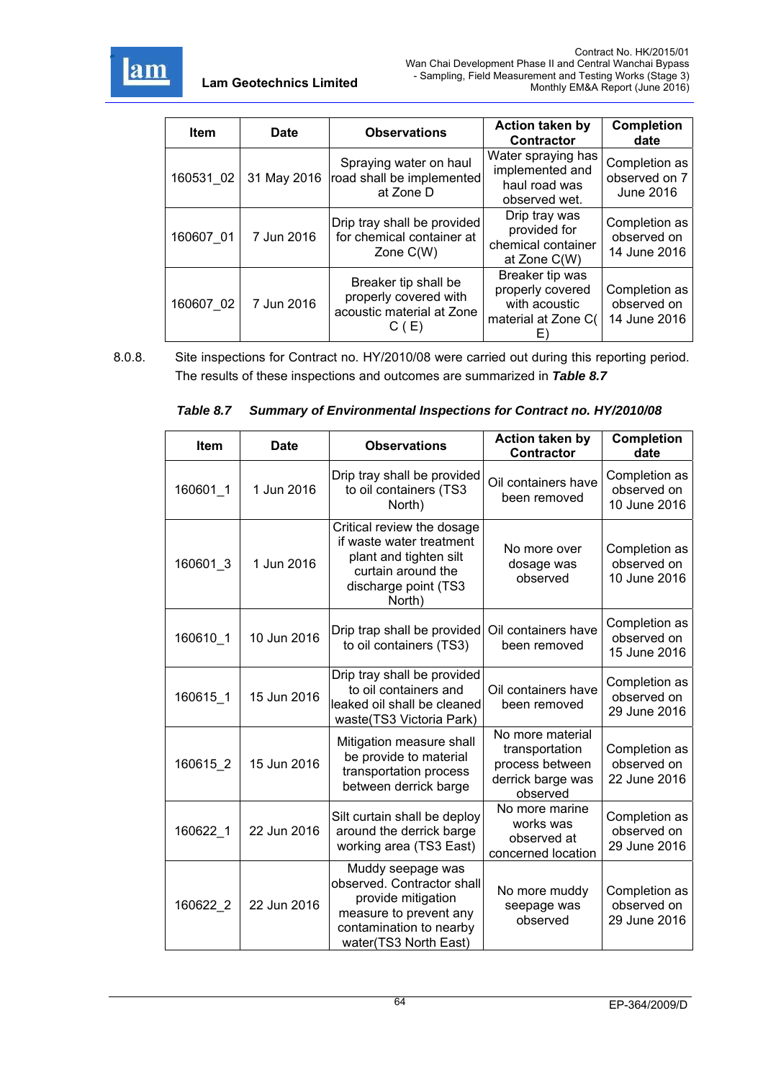

| <b>Item</b> | <b>Date</b> | <b>Observations</b>                                                                | <b>Action taken by</b><br><b>Contractor</b>                                       | <b>Completion</b><br>date                          |
|-------------|-------------|------------------------------------------------------------------------------------|-----------------------------------------------------------------------------------|----------------------------------------------------|
| 160531 02   | 31 May 2016 | Spraying water on haul<br>road shall be implemented<br>at Zone D                   | Water spraying has<br>implemented and<br>haul road was<br>observed wet.           | Completion as<br>observed on 7<br><b>June 2016</b> |
| 160607 01   | 7 Jun 2016  | Drip tray shall be provided<br>for chemical container at<br>Zone $C(W)$            | Drip tray was<br>provided for<br>chemical container<br>at Zone C(W)               | Completion as<br>observed on<br>14 June 2016       |
| 160607 02   | 7 Jun 2016  | Breaker tip shall be<br>properly covered with<br>acoustic material at Zone<br>C(E) | Breaker tip was<br>properly covered<br>with acoustic<br>material at Zone C(<br>E) | Completion as<br>observed on<br>14 June 2016       |

8.0.8. Site inspections for Contract no. HY/2010/08 were carried out during this reporting period. The results of these inspections and outcomes are summarized in *Table 8.7*

|  | Table 8.7 Summary of Environmental Inspections for Contract no. HY/2010/08 |  |  |
|--|----------------------------------------------------------------------------|--|--|
|--|----------------------------------------------------------------------------|--|--|

| <b>Item</b> | <b>Date</b> | <b>Observations</b>                                                                                                                                 | <b>Action taken by</b><br><b>Contractor</b>                                            | <b>Completion</b><br>date                    |
|-------------|-------------|-----------------------------------------------------------------------------------------------------------------------------------------------------|----------------------------------------------------------------------------------------|----------------------------------------------|
| 160601_1    | 1 Jun 2016  | Drip tray shall be provided<br>to oil containers (TS3<br>North)                                                                                     | Oil containers have<br>been removed                                                    | Completion as<br>observed on<br>10 June 2016 |
| 160601_3    | 1 Jun 2016  | Critical review the dosage<br>if waste water treatment<br>plant and tighten silt<br>curtain around the<br>discharge point (TS3<br>North)            | No more over<br>dosage was<br>observed                                                 | Completion as<br>observed on<br>10 June 2016 |
| 160610 1    | 10 Jun 2016 | Drip trap shall be provided<br>to oil containers (TS3)                                                                                              | Oil containers have<br>been removed                                                    | Completion as<br>observed on<br>15 June 2016 |
| 160615 1    | 15 Jun 2016 | Drip tray shall be provided<br>to oil containers and<br>leaked oil shall be cleaned<br>waste(TS3 Victoria Park)                                     | Oil containers have<br>been removed                                                    | Completion as<br>observed on<br>29 June 2016 |
| 160615 2    | 15 Jun 2016 | Mitigation measure shall<br>be provide to material<br>transportation process<br>between derrick barge                                               | No more material<br>transportation<br>process between<br>derrick barge was<br>observed | Completion as<br>observed on<br>22 June 2016 |
| 160622 1    | 22 Jun 2016 | Silt curtain shall be deploy<br>around the derrick barge<br>working area (TS3 East)                                                                 | No more marine<br>works was<br>observed at<br>concerned location                       | Completion as<br>observed on<br>29 June 2016 |
| 160622 2    | 22 Jun 2016 | Muddy seepage was<br>observed. Contractor shall<br>provide mitigation<br>measure to prevent any<br>contamination to nearby<br>water(TS3 North East) | No more muddy<br>seepage was<br>observed                                               | Completion as<br>observed on<br>29 June 2016 |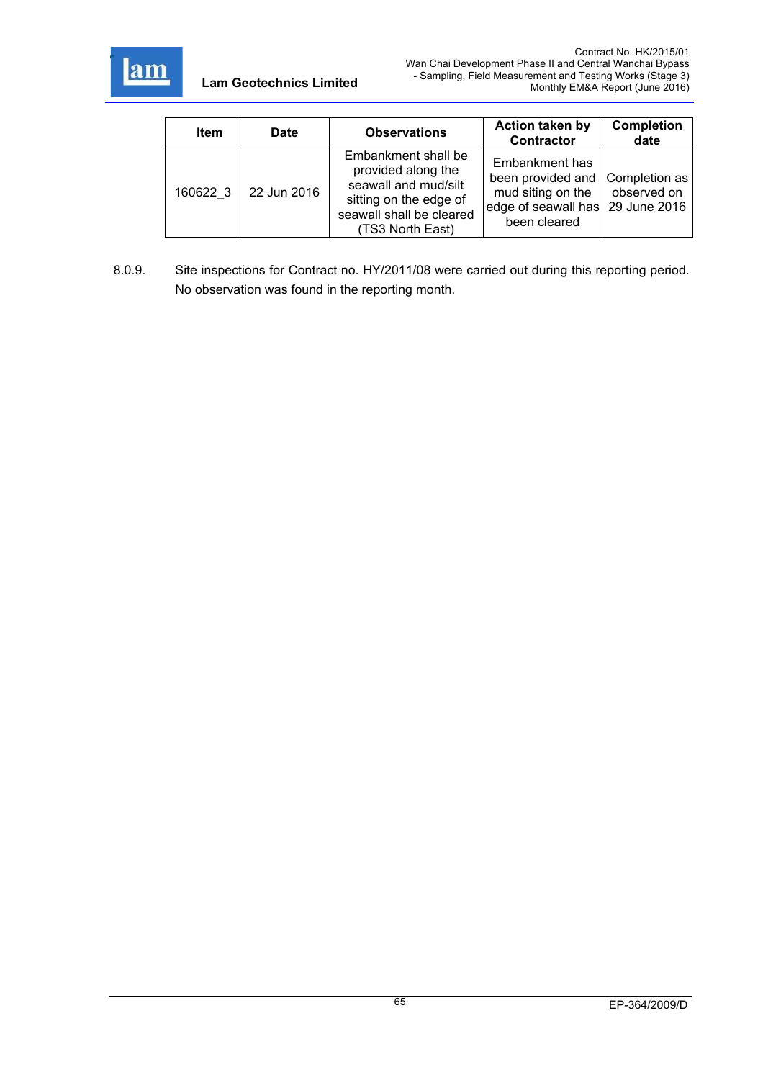

| <b>Item</b> | Date        | <b>Observations</b>                                                                                                                         | <b>Action taken by</b><br><b>Contractor</b>                                                                                | <b>Completion</b><br>date |
|-------------|-------------|---------------------------------------------------------------------------------------------------------------------------------------------|----------------------------------------------------------------------------------------------------------------------------|---------------------------|
| 160622 3    | 22 Jun 2016 | Embankment shall be<br>provided along the<br>seawall and mud/silt<br>sitting on the edge of<br>seawall shall be cleared<br>(TS3 North East) | Embankment has<br>been provided and Completion as<br>mud siting on the<br>edge of seawall has 29 June 2016<br>been cleared | observed on               |

8.0.9. Site inspections for Contract no. HY/2011/08 were carried out during this reporting period. No observation was found in the reporting month.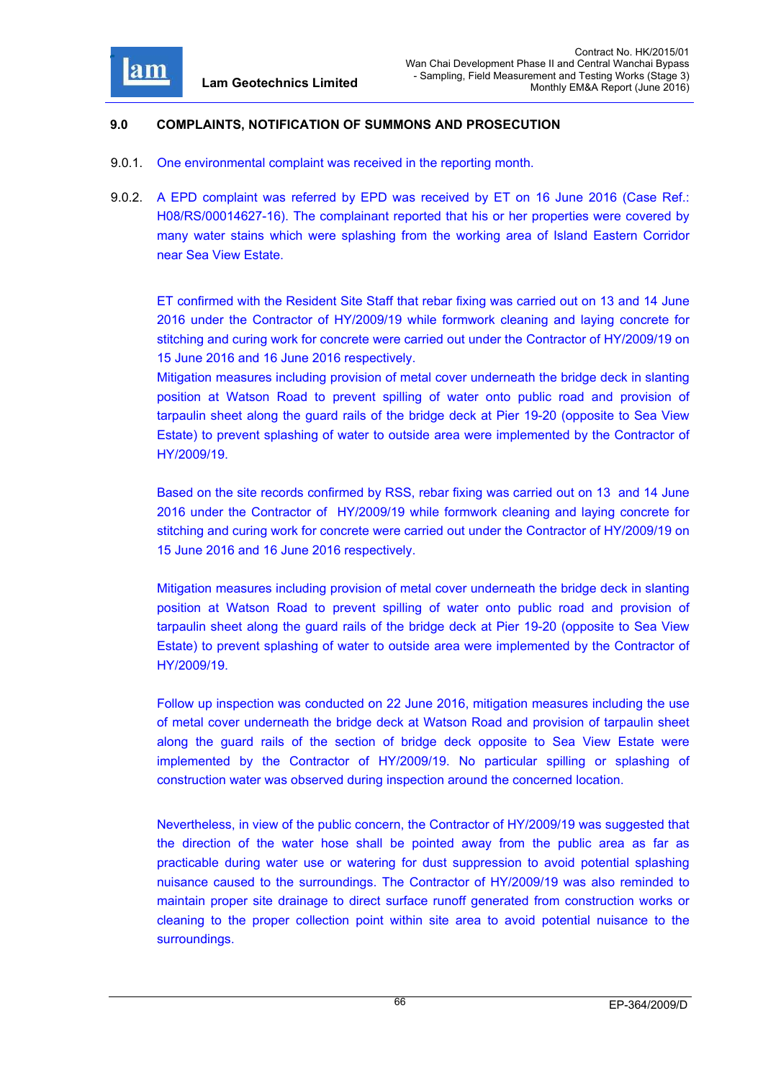

#### **9.0 COMPLAINTS, NOTIFICATION OF SUMMONS AND PROSECUTION**

- 9.0.1. One environmental complaint was received in the reporting month.
- 9.0.2. A EPD complaint was referred by EPD was received by ET on 16 June 2016 (Case Ref.: H08/RS/00014627-16). The complainant reported that his or her properties were covered by many water stains which were splashing from the working area of Island Eastern Corridor near Sea View Estate.

ET confirmed with the Resident Site Staff that rebar fixing was carried out on 13 and 14 June 2016 under the Contractor of HY/2009/19 while formwork cleaning and laying concrete for stitching and curing work for concrete were carried out under the Contractor of HY/2009/19 on 15 June 2016 and 16 June 2016 respectively.

Mitigation measures including provision of metal cover underneath the bridge deck in slanting position at Watson Road to prevent spilling of water onto public road and provision of tarpaulin sheet along the guard rails of the bridge deck at Pier 19-20 (opposite to Sea View Estate) to prevent splashing of water to outside area were implemented by the Contractor of HY/2009/19.

Based on the site records confirmed by RSS, rebar fixing was carried out on 13 and 14 June 2016 under the Contractor of HY/2009/19 while formwork cleaning and laying concrete for stitching and curing work for concrete were carried out under the Contractor of HY/2009/19 on 15 June 2016 and 16 June 2016 respectively.

Mitigation measures including provision of metal cover underneath the bridge deck in slanting position at Watson Road to prevent spilling of water onto public road and provision of tarpaulin sheet along the guard rails of the bridge deck at Pier 19-20 (opposite to Sea View Estate) to prevent splashing of water to outside area were implemented by the Contractor of HY/2009/19.

Follow up inspection was conducted on 22 June 2016, mitigation measures including the use of metal cover underneath the bridge deck at Watson Road and provision of tarpaulin sheet along the guard rails of the section of bridge deck opposite to Sea View Estate were implemented by the Contractor of HY/2009/19. No particular spilling or splashing of construction water was observed during inspection around the concerned location.

Nevertheless, in view of the public concern, the Contractor of HY/2009/19 was suggested that the direction of the water hose shall be pointed away from the public area as far as practicable during water use or watering for dust suppression to avoid potential splashing nuisance caused to the surroundings. The Contractor of HY/2009/19 was also reminded to maintain proper site drainage to direct surface runoff generated from construction works or cleaning to the proper collection point within site area to avoid potential nuisance to the surroundings.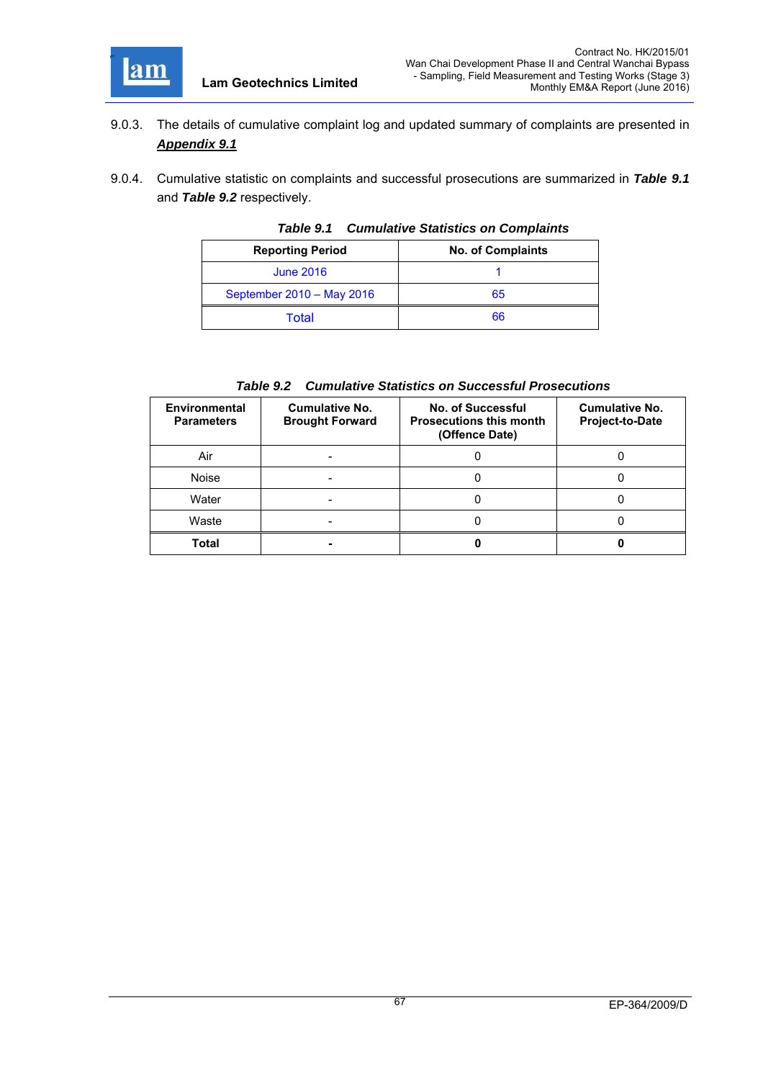

- 9.0.3. The details of cumulative complaint log and updated summary of complaints are presented in *Appendix 9.1*
- 9.0.4. Cumulative statistic on complaints and successful prosecutions are summarized in *Table 9.1* and *Table 9.2* respectively.

| <b>Reporting Period</b>   | <b>No. of Complaints</b> |  |  |  |
|---------------------------|--------------------------|--|--|--|
| <b>June 2016</b>          |                          |  |  |  |
| September 2010 - May 2016 | 65                       |  |  |  |
| Total                     | 66                       |  |  |  |

*Table 9.1 Cumulative Statistics on Complaints* 

| <b>Environmental</b><br><b>Parameters</b> | <b>Cumulative No.</b><br><b>Brought Forward</b> | No. of Successful<br><b>Prosecutions this month</b><br>(Offence Date) | <b>Cumulative No.</b><br>Project-to-Date |
|-------------------------------------------|-------------------------------------------------|-----------------------------------------------------------------------|------------------------------------------|
| Air                                       |                                                 |                                                                       |                                          |
| <b>Noise</b>                              |                                                 |                                                                       |                                          |
| Water                                     |                                                 |                                                                       |                                          |
| Waste                                     |                                                 |                                                                       |                                          |
| <b>Total</b>                              | -                                               |                                                                       |                                          |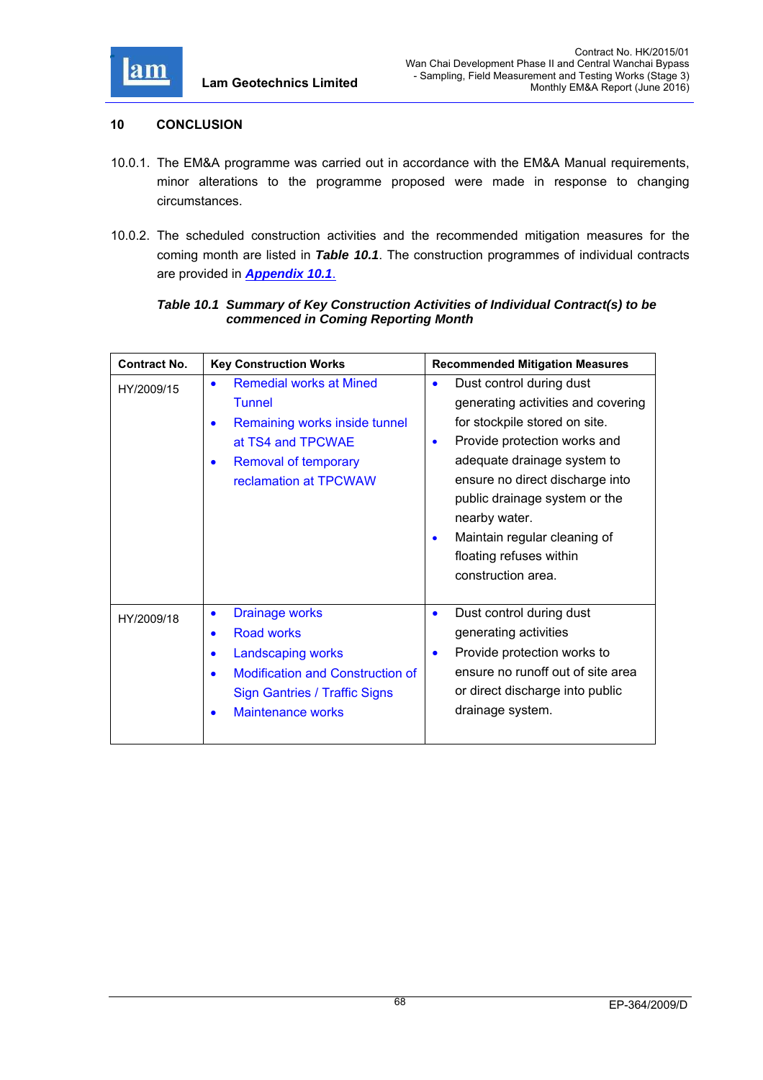

### **10 CONCLUSION**

- 10.0.1. The EM&A programme was carried out in accordance with the EM&A Manual requirements, minor alterations to the programme proposed were made in response to changing circumstances.
- 10.0.2. The scheduled construction activities and the recommended mitigation measures for the coming month are listed in *Table 10.1*. The construction programmes of individual contracts are provided in *Appendix 10.1*.

### *Table 10.1 Summary of Key Construction Activities of Individual Contract(s) to be commenced in Coming Reporting Month*

| <b>Contract No.</b> | <b>Key Construction Works</b>                                                                                                                                                                                                           | <b>Recommended Mitigation Measures</b>                                                                                                                                                                                                                                                                                                                                      |
|---------------------|-----------------------------------------------------------------------------------------------------------------------------------------------------------------------------------------------------------------------------------------|-----------------------------------------------------------------------------------------------------------------------------------------------------------------------------------------------------------------------------------------------------------------------------------------------------------------------------------------------------------------------------|
| HY/2009/15          | <b>Remedial works at Mined</b><br>$\bullet$<br><b>Tunnel</b><br>Remaining works inside tunnel<br>$\bullet$<br>at TS4 and TPCWAE<br><b>Removal of temporary</b><br>$\bullet$<br>reclamation at TPCWAW                                    | Dust control during dust<br>$\bullet$<br>generating activities and covering<br>for stockpile stored on site.<br>Provide protection works and<br>$\bullet$<br>adequate drainage system to<br>ensure no direct discharge into<br>public drainage system or the<br>nearby water.<br>Maintain regular cleaning of<br>$\bullet$<br>floating refuses within<br>construction area. |
| HY/2009/18          | <b>Drainage works</b><br>$\bullet$<br><b>Road works</b><br>$\bullet$<br><b>Landscaping works</b><br>$\bullet$<br><b>Modification and Construction of</b><br>$\bullet$<br><b>Sign Gantries / Traffic Signs</b><br>Maintenance works<br>٠ | Dust control during dust<br>$\bullet$<br>generating activities<br>Provide protection works to<br>$\bullet$<br>ensure no runoff out of site area<br>or direct discharge into public<br>drainage system.                                                                                                                                                                      |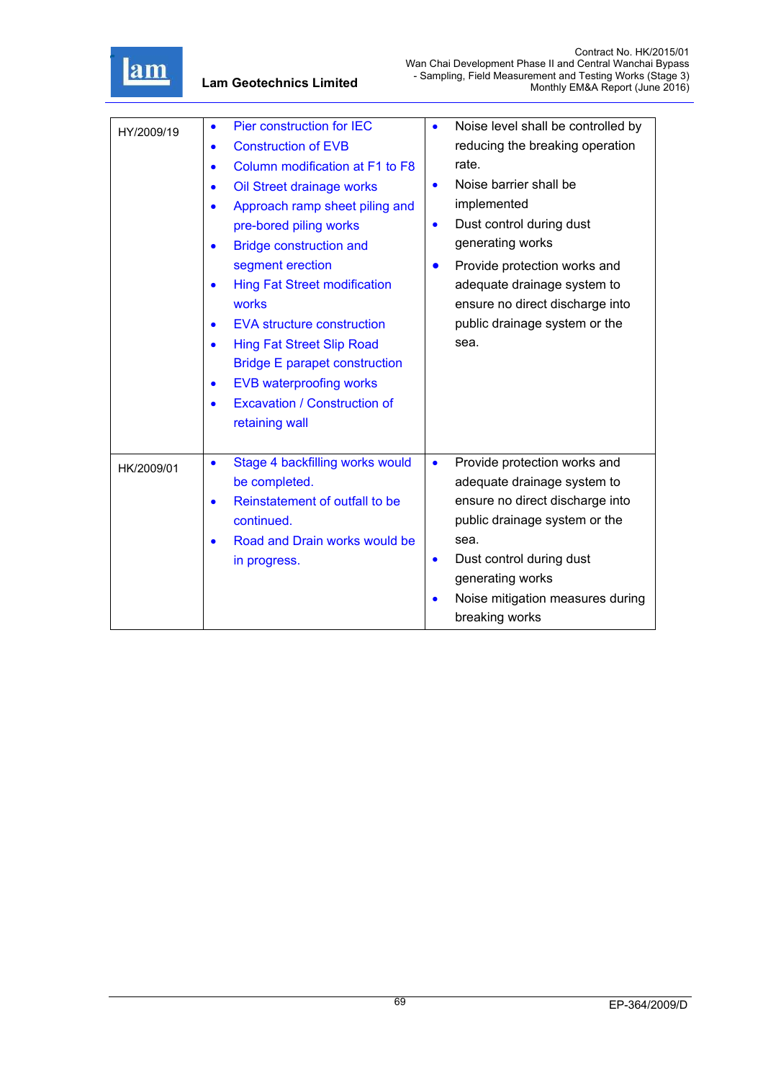

| HY/2009/19 | Pier construction for IEC<br>$\bullet$<br><b>Construction of EVB</b><br>$\bullet$<br>Column modification at F1 to F8<br>$\bullet$<br>Oil Street drainage works<br>$\bullet$<br>Approach ramp sheet piling and<br>$\bullet$<br>pre-bored piling works<br><b>Bridge construction and</b><br>$\bullet$<br>segment erection<br><b>Hing Fat Street modification</b><br>$\bullet$<br>works | Noise level shall be controlled by<br>$\bullet$<br>reducing the breaking operation<br>rate.<br>Noise barrier shall be<br>$\bullet$<br>implemented<br>Dust control during dust<br>$\bullet$<br>generating works<br>Provide protection works and<br>$\bullet$<br>adequate drainage system to<br>ensure no direct discharge into |
|------------|--------------------------------------------------------------------------------------------------------------------------------------------------------------------------------------------------------------------------------------------------------------------------------------------------------------------------------------------------------------------------------------|-------------------------------------------------------------------------------------------------------------------------------------------------------------------------------------------------------------------------------------------------------------------------------------------------------------------------------|
|            | <b>EVA structure construction</b><br>$\bullet$<br><b>Hing Fat Street Slip Road</b><br>$\bullet$<br><b>Bridge E parapet construction</b><br><b>EVB waterproofing works</b><br>$\bullet$<br><b>Excavation / Construction of</b><br>$\bullet$<br>retaining wall                                                                                                                         | public drainage system or the<br>sea.                                                                                                                                                                                                                                                                                         |
| HK/2009/01 | Stage 4 backfilling works would<br>$\bullet$<br>be completed.<br>Reinstatement of outfall to be<br>continued.<br>Road and Drain works would be<br>$\bullet$<br>in progress.                                                                                                                                                                                                          | Provide protection works and<br>$\bullet$<br>adequate drainage system to<br>ensure no direct discharge into<br>public drainage system or the<br>sea.<br>Dust control during dust<br>٠<br>generating works<br>Noise mitigation measures during<br>breaking works                                                               |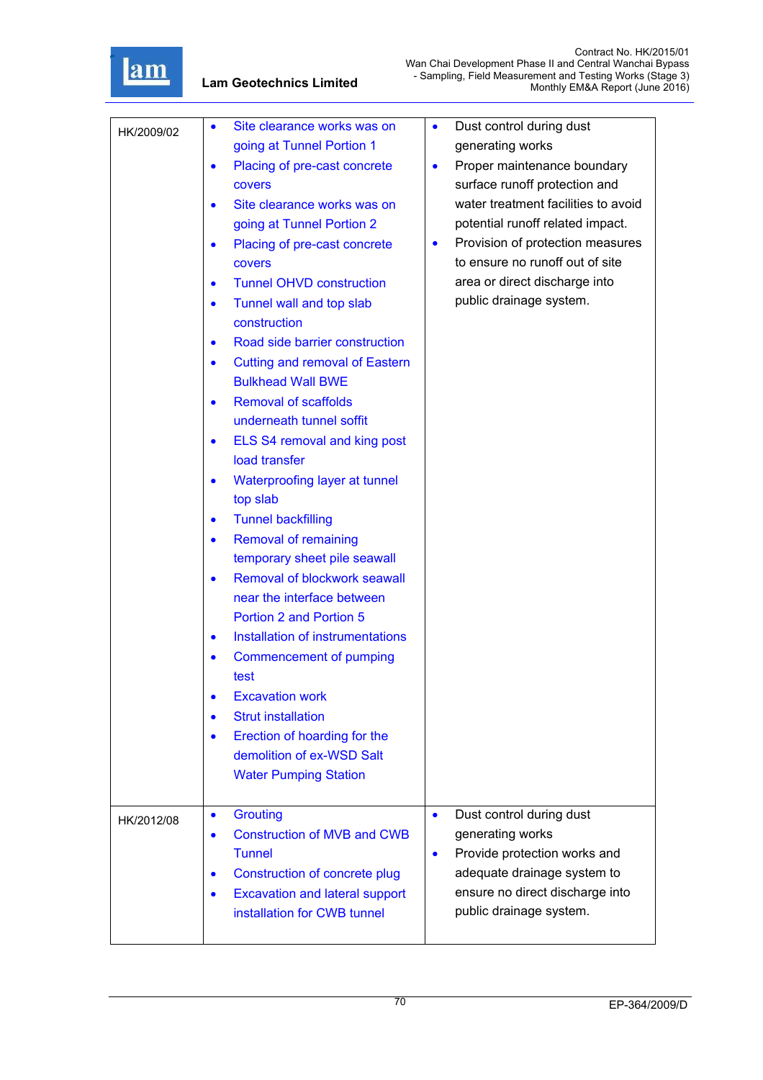

| HK/2009/02 | Site clearance works was on<br>going at Tunnel Portion 1<br>Placing of pre-cast concrete<br>$\bullet$<br><b>covers</b><br>Site clearance works was on<br>going at Tunnel Portion 2<br>Placing of pre-cast concrete<br>$\bullet$<br><b>covers</b><br><b>Tunnel OHVD construction</b><br>$\bullet$<br>Tunnel wall and top slab<br>$\bullet$<br>construction<br>Road side barrier construction<br>$\bullet$<br><b>Cutting and removal of Eastern</b><br>$\bullet$<br><b>Bulkhead Wall BWE</b><br><b>Removal of scaffolds</b><br>$\bullet$<br>underneath tunnel soffit<br>ELS S4 removal and king post<br>load transfer<br>Waterproofing layer at tunnel<br>$\bullet$<br>top slab<br><b>Tunnel backfilling</b><br>$\bullet$<br><b>Removal of remaining</b><br>$\bullet$<br>temporary sheet pile seawall<br>Removal of blockwork seawall<br>near the interface between<br><b>Portion 2 and Portion 5</b><br>Installation of instrumentations<br>$\bullet$<br><b>Commencement of pumping</b><br>test<br><b>Excavation work</b><br><b>Strut installation</b><br>Erection of hoarding for the<br>$\bullet$<br>demolition of ex-WSD Salt<br><b>Water Pumping Station</b> | Dust control during dust<br>٠<br>generating works<br>Proper maintenance boundary<br>$\bullet$<br>surface runoff protection and<br>water treatment facilities to avoid<br>potential runoff related impact.<br>Provision of protection measures<br>$\bullet$<br>to ensure no runoff out of site<br>area or direct discharge into<br>public drainage system. |
|------------|-----------------------------------------------------------------------------------------------------------------------------------------------------------------------------------------------------------------------------------------------------------------------------------------------------------------------------------------------------------------------------------------------------------------------------------------------------------------------------------------------------------------------------------------------------------------------------------------------------------------------------------------------------------------------------------------------------------------------------------------------------------------------------------------------------------------------------------------------------------------------------------------------------------------------------------------------------------------------------------------------------------------------------------------------------------------------------------------------------------------------------------------------------------------|-----------------------------------------------------------------------------------------------------------------------------------------------------------------------------------------------------------------------------------------------------------------------------------------------------------------------------------------------------------|
| HK/2012/08 | <b>Grouting</b><br>$\bullet$<br><b>Construction of MVB and CWB</b><br><b>Tunnel</b><br><b>Construction of concrete plug</b><br>$\bullet$<br><b>Excavation and lateral support</b><br>$\bullet$<br>installation for CWB tunnel                                                                                                                                                                                                                                                                                                                                                                                                                                                                                                                                                                                                                                                                                                                                                                                                                                                                                                                                   | Dust control during dust<br>$\bullet$<br>generating works<br>Provide protection works and<br>$\bullet$<br>adequate drainage system to<br>ensure no direct discharge into<br>public drainage system.                                                                                                                                                       |